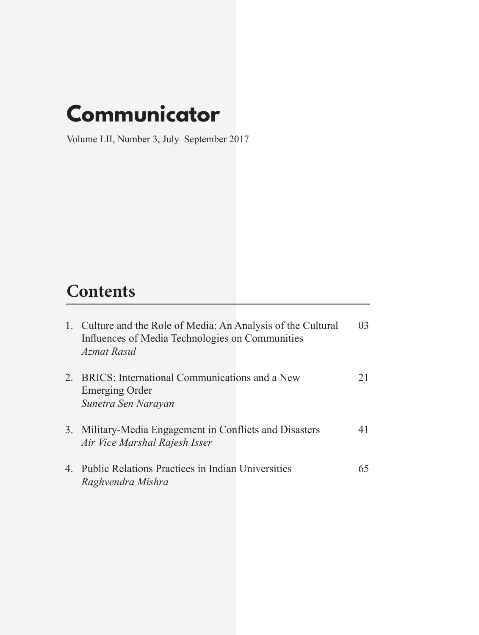### **Communicator**

Volume LII, Number 3, July–September 2017

### **Contents**

| 1. Culture and the Role of Media: An Analysis of the Cultural<br>Influences of Media Technologies on Communities<br>Azmat Rasul | 03 |
|---------------------------------------------------------------------------------------------------------------------------------|----|
| 2. BRICS: International Communications and a New<br><b>Emerging Order</b><br>Sunetra Sen Narayan                                | 21 |
| 3. Military-Media Engagement in Conflicts and Disasters<br>Air Vice Marshal Rajesh Isser                                        | 41 |
| 4. Public Relations Practices in Indian Universities<br>Raghvendra Mishra                                                       | 65 |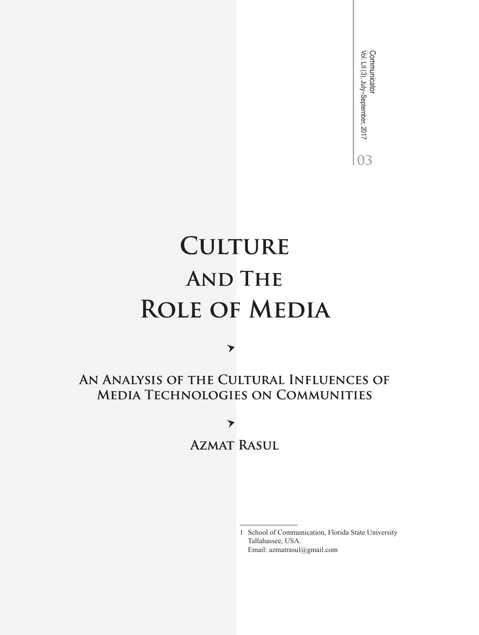Communicator<br>Vol. Lll (3), July–September, 2017 Vol. LII (3), July–September, 2017 Communicator03

## **CULTURE AND THE ROLE OF MEDIA**

AN ANALYSIS OF THE CULTURAL INFLUENCES OF **MEDIA TECHNOLOGIES ON COMMUNITIES** 

▼

 $\blacktriangleright$ **AZMAT RASUL** 

> 1 School of Communication, Florida State University Tallahassee, USA. Email: azmatrasul@gmail.com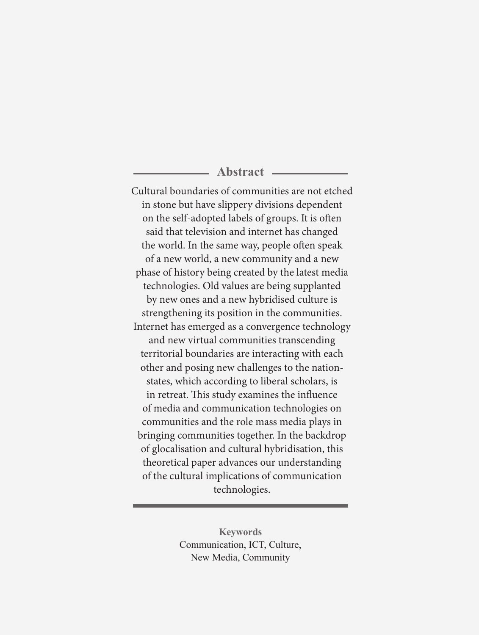#### **Abstract**

Cultural boundaries of communities are not etched in stone but have slippery divisions dependent on the self-adopted labels of groups. It is often said that television and internet has changed the world. In the same way, people often speak of a new world, a new community and a new phase of history being created by the latest media technologies. Old values are being supplanted by new ones and a new hybridised culture is strengthening its position in the communities. Internet has emerged as a convergence technology and new virtual communities transcending territorial boundaries are interacting with each other and posing new challenges to the nationstates, which according to liberal scholars, is in retreat. This study examines the influence of media and communication technologies on communities and the role mass media plays in bringing communities together. In the backdrop of glocalisation and cultural hybridisation, this theoretical paper advances our understanding of the cultural implications of communication technologies.

> **Keywords** Communication, ICT, Culture, New Media, Community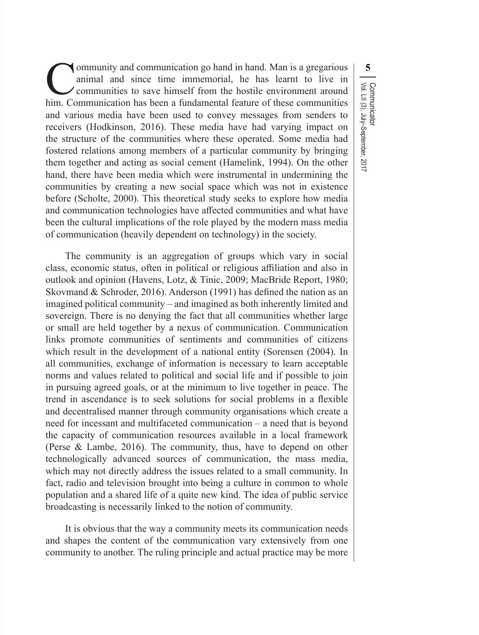Community and communication go hand in hand. Man is <sup>a</sup> gregarious animal and since time immemorial, he has learnt to live in communities to save himself from the hostile environment around him. Communication has been a fundamental feature of these communities and various media have been used to convey messages from senders to receivers (Hodkinson, 2016). These media have had varying impact on the structure of the communities where these operated. Some media had fostered relations among members of a particular community by bringing them together and acting as social cement (Hamelink, 1994). On the other hand, there have been media which were instrumental in undermining the communities by creating a new social space which was not in existence before (Scholte, 2000). This theoretical study seeks to explore how media and communication technologies have affected communities and what have been the cultural implications of the role played by the modern mass media of communication (heavily dependent on technology) in the society.

The community is an aggregation of groups which vary in social class, economic status, often in political or religious affiliation and also in outlook and opinion (Havens, Lotz, & Tinic, 2009; MacBride Report, 1980; Skovmand & Schroder, 2016). Anderson (1991) has defined the nation as an imagined political community – and imagined as both inherently limited and sovereign. There is no denying the fact that all communities whether large or small are held together by a nexus of communication. Communication links promote communities of sentiments and communities of citizens which result in the development of a national entity (Sorensen (2004). In all communities, exchange of information is necessary to learn acceptable norms and values related to political and social life and if possible to join in pursuing agreed goals, or at the minimum to live together in peace. The trend in ascendance is to seek solutions for social problems in a flexible and decentralised manner through community organisations which create a need for incessant and multifaceted communication – a need that is beyond the capacity of communication resources available in a local framework (Perse & Lambe, 2016). The community, thus, have to depend on other technologically advanced sources of communication, the mass media, which may not directly address the issues related to a small community. In fact, radio and television brought into being a culture in common to whole population and a shared life of a quite new kind. The idea of public service broadcasting is necessarily linked to the notion of community.

It is obvious that the way a community meets its communication needs and shapes the content of the communication vary extensively from one community to another. The ruling principle and actual practice may be more

**5** Communicator<br>Vol. LII (3), July–September, 2017 Vol. LII (3), July–September, 2017 Communicator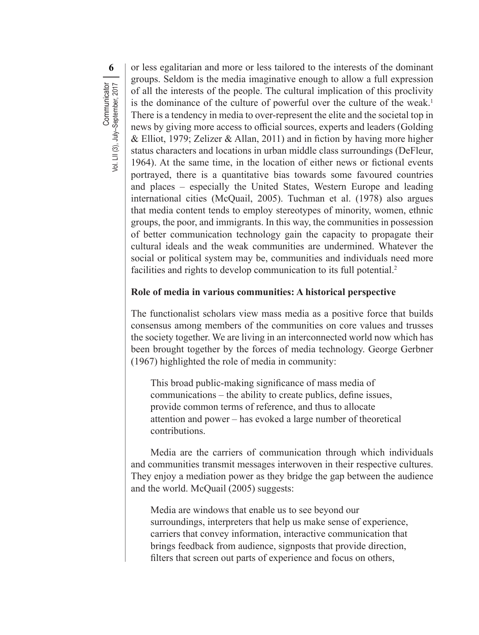**6** or less egalitarian and more or less tailored to the interests of the dominant groups. Seldom is the media imaginative enough to allow a full expression of all the interests of the people. The cultural implication of this proclivity is the dominance of the culture of powerful over the culture of the weak.<sup>1</sup> There is a tendency in media to over-represent the elite and the societal top in news by giving more access to official sources, experts and leaders (Golding & Elliot, 1979; Zelizer & Allan, 2011) and in fiction by having more higher status characters and locations in urban middle class surroundings (DeFleur, 1964). At the same time, in the location of either news or fictional events portrayed, there is a quantitative bias towards some favoured countries and places – especially the United States, Western Europe and leading international cities (McQuail, 2005). Tuchman et al. (1978) also argues that media content tends to employ stereotypes of minority, women, ethnic groups, the poor, and immigrants. In this way, the communities in possession of better communication technology gain the capacity to propagate their cultural ideals and the weak communities are undermined. Whatever the social or political system may be, communities and individuals need more facilities and rights to develop communication to its full potential.<sup>2</sup>

#### **Role of media in various communities: A historical perspective**

The functionalist scholars view mass media as a positive force that builds consensus among members of the communities on core values and trusses the society together. We are living in an interconnected world now which has been brought together by the forces of media technology. George Gerbner (1967) highlighted the role of media in community:

This broad public-making significance of mass media of communications – the ability to create publics, define issues, provide common terms of reference, and thus to allocate attention and power – has evoked a large number of theoretical contributions.

Media are the carriers of communication through which individuals and communities transmit messages interwoven in their respective cultures. They enjoy a mediation power as they bridge the gap between the audience and the world. McQuail (2005) suggests:

Media are windows that enable us to see beyond our surroundings, interpreters that help us make sense of experience, carriers that convey information, interactive communication that brings feedback from audience, signposts that provide direction, filters that screen out parts of experience and focus on others,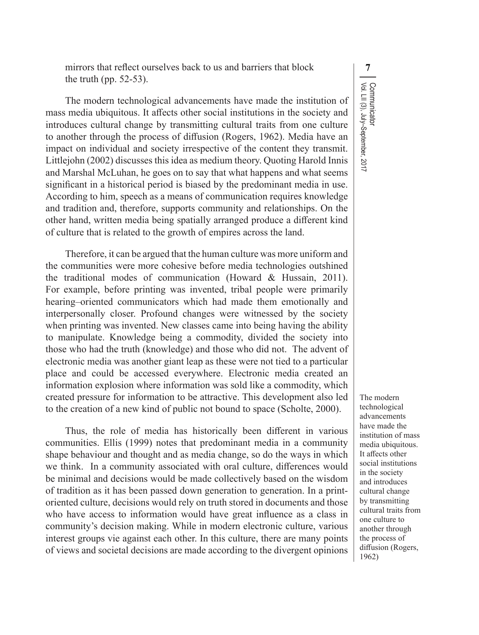mirrors that reflect ourselves back to us and barriers that block **7** the truth (pp. 52-53).

The modern technological advancements have made the institution of mass media ubiquitous. It affects other social institutions in the society and introduces cultural change by transmitting cultural traits from one culture to another through the process of diffusion (Rogers, 1962). Media have an impact on individual and society irrespective of the content they transmit. Littlejohn (2002) discusses this idea as medium theory. Quoting Harold Innis and Marshal McLuhan, he goes on to say that what happens and what seems significant in a historical period is biased by the predominant media in use. According to him, speech as a means of communication requires knowledge and tradition and, therefore, supports community and relationships. On the other hand, written media being spatially arranged produce a different kind of culture that is related to the growth of empires across the land.

Therefore, it can be argued that the human culture was more uniform and the communities were more cohesive before media technologies outshined the traditional modes of communication (Howard & Hussain, 2011). For example, before printing was invented, tribal people were primarily hearing–oriented communicators which had made them emotionally and interpersonally closer. Profound changes were witnessed by the society when printing was invented. New classes came into being having the ability to manipulate. Knowledge being a commodity, divided the society into those who had the truth (knowledge) and those who did not. The advent of electronic media was another giant leap as these were not tied to a particular place and could be accessed everywhere. Electronic media created an information explosion where information was sold like a commodity, which created pressure for information to be attractive. This development also led to the creation of a new kind of public not bound to space (Scholte, 2000).

Thus, the role of media has historically been different in various communities. Ellis (1999) notes that predominant media in a community shape behaviour and thought and as media change, so do the ways in which we think. In a community associated with oral culture, differences would be minimal and decisions would be made collectively based on the wisdom of tradition as it has been passed down generation to generation. In a printoriented culture, decisions would rely on truth stored in documents and those who have access to information would have great influence as a class in community's decision making. While in modern electronic culture, various interest groups vie against each other. In this culture, there are many points of views and societal decisions are made according to the divergent opinions Communicator<br>Vol. LII (3), July–September, 2017 Vol. LII (3), July–September, 2017 Communicator

The modern technological advancements have made the institution of mass media ubiquitous. It affects other social institutions in the society and introduces cultural change by transmitting cultural traits from one culture to another through the process of diffusion (Rogers, 1962)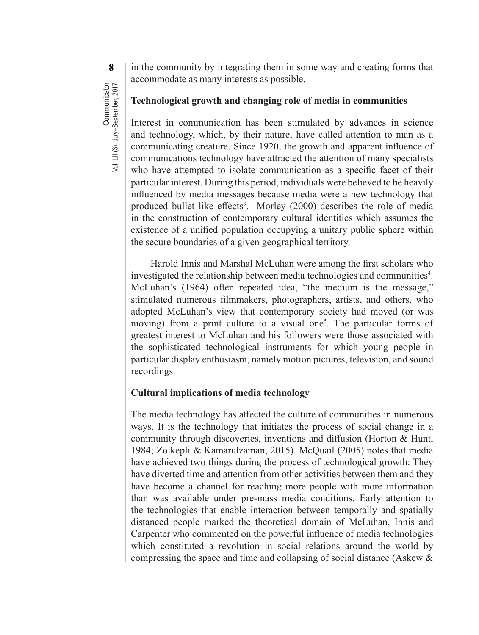**8** in the community by integrating them in some way and creating forms that accommodate as many interests as possible.

#### **Technological growth and changing role of media in communities**

Interest in communication has been stimulated by advances in science and technology, which, by their nature, have called attention to man as a communicating creature. Since 1920, the growth and apparent influence of communications technology have attracted the attention of many specialists who have attempted to isolate communication as a specific facet of their particular interest. During this period, individuals were believed to be heavily influenced by media messages because media were a new technology that produced bullet like effects<sup>3</sup>. Morley (2000) describes the role of media in the construction of contemporary cultural identities which assumes the existence of a unified population occupying a unitary public sphere within the secure boundaries of a given geographical territory.

Harold Innis and Marshal McLuhan were among the first scholars who investigated the relationship between media technologies and communities<sup>4</sup>. McLuhan's (1964) often repeated idea, "the medium is the message," stimulated numerous filmmakers, photographers, artists, and others, who adopted McLuhan's view that contemporary society had moved (or was moving) from a print culture to a visual one<sup>5</sup>. The particular forms of greatest interest to McLuhan and his followers were those associated with the sophisticated technological instruments for which young people in particular display enthusiasm, namely motion pictures, television, and sound recordings.

#### **Cultural implications of media technology**

The media technology has affected the culture of communities in numerous ways. It is the technology that initiates the process of social change in a community through discoveries, inventions and diffusion (Horton & Hunt, 1984; Zolkepli & Kamarulzaman, 2015). McQuail (2005) notes that media have achieved two things during the process of technological growth: They have diverted time and attention from other activities between them and they have become a channel for reaching more people with more information than was available under pre-mass media conditions. Early attention to the technologies that enable interaction between temporally and spatially distanced people marked the theoretical domain of McLuhan, Innis and Carpenter who commented on the powerful influence of media technologies which constituted a revolution in social relations around the world by compressing the space and time and collapsing of social distance (Askew &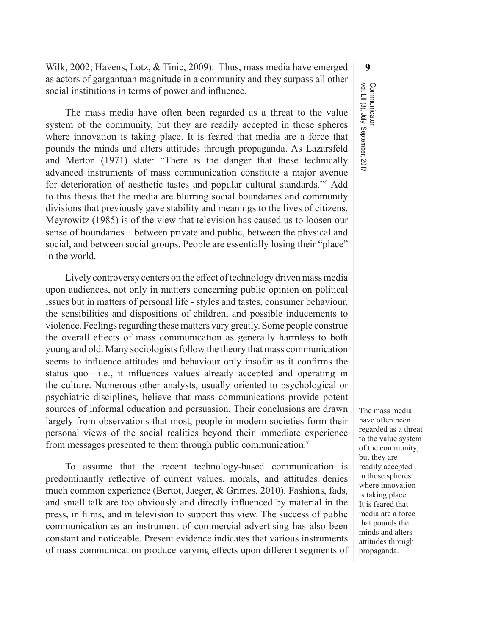Wilk, 2002; Havens, Lotz, & Tinic, 2009). Thus, mass media have emerged **9** as actors of gargantuan magnitude in a community and they surpass all other social institutions in terms of power and influence.

The mass media have often been regarded as a threat to the value system of the community, but they are readily accepted in those spheres where innovation is taking place. It is feared that media are a force that pounds the minds and alters attitudes through propaganda. As Lazarsfeld and Merton (1971) state: "There is the danger that these technically advanced instruments of mass communication constitute a major avenue for deterioration of aesthetic tastes and popular cultural standards."<sup>6</sup> Add to this thesis that the media are blurring social boundaries and community divisions that previously gave stability and meanings to the lives of citizens. Meyrowitz (1985) is of the view that television has caused us to loosen our sense of boundaries – between private and public, between the physical and social, and between social groups. People are essentially losing their "place" in the world.

Lively controversy centers on the effect of technology driven mass media upon audiences, not only in matters concerning public opinion on political issues but in matters of personal life - styles and tastes, consumer behaviour, the sensibilities and dispositions of children, and possible inducements to violence. Feelings regarding these matters vary greatly. Some people construe the overall effects of mass communication as generally harmless to both young and old. Many sociologists follow the theory that mass communication seems to influence attitudes and behaviour only insofar as it confirms the status quo—i.e., it influences values already accepted and operating in the culture. Numerous other analysts, usually oriented to psychological or psychiatric disciplines, believe that mass communications provide potent sources of informal education and persuasion. Their conclusions are drawn largely from observations that most, people in modern societies form their personal views of the social realities beyond their immediate experience from messages presented to them through public communication.<sup>7</sup>

To assume that the recent technology-based communication is predominantly reflective of current values, morals, and attitudes denies much common experience (Bertot, Jaeger, & Grimes, 2010). Fashions, fads, and small talk are too obviously and directly influenced by material in the press, in films, and in television to support this view. The success of public communication as an instrument of commercial advertising has also been constant and noticeable. Present evidence indicates that various instruments of mass communication produce varying effects upon different segments of Communicator<br>Vol. LII (3), July–September, 2017 Vol. LII (3), July–September, 2017 Communicator

The mass media have often been regarded as a threat to the value system of the community, but they are readily accepted in those spheres where innovation is taking place. It is feared that media are a force that pounds the minds and alters attitudes through propaganda.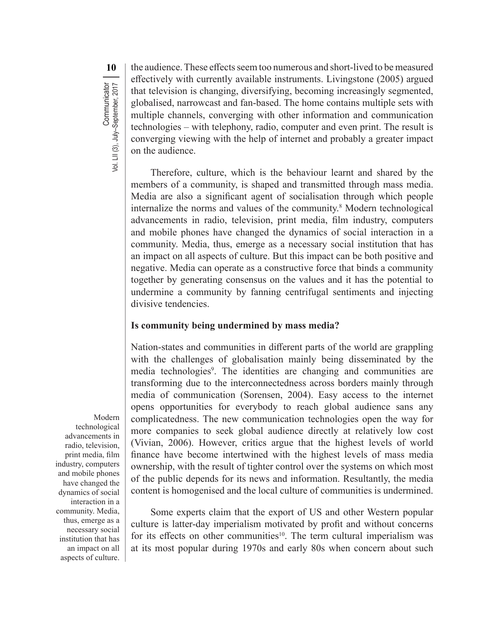the audience.These effectsseem too numerous and short-lived to be measured effectively with currently available instruments. Livingstone (2005) argued that television is changing, diversifying, becoming increasingly segmented, globalised, narrowcast and fan-based. The home contains multiple sets with multiple channels, converging with other information and communication technologies – with telephony, radio, computer and even print. The result is converging viewing with the help of internet and probably a greater impact on the audience.

Therefore, culture, which is the behaviour learnt and shared by the members of a community, is shaped and transmitted through mass media. Media are also a significant agent of socialisation through which people internalize the norms and values of the community.8 Modern technological advancements in radio, television, print media, film industry, computers and mobile phones have changed the dynamics of social interaction in a community. Media, thus, emerge as a necessary social institution that has an impact on all aspects of culture. But this impact can be both positive and negative. Media can operate as a constructive force that binds a community together by generating consensus on the values and it has the potential to undermine a community by fanning centrifugal sentiments and injecting divisive tendencies.

#### **Is community being undermined by mass media?**

Nation-states and communities in different parts of the world are grappling with the challenges of globalisation mainly being disseminated by the media technologies<sup>9</sup>. The identities are changing and communities are transforming due to the interconnectedness across borders mainly through media of communication (Sorensen, 2004). Easy access to the internet opens opportunities for everybody to reach global audience sans any complicatedness. The new communication technologies open the way for more companies to seek global audience directly at relatively low cost (Vivian, 2006). However, critics argue that the highest levels of world finance have become intertwined with the highest levels of mass media ownership, with the result of tighter control over the systems on which most of the public depends for its news and information. Resultantly, the media content is homogenised and the local culture of communities is undermined.

Some experts claim that the export of US and other Western popular culture is latter-day imperialism motivated by profit and without concerns for its effects on other communities<sup>10</sup>. The term cultural imperialism was at its most popular during 1970s and early 80s when concern about such

Modern technological advancements in radio, television, print media, film industry, computers and mobile phones have changed the dynamics of social interaction in a community. Media, thus, emerge as a necessary social institution that has an impact on all aspects of culture.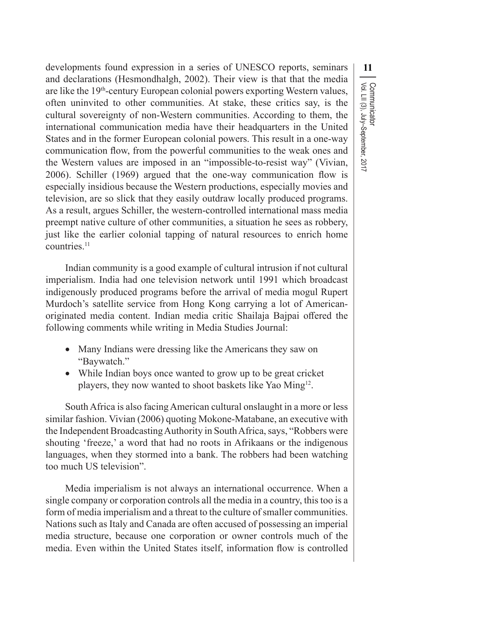developments found expression in a series of UNESCO reports, seminars **11** and declarations (Hesmondhalgh, 2002). Their view is that that the media are like the 19<sup>th</sup>-century European colonial powers exporting Western values, often uninvited to other communities. At stake, these critics say, is the cultural sovereignty of non-Western communities. According to them, the international communication media have their headquarters in the United States and in the former European colonial powers. This result in a one-way communication flow, from the powerful communities to the weak ones and the Western values are imposed in an "impossible-to-resist way" (Vivian, 2006). Schiller (1969) argued that the one-way communication flow is especially insidious because the Western productions, especially movies and television, are so slick that they easily outdraw locally produced programs. As a result, argues Schiller, the western-controlled international mass media preempt native culture of other communities, a situation he sees as robbery, just like the earlier colonial tapping of natural resources to enrich home countries.<sup>11</sup>

Indian community is a good example of cultural intrusion if not cultural imperialism. India had one television network until 1991 which broadcast indigenously produced programs before the arrival of media mogul Rupert Murdoch's satellite service from Hong Kong carrying a lot of Americanoriginated media content. Indian media critic Shailaja Bajpai offered the following comments while writing in Media Studies Journal:

- Many Indians were dressing like the Americans they saw on "Baywatch."
- While Indian boys once wanted to grow up to be great cricket players, they now wanted to shoot baskets like Yao Ming<sup>12</sup>.

SouthAfrica is also facingAmerican cultural onslaught in a more or less similar fashion. Vivian (2006) quoting Mokone-Matabane, an executive with the Independent Broadcasting Authority in South Africa, says, "Robbers were shouting 'freeze,' a word that had no roots in Afrikaans or the indigenous languages, when they stormed into a bank. The robbers had been watching too much US television".

Media imperialism is not always an international occurrence. When a single company or corporation controls all the media in a country, thistoo is a form of media imperialism and a threat to the culture of smaller communities. Nations such as Italy and Canada are often accused of possessing an imperial media structure, because one corporation or owner controls much of the media. Even within the United States itself, information flow is controlled Communicator<br>Vol. LII (3), July–September, 2017 Vol. LII (3), July–September, 2017 Communicator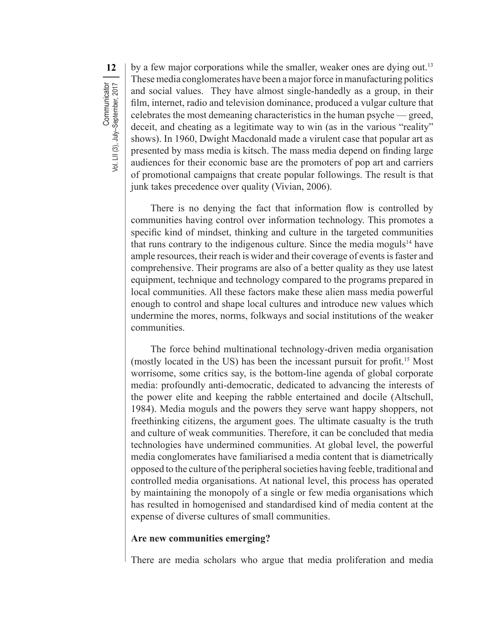**12** by a few major corporations while the smaller, weaker ones are dying out.<sup>13</sup> These media conglomerates have been a major force in manufacturing politics and social values. They have almost single-handedly as a group, in their film, internet, radio and television dominance, produced a vulgar culture that celebrates the most demeaning characteristics in the human psyche — greed, deceit, and cheating as a legitimate way to win (as in the various "reality" shows). In 1960, Dwight Macdonald made a virulent case that popular art as presented by mass media is kitsch. The mass media depend on finding large audiences for their economic base are the promoters of pop art and carriers of promotional campaigns that create popular followings. The result is that junk takes precedence over quality (Vivian, 2006).

There is no denying the fact that information flow is controlled by communities having control over information technology. This promotes a specific kind of mindset, thinking and culture in the targeted communities that runs contrary to the indigenous culture. Since the media moguls<sup>14</sup> have ample resources, their reach is wider and their coverage of events is faster and comprehensive. Their programs are also of a better quality as they use latest equipment, technique and technology compared to the programs prepared in local communities. All these factors make these alien mass media powerful enough to control and shape local cultures and introduce new values which undermine the mores, norms, folkways and social institutions of the weaker communities.

The force behind multinational technology-driven media organisation (mostly located in the US) has been the incessant pursuit for profit.15 Most worrisome, some critics say, is the bottom-line agenda of global corporate media: profoundly anti-democratic, dedicated to advancing the interests of the power elite and keeping the rabble entertained and docile (Altschull, 1984). Media moguls and the powers they serve want happy shoppers, not freethinking citizens, the argument goes. The ultimate casualty is the truth and culture of weak communities. Therefore, it can be concluded that media technologies have undermined communities. At global level, the powerful media conglomerates have familiarised a media content that is diametrically opposed to the culture of the peripheral societies having feeble, traditional and controlled media organisations. At national level, this process has operated by maintaining the monopoly of a single or few media organisations which has resulted in homogenised and standardised kind of media content at the expense of diverse cultures of small communities.

#### **Are new communities emerging?**

There are media scholars who argue that media proliferation and media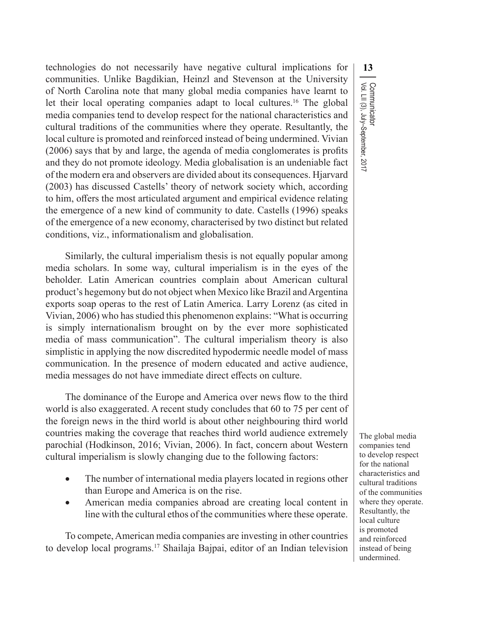technologies do not necessarily have negative cultural implications for **13** communities. Unlike Bagdikian, Heinzl and Stevenson at the University of North Carolina note that many global media companies have learnt to let their local operating companies adapt to local cultures.16 The global media companies tend to develop respect for the national characteristics and cultural traditions of the communities where they operate. Resultantly, the local culture is promoted and reinforced instead of being undermined. Vivian (2006) says that by and large, the agenda of media conglomerates is profits and they do not promote ideology. Media globalisation is an undeniable fact of the modern era and observers are divided about its consequences. Hjarvard (2003) has discussed Castells' theory of network society which, according to him, offers the most articulated argument and empirical evidence relating the emergence of a new kind of community to date. Castells (1996) speaks of the emergence of a new economy, characterised by two distinct but related conditions, viz., informationalism and globalisation.

Similarly, the cultural imperialism thesis is not equally popular among media scholars. In some way, cultural imperialism is in the eyes of the beholder. Latin American countries complain about American cultural product's hegemony but do not object when Mexico like Brazil and Argentina exports soap operas to the rest of Latin America. Larry Lorenz (as cited in Vivian, 2006) who hasstudied this phenomenon explains: "What is occurring is simply internationalism brought on by the ever more sophisticated media of mass communication". The cultural imperialism theory is also simplistic in applying the now discredited hypodermic needle model of mass communication. In the presence of modern educated and active audience, media messages do not have immediate direct effects on culture.

The dominance of the Europe and America over news flow to the third world is also exaggerated. A recent study concludes that 60 to 75 per cent of the foreign news in the third world is about other neighbouring third world countries making the coverage that reaches third world audience extremely parochial (Hodkinson, 2016; Vivian, 2006). In fact, concern about Western cultural imperialism is slowly changing due to the following factors:

- The number of international media players located in regions other than Europe and America is on the rise.
- • American media companies abroad are creating local content in line with the cultural ethos of the communities where these operate.

To compete,American media companies are investing in other countries to develop local programs.<sup>17</sup> Shailaja Bajpai, editor of an Indian television

Communicator<br>Vol. LII (3), July–September, 2017 Vol. LII (3), July–September, 2017 Communicator

The global media companies tend to develop respect for the national characteristics and cultural traditions of the communities where they operate. Resultantly, the local culture is promoted and reinforced instead of being undermined.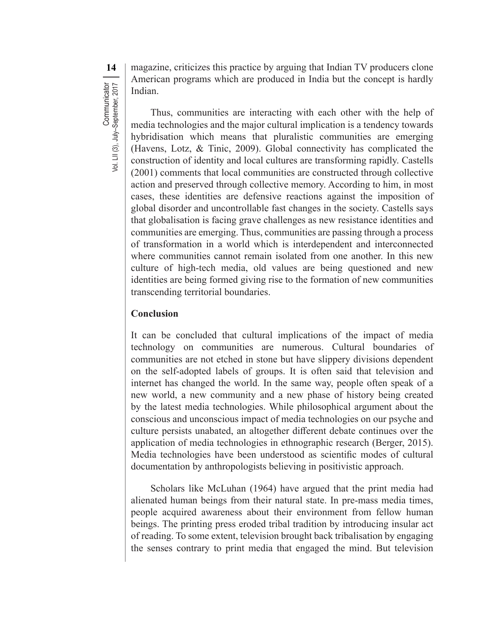**14** magazine, criticizes this practice by arguing that Indian TV producers clone American programs which are produced in India but the concept is hardly Indian.

Thus, communities are interacting with each other with the help of media technologies and the major cultural implication is a tendency towards hybridisation which means that pluralistic communities are emerging (Havens, Lotz, & Tinic, 2009). Global connectivity has complicated the construction of identity and local cultures are transforming rapidly. Castells (2001) comments that local communities are constructed through collective action and preserved through collective memory. According to him, in most cases, these identities are defensive reactions against the imposition of global disorder and uncontrollable fast changes in the society. Castells says that globalisation is facing grave challenges as new resistance identities and communities are emerging. Thus, communities are passing through a process of transformation in a world which is interdependent and interconnected where communities cannot remain isolated from one another. In this new culture of high-tech media, old values are being questioned and new identities are being formed giving rise to the formation of new communities transcending territorial boundaries.

#### **Conclusion**

It can be concluded that cultural implications of the impact of media technology on communities are numerous. Cultural boundaries of communities are not etched in stone but have slippery divisions dependent on the self-adopted labels of groups. It is often said that television and internet has changed the world. In the same way, people often speak of a new world, a new community and a new phase of history being created by the latest media technologies. While philosophical argument about the conscious and unconscious impact of media technologies on our psyche and culture persists unabated, an altogether different debate continues over the application of media technologies in ethnographic research (Berger, 2015). Media technologies have been understood as scientific modes of cultural documentation by anthropologists believing in positivistic approach.

Scholars like McLuhan (1964) have argued that the print media had alienated human beings from their natural state. In pre-mass media times, people acquired awareness about their environment from fellow human beings. The printing press eroded tribal tradition by introducing insular act of reading. To some extent, television brought back tribalisation by engaging the senses contrary to print media that engaged the mind. But television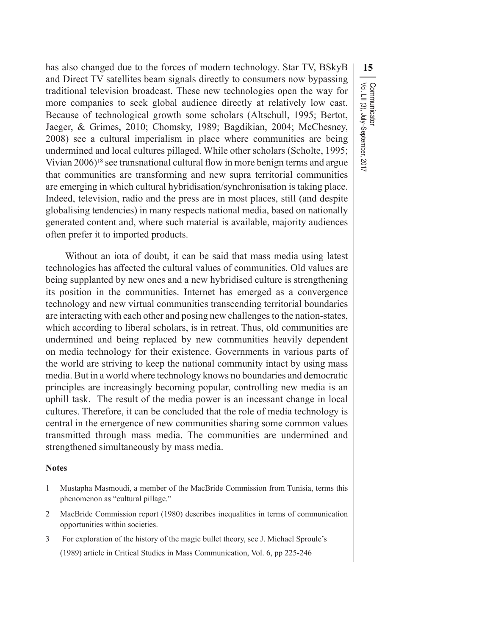has also changed due to the forces of modern technology. Star TV, BSkyB **15** and Direct TV satellites beam signals directly to consumers now bypassing traditional television broadcast. These new technologies open the way for more companies to seek global audience directly at relatively low cast. Because of technological growth some scholars (Altschull, 1995; Bertot, Jaeger, & Grimes, 2010; Chomsky, 1989; Bagdikian, 2004; McChesney, 2008) see a cultural imperialism in place where communities are being undermined and local cultures pillaged. While other scholars (Scholte, 1995; Vivian 2006)18 see transnational cultural flow in more benign terms and argue that communities are transforming and new supra territorial communities are emerging in which cultural hybridisation/synchronisation is taking place. Indeed, television, radio and the press are in most places, still (and despite globalising tendencies) in many respects national media, based on nationally generated content and, where such material is available, majority audiences often prefer it to imported products.

Without an iota of doubt, it can be said that mass media using latest technologies has affected the cultural values of communities. Old values are being supplanted by new ones and a new hybridised culture is strengthening its position in the communities. Internet has emerged as a convergence technology and new virtual communities transcending territorial boundaries are interacting with each other and posing new challengesto the nation-states, which according to liberal scholars, is in retreat. Thus, old communities are undermined and being replaced by new communities heavily dependent on media technology for their existence. Governments in various parts of the world are striving to keep the national community intact by using mass media. But in a world where technology knows no boundaries and democratic principles are increasingly becoming popular, controlling new media is an uphill task. The result of the media power is an incessant change in local cultures. Therefore, it can be concluded that the role of media technology is central in the emergence of new communities sharing some common values transmitted through mass media. The communities are undermined and strengthened simultaneously by mass media.

#### **Notes**

- 1 Mustapha Masmoudi, a member of the MacBride Commission from Tunisia, terms this phenomenon as "cultural pillage."
- 2 MacBride Commission report (1980) describes inequalities in terms of communication opportunities within societies.
- 3 For exploration of the history of the magic bullet theory, see J. Michael Sproule's (1989) article in Critical Studies in Mass Communication, Vol. 6, pp 225-246

Communicator<br>Vol. LII (3), July–September, 2017 Vol. LII (3), July–September, 2017 Communicator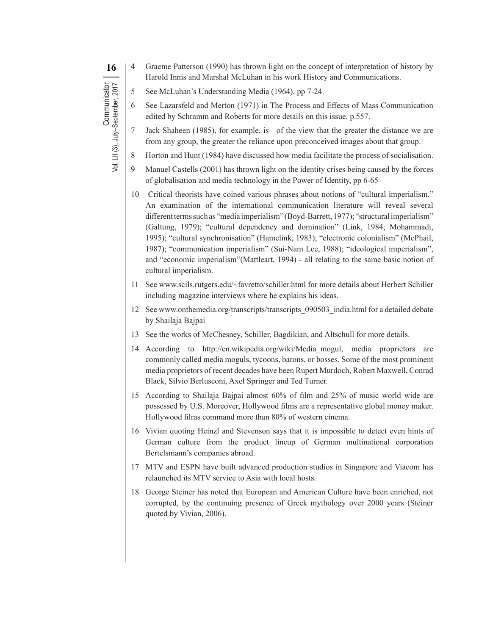- **16** | 4 Graeme Patterson (1990) has thrown light on the concept of interpretation of history by Harold Innis and Marshal McLuhan in his work History and Communications.
	- 5 See McLuhan's Understanding Media (1964), pp 7-24.

**Communicator** 

Vol. LII (3), July–September, 2017

Communicator<br>Vol. LII (3), July-September, 2017

- 6 See Lazarsfeld and Merton (1971) in The Process and Effects of Mass Communication edited by Schramm and Roberts for more details on this issue, p.557.
- 7 Jack Shaheen (1985), for example, is of the view that the greater the distance we are from any group, the greater the reliance upon preconceived images about that group.
- 8 Horton and Hunt (1984) have discussed how media facilitate the process of socialisation.
- 9 Manuel Castells (2001) has thrown light on the identity crises being caused by the forces of globalisation and media technology in the Power of Identity, pp 6-65
- Critical theorists have coined various phrases about notions of "cultural imperialism." An examination of the international communication literature will reveal several different terms such as "media imperialism" (Boyd-Barrett, 1977); "structural imperialism" (Galtung, 1979); "cultural dependency and domination" (Link, 1984; Mohammadi, 1995); "cultural synchronisation" (Hamelink, 1983); "electronic colonialism" (McPhail, 1987); "communication imperialism" (Sui-Nam Lee, 1988); "ideological imperialism", and "economic imperialism"(Mattleart, 1994) - all relating to the same basic notion of cultural imperialism.
- 11 See www.scils.rutgers.edu/~favretto/schiller.html for more details about Herbert Schiller including magazine interviews where he explains his ideas.
- 12 See www.onthemedia.org/transcripts/transcripts\_090503\_india.html for a detailed debate by Shailaja Bajpai
- 13 See the works of McChesney, Schiller, Bagdikian, and Altschull for more details.
- 14 According to http://en.wikipedia.org/wiki/Media\_mogul, media proprietors are commonly called media moguls, tycoons, barons, or bosses. Some of the most prominent media proprietors of recent decades have been Rupert Murdoch, Robert Maxwell, Conrad Black, Silvio Berlusconi, Axel Springer and Ted Turner.
- 15 According to Shailaja Bajpai almost 60% of film and 25% of music world wide are possessed by U.S. Moreover, Hollywood films are a representative global money maker. Hollywood films command more than 80% of western cinema.
- 16 Vivian quoting Heinzl and Stevenson says that it is impossible to detect even hints of German culture from the product lineup of German multinational corporation Bertelsmann's companies abroad.
- 17 MTV and ESPN have built advanced production studios in Singapore and Viacom has relaunched its MTV service to Asia with local hosts.
- 18 George Steiner has noted that European and American Culture have been enriched, not corrupted, by the continuing presence of Greek mythology over 2000 years (Steiner quoted by Vivian, 2006).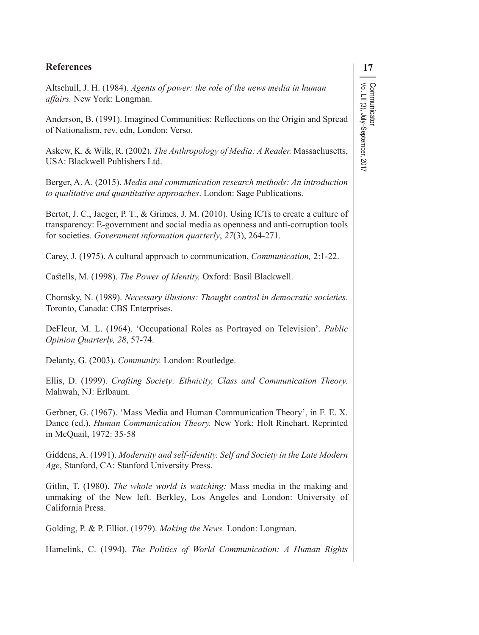# Communicator<br>Vol. LII (3), July–September, 2017 Vol. LII (3), July–September, 2017 Communicator

#### **References 17**

Altschull, J. H. (1984). *Agents of power: the role of the news media in human affairs.* New York: Longman.

Anderson, B. (1991). Imagined Communities: Reflections on the Origin and Spread of Nationalism, rev. edn, London: Verso.

Askew, K. & Wilk, R. (2002). *The Anthropology of Media: A Reader.* Massachusetts, USA: Blackwell Publishers Ltd.

Berger, A. A. (2015). *Media and communication research methods: An introduction to qualitative and quantitative approaches*. London: Sage Publications.

Bertot, J. C., Jaeger, P. T., & Grimes, J. M. (2010). Using ICTs to create a culture of transparency: E-government and social media as openness and anti-corruption tools for societies. *Government information quarterly*, *27*(3), 264-271.

Carey, J. (1975). A cultural approach to communication, *Communication,* 2:1-22.

Castells, M. (1998). *The Power of Identity,* Oxford: Basil Blackwell.

Chomsky, N. (1989). *Necessary illusions: Thought control in democratic societies.*  Toronto, Canada: CBS Enterprises.

DeFleur, M. L. (1964). 'Occupational Roles as Portrayed on Television'. *Public Opinion Quarterly, 28*, 57-74.

Delanty, G. (2003). *Community.* London: Routledge.

Ellis, D. (1999). *Crafting Society: Ethnicity, Class and Communication Theory.* Mahwah, NJ: Erlbaum.

Gerbner, G. (1967). 'Mass Media and Human Communication Theory', in F. E. X. Dance (ed.), *Human Communication Theory.* New York: Holt Rinehart. Reprinted in McQuail, 1972: 35-58

Giddens, A. (1991). *Modernity and self-identity. Self and Society in the Late Modern Age*, Stanford, CA: Stanford University Press.

Gitlin, T. (1980). *The whole world is watching:* Mass media in the making and unmaking of the New left. Berkley, Los Angeles and London: University of California Press.

Golding, P. & P. Elliot. (1979). *Making the News.* London: Longman.

Hamelink, C. (1994). *The Politics of World Communication: A Human Rights*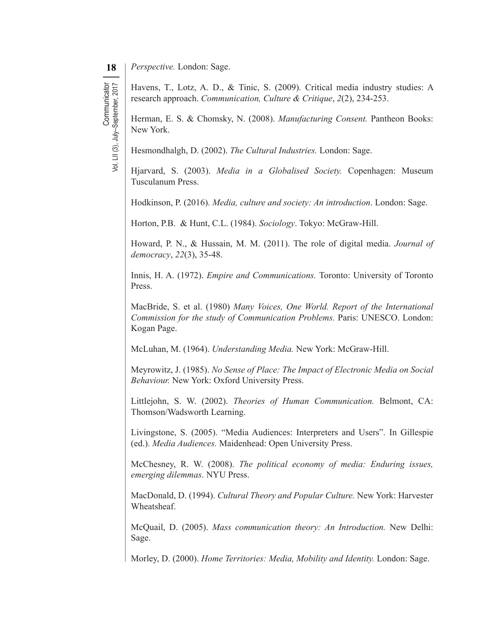**Communicator** 

Vol. LII (3), July–September, 2017

Communicator<br>Vol. LII (3), July-September, 2017

Havens, T., Lotz, A. D., & Tinic, S. (2009). Critical media industry studies: A research approach. *Communication, Culture & Critique*, *2*(2), 234-253.

Herman, E. S. & Chomsky, N. (2008). *Manufacturing Consent.* Pantheon Books: New York.

Hesmondhalgh, D. (2002). *The Cultural Industries.* London: Sage.

Hjarvard, S. (2003). *Media in a Globalised Society.* Copenhagen: Museum Tusculanum Press.

Hodkinson, P. (2016). *Media, culture and society: An introduction*. London: Sage.

Horton, P.B. & Hunt, C.L. (1984). *Sociology*. Tokyo: McGraw-Hill.

Howard, P. N., & Hussain, M. M. (2011). The role of digital media. *Journal of democracy*, *22*(3), 35-48.

Innis, H. A. (1972). *Empire and Communications.* Toronto: University of Toronto Press.

MacBride, S. et al. (1980) *Many Voices, One World. Report of the International Commission for the study of Communication Problems.* Paris: UNESCO. London: Kogan Page.

McLuhan, M. (1964). *Understanding Media.* New York: McGraw-Hill.

Meyrowitz, J. (1985). *No Sense of Place: The Impact of Electronic Media on Social Behaviour.* New York: Oxford University Press.

Littlejohn, S. W. (2002). *Theories of Human Communication.* Belmont, CA: Thomson/Wadsworth Learning.

Livingstone, S. (2005). "Media Audiences: Interpreters and Users". In Gillespie (ed.). *Media Audiences.* Maidenhead: Open University Press.

McChesney, R. W. (2008). *The political economy of media: Enduring issues, emerging dilemmas*. NYU Press.

MacDonald, D. (1994). *Cultural Theory and Popular Culture.* New York: Harvester Wheatsheaf.

McQuail, D. (2005). *Mass communication theory: An Introduction.* New Delhi: Sage.

Morley, D. (2000). *Home Territories: Media, Mobility and Identity.* London: Sage.

**<sup>18</sup>** *Perspective.* London: Sage.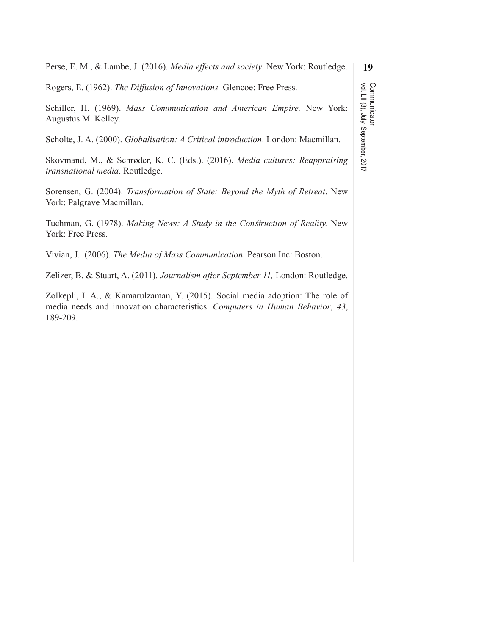Perse, E. M., & Lambe, J. (2016). *Media effects and society*. New York: Routledge.

Rogers, E. (1962). *The Diffusion of Innovations.* Glencoe: Free Press.

Schiller, H. (1969). *Mass Communication and American Empire.* New York: Augustus M. Kelley.

Scholte, J. A. (2000). *Globalisation: A Critical introduction*. London: Macmillan.

Skovmand, M., & Schrøder, K. C. (Eds.). (2016). *Media cultures: Reappraising transnational media*. Routledge.

Sorensen, G. (2004). *Transformation of State: Beyond the Myth of Retreat*. New York: Palgrave Macmillan.

Tuchman, G. (1978). *Making News: A Study in the Construction of Reality.* New York: Free Press.

Vivian, J. (2006). *The Media of Mass Communication*. Pearson Inc: Boston.

Zelizer, B. & Stuart, A. (2011). *Journalism after September 11,* London: Routledge.

Zolkepli, I. A., & Kamarulzaman, Y. (2015). Social media adoption: The role of media needs and innovation characteristics. *Computers in Human Behavior*, *43*, 189-209.

# **19** Communicator<br>Vol. LII (3), July–September, 2017 Vol. LII (3), July–September, 2017 Communicator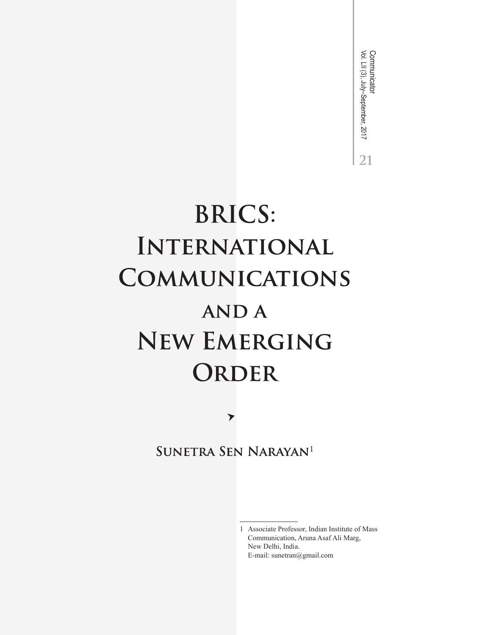Communicator<br>Vol. LII (3), July–September, 2017 Vol. LII (3), July–September, 2017 Communicator $21$ 

## **BRICS:** INTERNATIONAL **COMMUNICATIONS ANDA NEW EMERGING** ORDER

 $\blacktriangleright$ 

SUNETRA SEN NARAYAN<sup>1</sup>

1 Associate Professor, Indian Institute of Mass Communication, Aruna Asaf Ali Marg, New Delhi, India. E-mail: sunetran@gmail.com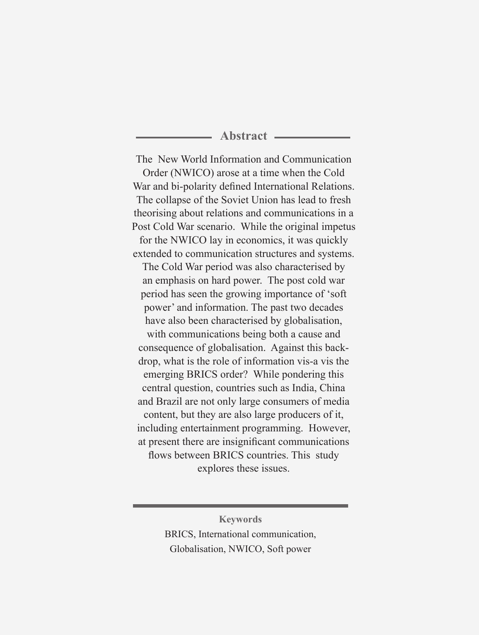#### **Abstract**

The New World Information and Communication Order (NWICO) arose at a time when the Cold War and bi-polarity defined International Relations. The collapse of the Soviet Union has lead to fresh theorising about relations and communications in a Post Cold War scenario. While the original impetus for the NWICO lay in economics, it was quickly extended to communication structures and systems. The Cold War period was also characterised by an emphasis on hard power. The post cold war period has seen the growing importance of 'soft power' and information. The past two decades have also been characterised by globalisation, with communications being both a cause and consequence of globalisation. Against this backdrop, what is the role of information vis-a vis the emerging BRICS order? While pondering this central question, countries such as India, China and Brazil are not only large consumers of media content, but they are also large producers of it, including entertainment programming. However, at present there are insignificant communications flows between BRICS countries. This study explores these issues.

> **Keywords** BRICS, International communication, Globalisation, NWICO, Soft power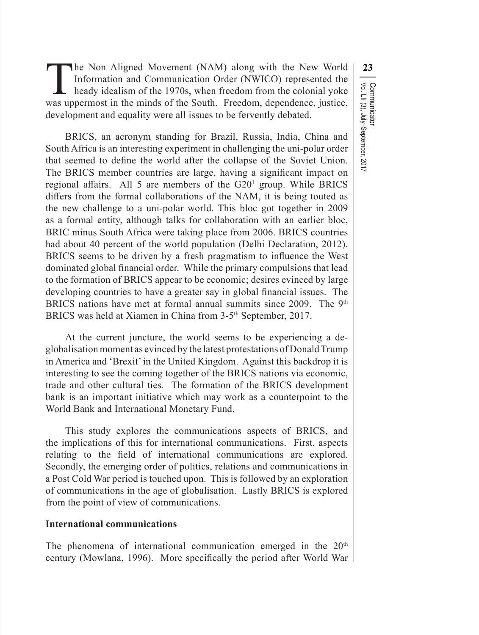**1.23** The Non Aligned Movement (NAM) along with the New World<br>
Information and Communication Order (NWICO) represented the<br>
heady idealism of the 1970s, when freedom from the colonial yoke<br>
ppermost in the minds of the S Information and Communication Order (NWICO) represented the heady idealism of the 1970s, when freedom from the colonial yoke was uppermost in the minds of the South. Freedom, dependence, justice, development and equality were all issues to be fervently debated.

Vol. LII (3), July–September, 2017

Communicator

BRICS, an acronym standing for Brazil, Russia, India, China and South Africa is an interesting experiment in challenging the uni-polar order that seemed to define the world after the collapse of the Soviet Union. The BRICS member countries are large, having a significant impact on regional affairs. All 5 are members of the G20<sup>1</sup> group. While BRICS differs from the formal collaborations of the NAM, it is being touted as the new challenge to a uni-polar world. This bloc got together in 2009 as a formal entity, although talks for collaboration with an earlier bloc, BRIC minus South Africa were taking place from 2006. BRICS countries had about 40 percent of the world population (Delhi Declaration, 2012). BRICS seems to be driven by a fresh pragmatism to influence the West dominated global financial order. While the primary compulsions that lead to the formation of BRICS appear to be economic; desires evinced by large developing countries to have a greater say in global financial issues. The BRICS nations have met at formal annual summits since 2009. The  $9<sup>th</sup>$ BRICS was held at Xiamen in China from 3-5<sup>th</sup> September, 2017.

At the current juncture, the world seems to be experiencing a deglobalisation moment as evinced by the latest protestations of Donald Trump in America and 'Brexit'in the United Kingdom. Against this backdrop it is interesting to see the coming together of the BRICS nations via economic, trade and other cultural ties. The formation of the BRICS development bank is an important initiative which may work as a counterpoint to the World Bank and International Monetary Fund.

This study explores the communications aspects of BRICS, and the implications of this for international communications. First, aspects relating to the field of international communications are explored. Secondly, the emerging order of politics, relations and communications in a Post Cold War period is touched upon. This is followed by an exploration of communications in the age of globalisation. Lastly BRICS is explored from the point of view of communications.

#### **International communications**

The phenomena of international communication emerged in the 20<sup>th</sup> century (Mowlana, 1996). More specifically the period after World War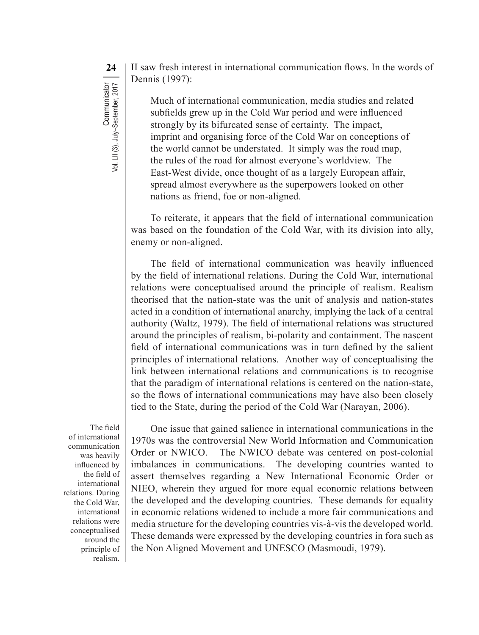**24** II saw fresh interest in international communication flows. In the words of Dennis (1997):

> Much of international communication, media studies and related subfields grew up in the Cold War period and were influenced strongly by its bifurcated sense of certainty. The impact, imprint and organising force of the Cold War on conceptions of the world cannot be understated. It simply was the road map, the rules of the road for almost everyone's worldview. The East-West divide, once thought of as a largely European affair, spread almost everywhere as the superpowers looked on other nations as friend, foe or non-aligned.

To reiterate, it appears that the field of international communication was based on the foundation of the Cold War, with its division into ally, enemy or non-aligned.

The field of international communication was heavily influenced by the field of international relations. During the Cold War, international relations were conceptualised around the principle of realism. Realism theorised that the nation-state was the unit of analysis and nation-states acted in a condition of international anarchy, implying the lack of a central authority (Waltz, 1979). The field of international relations was structured around the principles of realism, bi-polarity and containment. The nascent field of international communications was in turn defined by the salient principles of international relations. Another way of conceptualising the link between international relations and communications is to recognise that the paradigm of international relations is centered on the nation-state, so the flows of international communications may have also been closely tied to the State, during the period of the Cold War (Narayan, 2006).

The field of international communication was heavily influenced by the field of international relations. During the Cold War, international relations were conceptualised around the principle of realism.

One issue that gained salience in international communications in the 1970s was the controversial New World Information and Communication Order or NWICO. The NWICO debate was centered on post-colonial imbalances in communications. The developing countries wanted to assert themselves regarding a New International Economic Order or NIEO, wherein they argued for more equal economic relations between the developed and the developing countries. These demands for equality in economic relations widened to include a more fair communications and media structure for the developing countries vis-à-vis the developed world. These demands were expressed by the developing countries in fora such as the Non Aligned Movement and UNESCO (Masmoudi, 1979).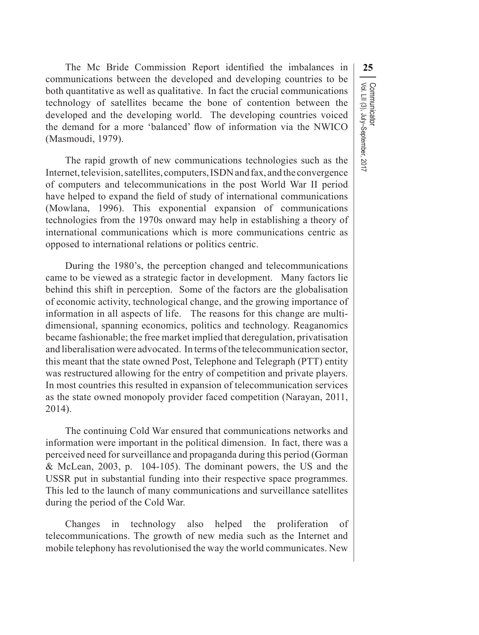Communicator<br>Vol. LII (3), July–September, 2017 Vol. LII (3), July–September, 2017 Communicator

The Mc Bride Commission Report identified the imbalances in **25** communications between the developed and developing countries to be both quantitative as well as qualitative. In fact the crucial communications technology of satellites became the bone of contention between the developed and the developing world. The developing countries voiced the demand for a more 'balanced' flow of information via the NWICO (Masmoudi, 1979).

The rapid growth of new communications technologies such as the Internet, television, satellites, computers, ISDN and fax, and the convergence of computers and telecommunications in the post World War II period have helped to expand the field of study of international communications (Mowlana, 1996). This exponential expansion of communications technologies from the 1970s onward may help in establishing a theory of international communications which is more communications centric as opposed to international relations or politics centric.

During the 1980's, the perception changed and telecommunications came to be viewed as a strategic factor in development. Many factors lie behind this shift in perception. Some of the factors are the globalisation of economic activity, technological change, and the growing importance of information in all aspects of life. The reasons for this change are multidimensional, spanning economics, politics and technology. Reaganomics became fashionable; the free market implied that deregulation, privatisation and liberalisation were advocated. In terms ofthe telecommunication sector, this meant that the state owned Post, Telephone and Telegraph (PTT) entity was restructured allowing for the entry of competition and private players. In most countries this resulted in expansion of telecommunication services as the state owned monopoly provider faced competition (Narayan, 2011, 2014).

The continuing Cold War ensured that communications networks and information were important in the political dimension. In fact, there was a perceived need forsurveillance and propaganda during this period (Gorman & McLean, 2003, p. 104-105). The dominant powers, the US and the USSR put in substantial funding into their respective space programmes. This led to the launch of many communications and surveillance satellites during the period of the Cold War.

Changes in technology also helped the proliferation of telecommunications. The growth of new media such as the Internet and mobile telephony has revolutionised the way the world communicates. New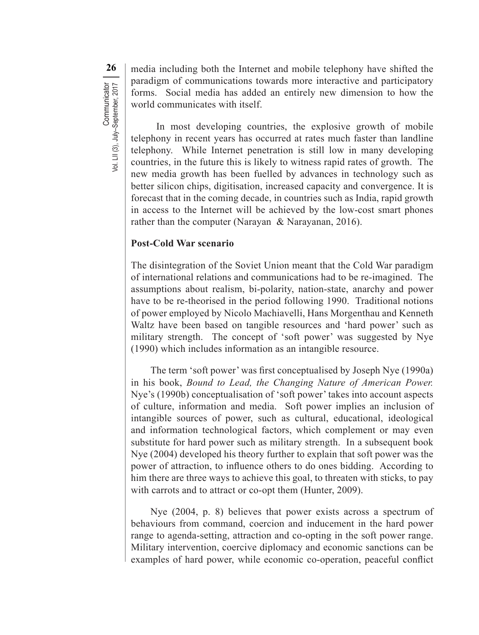**26** media including both the Internet and mobile telephony have shifted the paradigm of communications towards more interactive and participatory forms. Social media has added an entirely new dimension to how the world communicates with itself.

In most developing countries, the explosive growth of mobile telephony in recent years has occurred at rates much faster than landline telephony. While Internet penetration is still low in many developing countries, in the future this is likely to witness rapid rates of growth. The new media growth has been fuelled by advances in technology such as better silicon chips, digitisation, increased capacity and convergence. It is forecast that in the coming decade, in countries such as India, rapid growth in access to the Internet will be achieved by the low-cost smart phones rather than the computer (Narayan & Narayanan, 2016).

#### **Post-Cold War scenario**

The disintegration of the Soviet Union meant that the Cold War paradigm of international relations and communications had to be re-imagined. The assumptions about realism, bi-polarity, nation-state, anarchy and power have to be re-theorised in the period following 1990. Traditional notions of power employed by Nicolo Machiavelli, Hans Morgenthau and Kenneth Waltz have been based on tangible resources and 'hard power' such as military strength. The concept of 'soft power' was suggested by Nye (1990) which includes information as an intangible resource.

The term 'soft power' was first conceptualised by Joseph Nye (1990a) in his book, *Bound to Lead, the Changing Nature of American Power.*  Nye's (1990b) conceptualisation of 'soft power' takes into account aspects of culture, information and media. Soft power implies an inclusion of intangible sources of power, such as cultural, educational, ideological and information technological factors, which complement or may even substitute for hard power such as military strength. In a subsequent book Nye (2004) developed his theory further to explain that soft power was the power of attraction, to influence others to do ones bidding. According to him there are three ways to achieve this goal, to threaten with sticks, to pay with carrots and to attract or co-opt them (Hunter, 2009).

Nye (2004, p. 8) believes that power exists across a spectrum of behaviours from command, coercion and inducement in the hard power range to agenda-setting, attraction and co-opting in the soft power range. Military intervention, coercive diplomacy and economic sanctions can be examples of hard power, while economic co-operation, peaceful conflict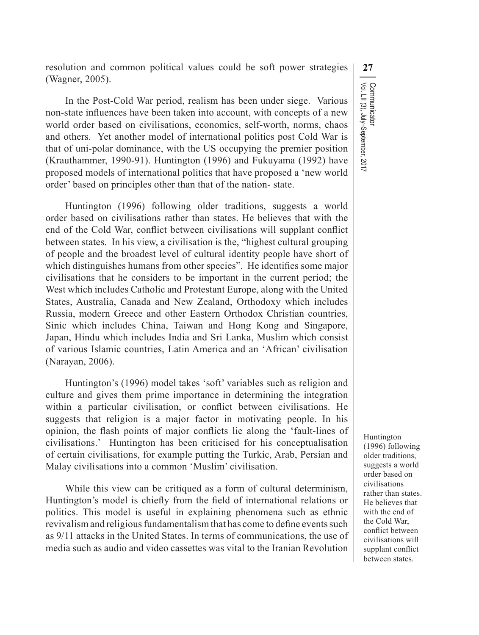resolution and common political values could be soft power strategies **27** (Wagner, 2005).

In the Post-Cold War period, realism has been under siege. Various non-state influences have been taken into account, with concepts of a new world order based on civilisations, economics, self-worth, norms, chaos and others. Yet another model of international politics post Cold War is that of uni-polar dominance, with the US occupying the premier position (Krauthammer, 1990-91). Huntington (1996) and Fukuyama (1992) have proposed models of international politics that have proposed a 'new world order' based on principles other than that of the nation- state.

Huntington (1996) following older traditions, suggests a world order based on civilisations rather than states. He believes that with the end of the Cold War, conflict between civilisations will supplant conflict between states. In his view, a civilisation is the, "highest cultural grouping of people and the broadest level of cultural identity people have short of which distinguishes humans from other species". He identifies some major civilisations that he considers to be important in the current period; the West which includes Catholic and Protestant Europe, along with the United States, Australia, Canada and New Zealand, Orthodoxy which includes Russia, modern Greece and other Eastern Orthodox Christian countries, Sinic which includes China, Taiwan and Hong Kong and Singapore, Japan, Hindu which includes India and Sri Lanka, Muslim which consist of various Islamic countries, Latin America and an 'African' civilisation (Narayan, 2006).

Huntington's (1996) model takes 'soft' variables such as religion and culture and gives them prime importance in determining the integration within a particular civilisation, or conflict between civilisations. He suggests that religion is a major factor in motivating people. In his opinion, the flash points of major conflicts lie along the 'fault-lines of civilisations.' Huntington has been criticised for his conceptualisation of certain civilisations, for example putting the Turkic, Arab, Persian and Malay civilisations into a common 'Muslim' civilisation.

While this view can be critiqued as a form of cultural determinism, Huntington's model is chiefly from the field of international relations or politics. This model is useful in explaining phenomena such as ethnic revivalism and religious fundamentalism that has come to define events such as 9/11 attacks in the United States. In terms of communications, the use of media such as audio and video cassettes was vital to the Iranian Revolution

Communicator<br>Vol. LII (3), July–September, 2017 Vol. LII (3), July–September, 2017 Communicator

> Huntington (1996) following older traditions, suggests a world order based on civilisations rather than states. He believes that with the end of the Cold War, conflict between civilisations will supplant conflict between states.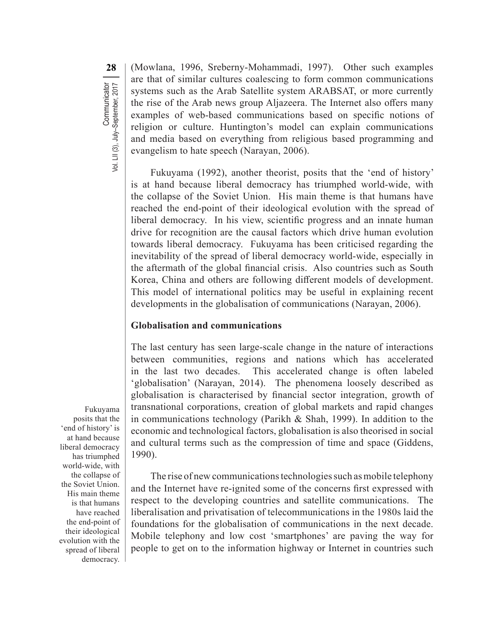**28** (Mowlana, 1996, Sreberny-Mohammadi, 1997). Other such examples are that of similar cultures coalescing to form common communications systems such as the Arab Satellite system ARABSAT, or more currently the rise of the Arab news group Aljazeera. The Internet also offers many examples of web-based communications based on specific notions of religion or culture. Huntington's model can explain communications and media based on everything from religious based programming and evangelism to hate speech (Narayan, 2006).

Fukuyama (1992), another theorist, posits that the 'end of history' is at hand because liberal democracy has triumphed world-wide, with the collapse of the Soviet Union. His main theme is that humans have reached the end-point of their ideological evolution with the spread of liberal democracy. In his view, scientific progress and an innate human drive for recognition are the causal factors which drive human evolution towards liberal democracy. Fukuyama has been criticised regarding the inevitability of the spread of liberal democracy world-wide, especially in the aftermath of the global financial crisis. Also countries such as South Korea, China and others are following different models of development. This model of international politics may be useful in explaining recent developments in the globalisation of communications (Narayan, 2006).

#### **Globalisation and communications**

The last century has seen large-scale change in the nature of interactions between communities, regions and nations which has accelerated in the last two decades. This accelerated change is often labeled 'globalisation' (Narayan, 2014). The phenomena loosely described as globalisation is characterised by financial sector integration, growth of transnational corporations, creation of global markets and rapid changes in communications technology (Parikh & Shah, 1999). In addition to the economic and technological factors, globalisation is also theorised in social and cultural terms such as the compression of time and space (Giddens, 1990).

The rise of new communications technologies such as mobile telephony and the Internet have re-ignited some of the concerns first expressed with respect to the developing countries and satellite communications. The liberalisation and privatisation of telecommunications in the 1980s laid the foundations for the globalisation of communications in the next decade. Mobile telephony and low cost 'smartphones' are paving the way for people to get on to the information highway or Internet in countries such

Fukuyama posits that the 'end of history' is at hand because liberal democracy has triumphed world-wide, with the collapse of the Soviet Union. His main theme is that humans have reached the end-point of their ideological evolution with the spread of liberal democracy.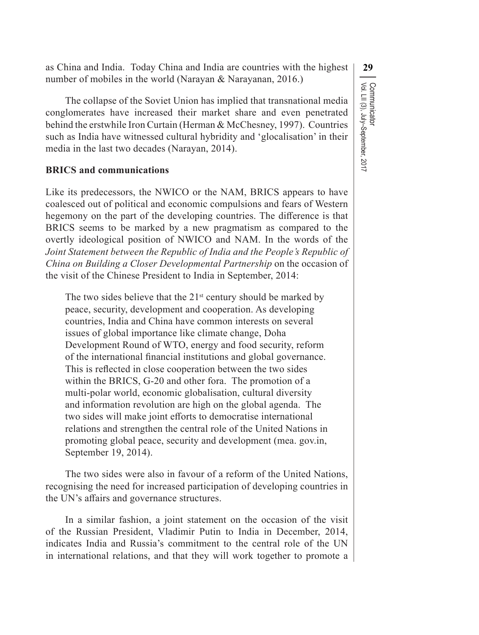as China and India. Today China and India are countries with the highest **29** number of mobiles in the world (Narayan & Narayanan, 2016.)

The collapse of the Soviet Union has implied that transnational media conglomerates have increased their market share and even penetrated behind the erstwhile Iron Curtain (Herman & McChesney, 1997). Countries such as India have witnessed cultural hybridity and 'glocalisation' in their media in the last two decades (Narayan, 2014).

#### **BRICS and communications**

Like its predecessors, the NWICO or the NAM, BRICS appears to have coalesced out of political and economic compulsions and fears of Western hegemony on the part of the developing countries. The difference is that BRICS seems to be marked by a new pragmatism as compared to the overtly ideological position of NWICO and NAM. In the words of the *Joint Statement between the Republic of India and the People's Republic of China on Building a Closer Developmental Partnership* on the occasion of the visit of the Chinese President to India in September, 2014:

The two sides believe that the  $21<sup>st</sup>$  century should be marked by peace, security, development and cooperation. As developing countries, India and China have common interests on several issues of global importance like climate change, Doha Development Round of WTO, energy and food security, reform of the international financial institutions and global governance. This is reflected in close cooperation between the two sides within the BRICS, G-20 and other fora. The promotion of a multi-polar world, economic globalisation, cultural diversity and information revolution are high on the global agenda. The two sides will make joint efforts to democratise international relations and strengthen the central role of the United Nations in promoting global peace, security and development (mea. gov.in, September 19, 2014).

The two sides were also in favour of a reform of the United Nations, recognising the need for increased participation of developing countries in the UN's affairs and governance structures.

In a similar fashion, a joint statement on the occasion of the visit of the Russian President, Vladimir Putin to India in December, 2014, indicates India and Russia's commitment to the central role of the UN in international relations, and that they will work together to promote a

Communicator<br>Vol. LII (3), July–September, 2017 Vol. LII (3), July–September, 2017 Communicator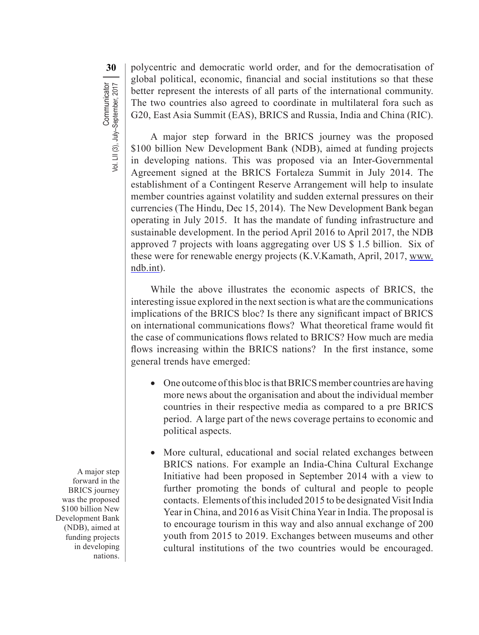**30** polycentric and democratic world order, and for the democratisation of global political, economic, financial and social institutions so that these better represent the interests of all parts of the international community. The two countries also agreed to coordinate in multilateral fora such as G20, East Asia Summit (EAS), BRICS and Russia, India and China (RIC).

A major step forward in the BRICS journey was the proposed \$100 billion New Development Bank (NDB), aimed at funding projects in developing nations. This was proposed via an Inter-Governmental Agreement signed at the BRICS Fortaleza Summit in July 2014. The establishment of a Contingent Reserve Arrangement will help to insulate member countries against volatility and sudden external pressures on their currencies (The Hindu, Dec 15, 2014). The New Development Bank began operating in July 2015. It has the mandate of funding infrastructure and sustainable development. In the period April 2016 to April 2017, the NDB approved 7 projects with loans aggregating over US \$ 1.5 billion. Six of these were for renewable energy projects (K.V.Kamath, April, 2017, www. ndb.int).

While the above illustrates the economic aspects of BRICS, the interesting issue explored in the next section is what are the communications implications of the BRICS bloc? Is there any significant impact of BRICS on international communications flows? What theoretical frame would fit the case of communications flows related to BRICS? How much are media flows increasing within the BRICS nations? In the first instance, some general trends have emerged:

- $\bullet$  One outcome of this bloc is that BRICS member countries are having more news about the organisation and about the individual member countries in their respective media as compared to a pre BRICS period. A large part of the news coverage pertains to economic and political aspects.
- More cultural, educational and social related exchanges between BRICS nations. For example an India-China Cultural Exchange Initiative had been proposed in September 2014 with a view to further promoting the bonds of cultural and people to people contacts. Elements of this included 2015 to be designated Visit India Year in China, and 2016 as Visit China Year in India. The proposal is to encourage tourism in this way and also annual exchange of 200 youth from 2015 to 2019. Exchanges between museums and other cultural institutions of the two countries would be encouraged.

A major step forward in the BRICS journey was the proposed \$100 billion New Development Bank (NDB), aimed at funding projects in developing nations.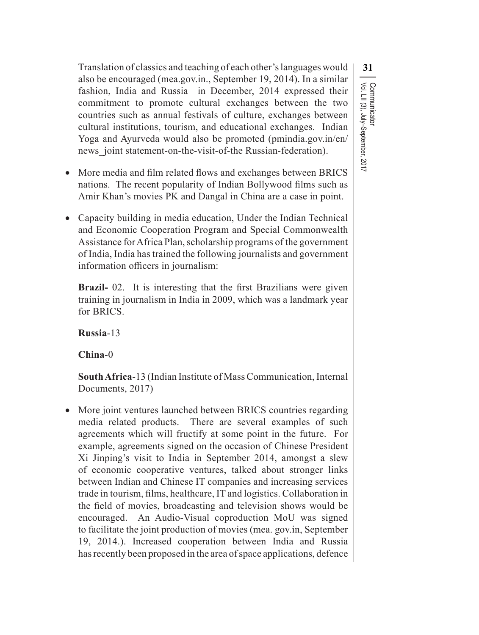Translation of classics and teaching of each other'slanguages would **31** also be encouraged (mea.gov.in., September 19, 2014). In a similar fashion, India and Russia in December, 2014 expressed their commitment to promote cultural exchanges between the two countries such as annual festivals of culture, exchanges between cultural institutions, tourism, and educational exchanges. Indian Yoga and Ayurveda would also be promoted (pmindia.gov.in/en/ news joint statement-on-the-visit-of-the Russian-federation).

Vol. LII (3), July–September, 2017

Communicator<br>Vol. LII (3), July–September, 2017

Communicator

- More media and film related flows and exchanges between BRICS nations. The recent popularity of Indian Bollywood films such as Amir Khan's movies PK and Dangal in China are a case in point.
- Capacity building in media education, Under the Indian Technical and Economic Cooperation Program and Special Commonwealth Assistance for Africa Plan, scholarship programs of the government of India, India has trained the following journalists and government information officers in journalism:

**Brazil-** 02. It is interesting that the first Brazilians were given training in journalism in India in 2009, which was a landmark year for BRICS.

**Russia**-13

**China**-0

**South Africa**-13 (Indian Institute of Mass Communication, Internal Documents, 2017)

• More joint ventures launched between BRICS countries regarding media related products. There are several examples of such agreements which will fructify at some point in the future. For example, agreements signed on the occasion of Chinese President Xi Jinping's visit to India in September 2014, amongst a slew of economic cooperative ventures, talked about stronger links between Indian and Chinese IT companies and increasing services trade in tourism, films, healthcare, IT and logistics. Collaboration in the field of movies, broadcasting and television shows would be encouraged. An Audio-Visual coproduction MoU was signed to facilitate the joint production of movies (mea. gov.in, September 19, 2014.). Increased cooperation between India and Russia has recently been proposed in the area of space applications, defence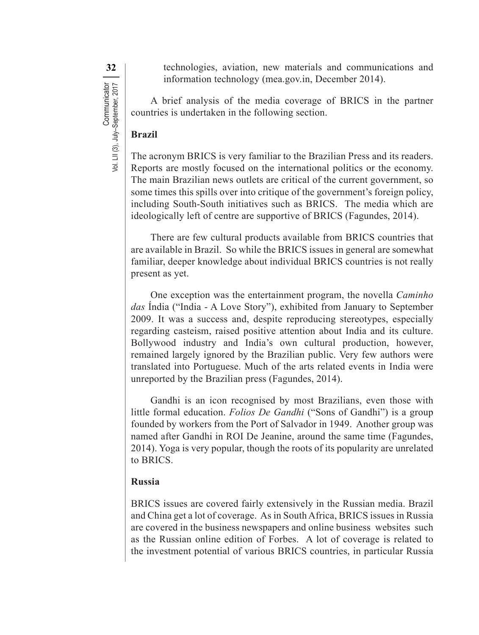**32** technologies, aviation, new materials and communications and information technology (mea.gov.in, December 2014).

A brief analysis of the media coverage of BRICS in the partner countries is undertaken in the following section.

#### **Brazil**

The acronym BRICS is very familiar to the Brazilian Press and its readers. Reports are mostly focused on the international politics or the economy. The main Brazilian news outlets are critical of the current government, so some times this spills over into critique of the government's foreign policy, including South-South initiatives such as BRICS. The media which are ideologically left of centre are supportive of BRICS (Fagundes, 2014).

There are few cultural products available from BRICS countries that are available in Brazil. So while the BRICS issues in general are somewhat familiar, deeper knowledge about individual BRICS countries is not really present as yet.

One exception was the entertainment program, the novella *Caminho das* Índia ("India - A Love Story"), exhibited from January to September 2009. It was a success and, despite reproducing stereotypes, especially regarding casteism, raised positive attention about India and its culture. Bollywood industry and India's own cultural production, however, remained largely ignored by the Brazilian public. Very few authors were translated into Portuguese. Much of the arts related events in India were unreported by the Brazilian press (Fagundes, 2014).

Gandhi is an icon recognised by most Brazilians, even those with little formal education. *Folios De Gandhi* ("Sons of Gandhi") is a group founded by workers from the Port of Salvador in 1949. Another group was named after Gandhi in ROI De Jeanine, around the same time (Fagundes, 2014). Yoga is very popular, though the roots of its popularity are unrelated to BRICS.

#### **Russia**

BRICS issues are covered fairly extensively in the Russian media. Brazil and China get a lot of coverage. As in South Africa, BRICS issues in Russia are covered in the business newspapers and online business websites such as the Russian online edition of Forbes. A lot of coverage is related to the investment potential of various BRICS countries, in particular Russia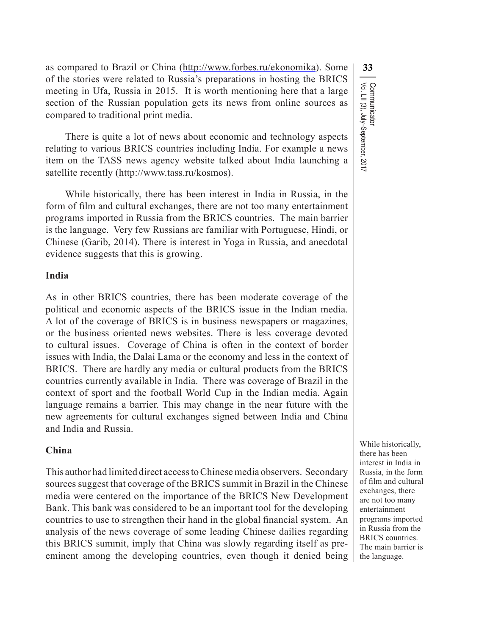as compared to Brazil or China (http://www.forbes.ru/ekonomika). Some **33** of the stories were related to Russia's preparations in hosting the BRICS meeting in Ufa, Russia in 2015. It is worth mentioning here that a large section of the Russian population gets its news from online sources as compared to traditional print media.

There is quite a lot of news about economic and technology aspects relating to various BRICS countries including India. For example a news item on the TASS news agency website talked about India launching a satellite recently (http://www.tass.ru/kosmos).

While historically, there has been interest in India in Russia, in the form of film and cultural exchanges, there are not too many entertainment programs imported in Russia from the BRICS countries. The main barrier is the language. Very few Russians are familiar with Portuguese, Hindi, or Chinese (Garib, 2014). There is interest in Yoga in Russia, and anecdotal evidence suggests that this is growing.

#### **India**

As in other BRICS countries, there has been moderate coverage of the political and economic aspects of the BRICS issue in the Indian media. A lot of the coverage of BRICS is in business newspapers or magazines, or the business oriented news websites. There is less coverage devoted to cultural issues. Coverage of China is often in the context of border issues with India, the Dalai Lama or the economy and less in the context of BRICS. There are hardly any media or cultural products from the BRICS countries currently available in India. There was coverage of Brazil in the context of sport and the football World Cup in the Indian media. Again language remains a barrier. This may change in the near future with the new agreements for cultural exchanges signed between India and China and India and Russia.

#### **China**

This author had limited direct accesstoChinesemedia observers. Secondary sources suggest that coverage of the BRICS summit in Brazil in the Chinese media were centered on the importance of the BRICS New Development Bank. This bank was considered to be an important tool for the developing countries to use to strengthen their hand in the global financial system. An analysis of the news coverage of some leading Chinese dailies regarding this BRICS summit, imply that China was slowly regarding itself as preeminent among the developing countries, even though it denied being

Communicator<br>Vol. LII (3), July–September, 2017 Vol. LII (3), July–September, 2017 Communicator

While historically, there has been interest in India in Russia, in the form of film and cultural exchanges, there are not too many entertainment programs imported in Russia from the BRICS countries. The main barrier is the language.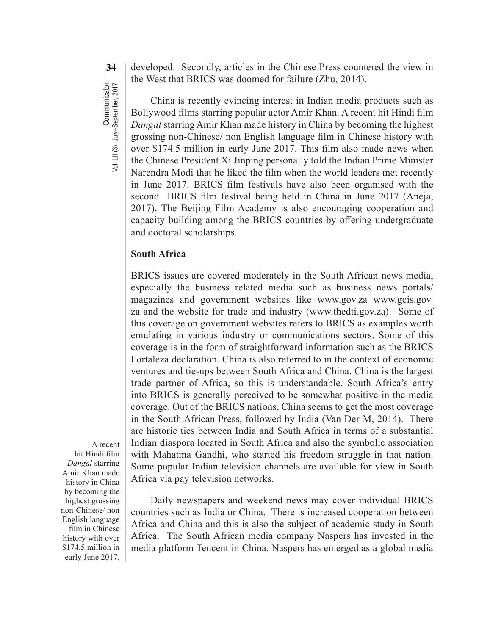**34** developed. Secondly, articles in the Chinese Press countered the view in the West that BRICS was doomed for failure (Zhu, 2014).

China is recently evincing interest in Indian media products such as Bollywood films starring popular actor Amir Khan. A recent hit Hindi film *Dangal* starring Amir Khan made history in China by becoming the highest grossing non-Chinese/ non English language film in Chinese history with over \$174.5 million in early June 2017. This film also made news when the Chinese President Xi Jinping personally told the Indian Prime Minister Narendra Modi that he liked the film when the world leaders met recently in June 2017. BRICS film festivals have also been organised with the second BRICS film festival being held in China in June 2017 (Aneja, 2017). The Beijing Film Academy is also encouraging cooperation and capacity building among the BRICS countries by offering undergraduate and doctoral scholarships.

#### **South Africa**

BRICS issues are covered moderately in the South African news media, especially the business related media such as business news portals/ magazines and government websites like www.gov.za www.gcis.gov. za and the website for trade and industry (www.thedti.gov.za). Some of this coverage on government websites refers to BRICS as examples worth emulating in various industry or communications sectors. Some of this coverage is in the form of straightforward information such as the BRICS Fortaleza declaration. China is also referred to in the context of economic ventures and tie-ups between South Africa and China. China is the largest trade partner of Africa, so this is understandable. South Africa's entry into BRICS is generally perceived to be somewhat positive in the media coverage. Out of the BRICS nations, China seems to get the most coverage in the South African Press, followed by India (Van Der M, 2014). There are historic ties between India and South Africa in terms of a substantial Indian diaspora located in South Africa and also the symbolic association with Mahatma Gandhi, who started his freedom struggle in that nation. Some popular Indian television channels are available for view in South Africa via pay television networks.

Daily newspapers and weekend news may cover individual BRICS countries such as India or China. There is increased cooperation between Africa and China and this is also the subject of academic study in South Africa. The South African media company Naspers has invested in the media platform Tencent in China. Naspers has emerged as a global media

A recent hit Hindi film *Dangal* starring Amir Khan made history in China by becoming the highest grossing non-Chinese/ non English language film in Chinese history with over \$174.5 million in early June 2017.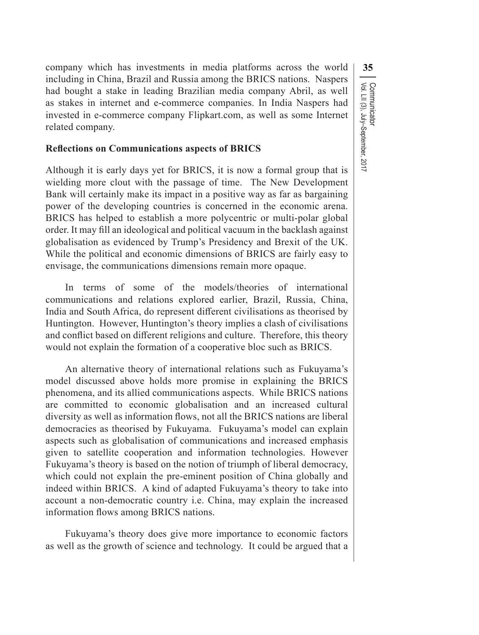company which has investments in media platforms across the world **35** including in China, Brazil and Russia among the BRICS nations. Naspers had bought a stake in leading Brazilian media company Abril, as well as stakes in internet and e-commerce companies. In India Naspers had invested in e-commerce company Flipkart.com, as well as some Internet related company.

Vol. LII (3), July–September, 2017

Communicator<br>Vol. LII (3), July–September, 2017

Communicator

#### **Reflections on Communications aspects of BRICS**

Although it is early days yet for BRICS, it is now a formal group that is wielding more clout with the passage of time. The New Development Bank will certainly make its impact in a positive way as far as bargaining power of the developing countries is concerned in the economic arena. BRICS has helped to establish a more polycentric or multi-polar global order. It may fill an ideological and political vacuum in the backlash against globalisation as evidenced by Trump's Presidency and Brexit of the UK. While the political and economic dimensions of BRICS are fairly easy to envisage, the communications dimensions remain more opaque.

In terms of some of the models/theories of international communications and relations explored earlier, Brazil, Russia, China, India and South Africa, do represent different civilisations as theorised by Huntington. However, Huntington's theory implies a clash of civilisations and conflict based on different religions and culture. Therefore, this theory would not explain the formation of a cooperative bloc such as BRICS.

An alternative theory of international relations such as Fukuyama's model discussed above holds more promise in explaining the BRICS phenomena, and its allied communications aspects. While BRICS nations are committed to economic globalisation and an increased cultural diversity as well as information flows, not all the BRICS nations are liberal democracies as theorised by Fukuyama. Fukuyama's model can explain aspects such as globalisation of communications and increased emphasis given to satellite cooperation and information technologies. However Fukuyama's theory is based on the notion of triumph of liberal democracy, which could not explain the pre-eminent position of China globally and indeed within BRICS. A kind of adapted Fukuyama's theory to take into account a non-democratic country i.e. China, may explain the increased information flows among BRICS nations.

Fukuyama's theory does give more importance to economic factors as well as the growth of science and technology. It could be argued that a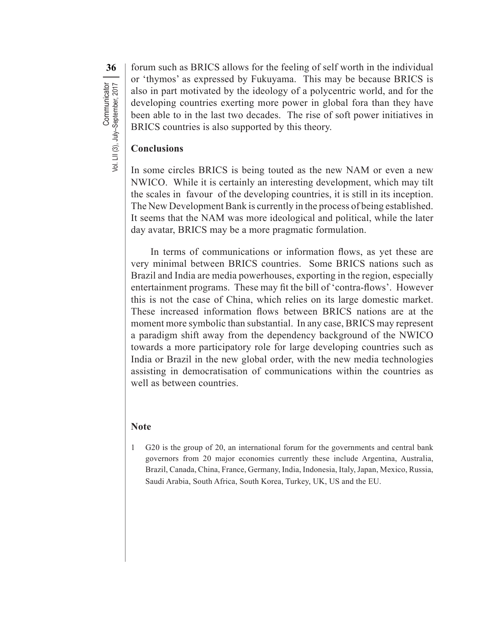**36** forum such as BRICS allows for the feeling of self worth in the individual or 'thymos' as expressed by Fukuyama. This may be because BRICS is also in part motivated by the ideology of a polycentric world, and for the developing countries exerting more power in global fora than they have been able to in the last two decades. The rise of soft power initiatives in BRICS countries is also supported by this theory.

#### **Conclusions**

In some circles BRICS is being touted as the new NAM or even a new NWICO. While it is certainly an interesting development, which may tilt the scales in favour of the developing countries, it is still in its inception. The New Development Bank is currently in the process of being established. It seems that the NAM was more ideological and political, while the later day avatar, BRICS may be a more pragmatic formulation.

In terms of communications or information flows, as yet these are very minimal between BRICS countries. Some BRICS nations such as Brazil and India are media powerhouses, exporting in the region, especially entertainment programs. These may fit the bill of 'contra-flows'. However this is not the case of China, which relies on its large domestic market. These increased information flows between BRICS nations are at the moment more symbolic than substantial. In any case, BRICS may represent a paradigm shift away from the dependency background of the NWICO towards a more participatory role for large developing countries such as India or Brazil in the new global order, with the new media technologies assisting in democratisation of communications within the countries as well as between countries.

#### **Note**

1 G20 is the group of 20, an international forum for the governments and central bank governors from 20 major economies currently these include Argentina, Australia, Brazil, Canada, China, France, Germany, India, Indonesia, Italy, Japan, Mexico, Russia, Saudi Arabia, South Africa, South Korea, Turkey, UK, US and the EU.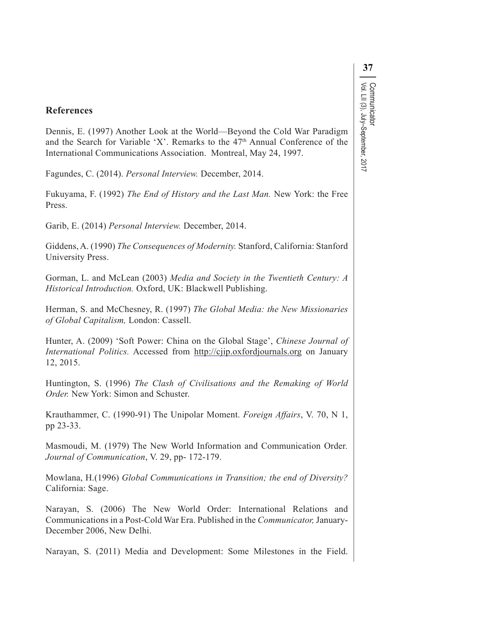# **37** Communicator<br>Vol. LII (3), July–September, 2017 Vol. LII (3), July–September, 2017 Communicator

#### **References**

Dennis, E. (1997) Another Look at the World—Beyond the Cold War Paradigm and the Search for Variable 'X'. Remarks to the 47<sup>th</sup> Annual Conference of the International Communications Association. Montreal, May 24, 1997.

Fagundes, C. (2014). *Personal Interview.* December, 2014.

Fukuyama, F. (1992) *The End of History and the Last Man.* New York: the Free Press.

Garib, E. (2014) *Personal Interview.* December, 2014.

Giddens, A. (1990) *The Consequences of Modernity.* Stanford, California: Stanford University Press.

Gorman, L. and McLean (2003) *Media and Society in the Twentieth Century: A Historical Introduction.* Oxford, UK: Blackwell Publishing.

Herman, S. and McChesney, R. (1997) *The Global Media: the New Missionaries of Global Capitalism,* London: Cassell.

Hunter, A. (2009) 'Soft Power: China on the Global Stage', *Chinese Journal of International Politics.* Accessed from http://cjip.oxfordjournals.org on January 12, 2015.

Huntington, S. (1996) *The Clash of Civilisations and the Remaking of World Order.* New York: Simon and Schuster.

Krauthammer, C. (1990-91) The Unipolar Moment. *Foreign Affairs*, V. 70, N 1, pp 23-33.

Masmoudi, M. (1979) The New World Information and Communication Order*. Journal of Communication*, V. 29, pp- 172-179.

Mowlana, H.(1996) *Global Communications in Transition; the end of Diversity?* California: Sage.

Narayan, S. (2006) The New World Order: International Relations and Communications in a Post-Cold War Era. Published in the *Communicator,* January-December 2006, New Delhi.

Narayan, S. (2011) Media and Development: Some Milestones in the Field.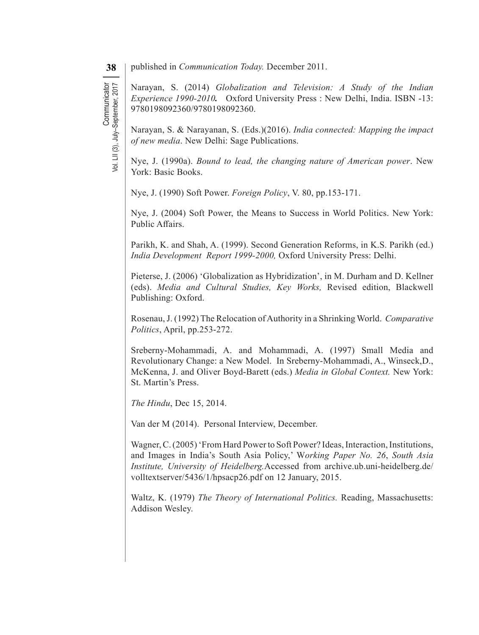Vol. LII (3), July–September, 2017

Communicator<br>Vol. LII (3), July-September, 2017

**Communicator** 

**38** published in *Communication Today*. December 2011.

Narayan, S. (2014) *Globalization and Television: A Study of the Indian Experience 1990-2010.* Oxford University Press : New Delhi, India. ISBN -13: 9780198092360/9780198092360.

Narayan, S. & Narayanan, S. (Eds.)(2016). *India connected: Mapping the impact of new media*. New Delhi: Sage Publications.

Nye, J. (1990a). *Bound to lead, the changing nature of American power*. New York: Basic Books.

Nye, J. (1990) Soft Power. *Foreign Policy*, V. 80, pp.153-171.

Nye, J. (2004) Soft Power, the Means to Success in World Politics. New York: Public Affairs.

Parikh, K. and Shah, A. (1999). Second Generation Reforms, in K.S. Parikh (ed.) *India Development Report 1999-2000,* Oxford University Press: Delhi.

Pieterse, J. (2006) 'Globalization as Hybridization', in M. Durham and D. Kellner (eds). *Media and Cultural Studies, Key Works,* Revised edition, Blackwell Publishing: Oxford.

Rosenau,J. (1992) The Relocation ofAuthority in a Shrinking World. *Comparative Politics*, April, pp.253-272.

Sreberny-Mohammadi, A. and Mohammadi, A. (1997) Small Media and Revolutionary Change: a New Model. In Sreberny-Mohammadi, A., Winseck,D., McKenna, J. and Oliver Boyd-Barett (eds.) *Media in Global Context.* New York: St. Martin's Press.

*The Hindu*, Dec 15, 2014.

Van der M (2014). Personal Interview, December.

Wagner, C. (2005) 'From Hard Power to Soft Power? Ideas, Interaction, Institutions, and Images in India's South Asia Policy,' W*orking Paper No. 26*, *South Asia Institute, University of Heidelberg.*Accessed from archive.ub.uni-heidelberg.de/ volltextserver/5436/1/hpsacp26.pdf on 12 January, 2015.

Waltz, K. (1979) *The Theory of International Politics.* Reading, Massachusetts: Addison Wesley.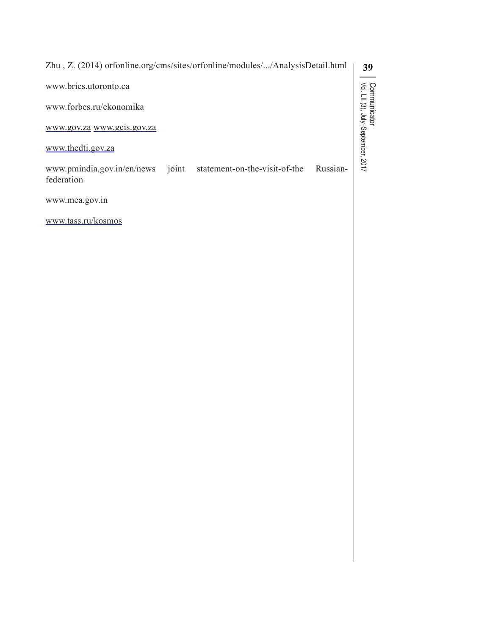| Zhu, Z. (2014) orfonline.org/cms/sites/orfonline/modules//AnalysisDetail.html            | 39                                                 |
|------------------------------------------------------------------------------------------|----------------------------------------------------|
| www.brics.utoronto.ca                                                                    |                                                    |
| www.forbes.ru/ekonomika                                                                  |                                                    |
| www.gov.za www.gcis.gov.za                                                               |                                                    |
| www.thedti.gov.za                                                                        | Communicator<br>Vol. LII (3), July–September, 2017 |
| www.pmindia.gov.in/en/news joint statement-on-the-visit-of-the<br>Russian-<br>federation |                                                    |
| www.mea.gov.in                                                                           |                                                    |
| www.tass.ru/kosmos                                                                       |                                                    |
|                                                                                          |                                                    |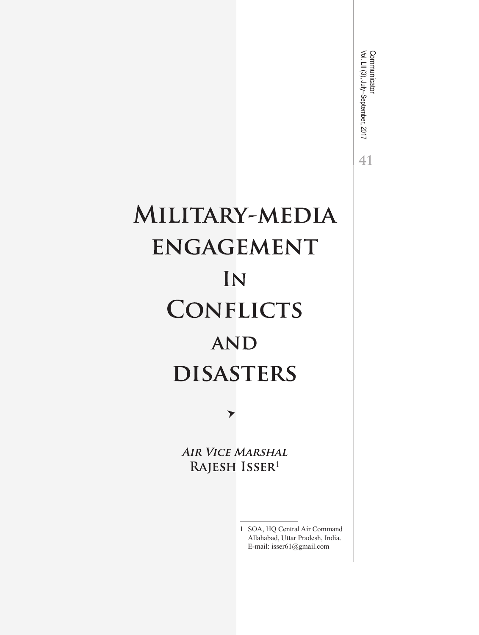Communicator<br>Vol. LII (3), July–September, 2017 Vol. LII (3), July–September, 2017 Communicator  $41$ 

# MILITARY-MEDIA **ENGAGEMENT** IN **CONFLICTS AND DISASTERS**

▼

**AIR VICE MARSHAL** RAJESH ISSER<sup>1</sup>

> 1 SOA, HQ Central Air Command Allahabad, Uttar Pradesh, India. E-mail: isser61@gmail.com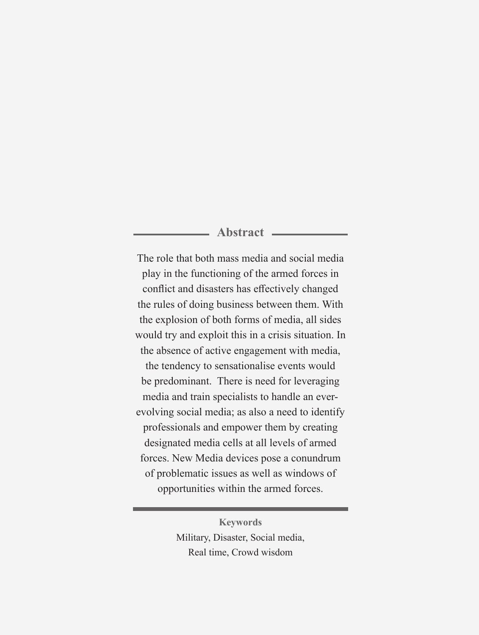# **Abstract**

The role that both mass media and social media play in the functioning of the armed forces in conflict and disasters has effectively changed the rules of doing business between them. With the explosion of both forms of media, all sides would try and exploit this in a crisis situation. In the absence of active engagement with media, the tendency to sensationalise events would be predominant. There is need for leveraging media and train specialists to handle an everevolving social media; as also a need to identify professionals and empower them by creating designated media cells at all levels of armed forces. New Media devices pose a conundrum of problematic issues as well as windows of opportunities within the armed forces.

> **Keywords** Military, Disaster, Social media, Real time, Crowd wisdom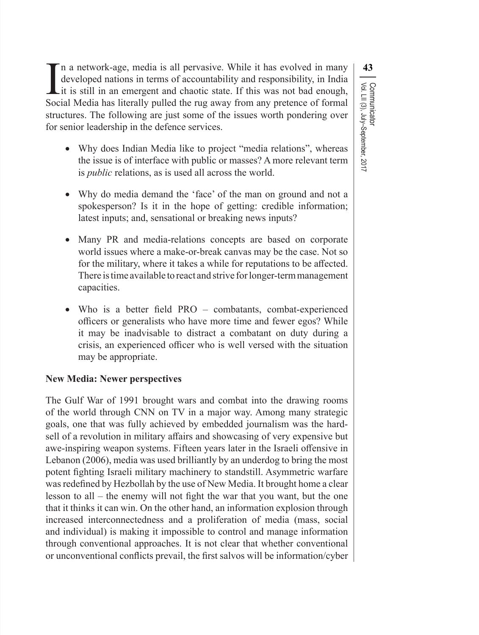Vol. LII (3), July–September, 2017

Communicator

In a network-age, media is all pervasive. While it has evolved in many developed nations in terms of accountability and responsibility, in India it is still in an emergent and chaotic state. If this was not bad enough, So n a network-age, media is all pervasive. While it has evolved in many developed nations in terms of accountability and responsibility, in India it is still in an emergent and chaotic state. If this was not bad enough, Social Media has literally pulled the rug away from any pretence of formal structures. The following are just some of the issues worth pondering over for senior leadership in the defence services.

- Why does Indian Media like to project "media relations", whereas the issue is of interface with public or masses? A more relevant term is *public* relations, as is used all across the world.
- Why do media demand the 'face' of the man on ground and not a spokesperson? Is it in the hope of getting: credible information; latest inputs; and, sensational or breaking news inputs?
- Many PR and media-relations concepts are based on corporate world issues where a make-or-break canvas may be the case. Not so for the military, where it takes a while for reputations to be affected. There is time available to react and strive for longer-term management capacities.
- Who is a better field PRO combatants, combat-experienced officers or generalists who have more time and fewer egos? While it may be inadvisable to distract a combatant on duty during a crisis, an experienced officer who is well versed with the situation may be appropriate.

# **New Media: Newer perspectives**

The Gulf War of 1991 brought wars and combat into the drawing rooms of the world through CNN on TV in a major way. Among many strategic goals, one that was fully achieved by embedded journalism was the hardsell of a revolution in military affairs and showcasing of very expensive but awe-inspiring weapon systems. Fifteen years later in the Israeli offensive in Lebanon (2006), media was used brilliantly by an underdog to bring the most potent fighting Israeli military machinery to standstill. Asymmetric warfare was redefined by Hezbollah by the use of New Media. It brought home a clear lesson to all – the enemy will not fight the war that you want, but the one that it thinks it can win. On the other hand, an information explosion through increased interconnectedness and a proliferation of media (mass, social and individual) is making it impossible to control and manage information through conventional approaches. It is not clear that whether conventional or unconventional conflicts prevail, the first salvos will be information/cyber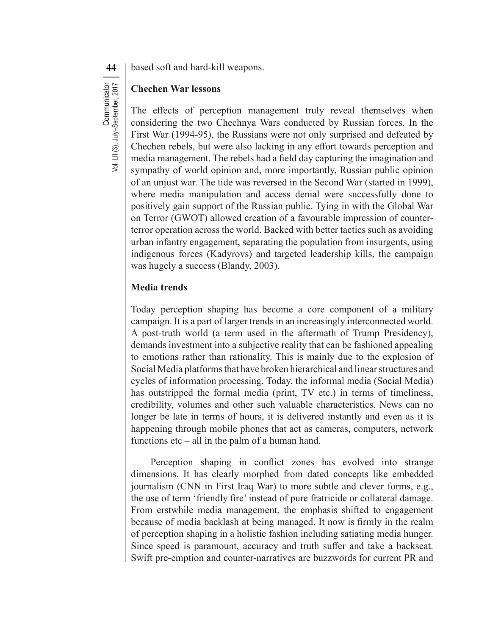**44** | based soft and hard-kill weapons.

### **Chechen War lessons**

The effects of perception management truly reveal themselves when considering the two Chechnya Wars conducted by Russian forces. In the First War (1994-95), the Russians were not only surprised and defeated by Chechen rebels, but were also lacking in any effort towards perception and media management. The rebels had a field day capturing the imagination and sympathy of world opinion and, more importantly, Russian public opinion of an unjust war. The tide was reversed in the Second War (started in 1999), where media manipulation and access denial were successfully done to positively gain support of the Russian public. Tying in with the Global War on Terror (GWOT) allowed creation of a favourable impression of counterterror operation across the world. Backed with better tactics such as avoiding urban infantry engagement, separating the population from insurgents, using indigenous forces (Kadyrovs) and targeted leadership kills, the campaign was hugely a success (Blandy, 2003).

## **Media trends**

Today perception shaping has become a core component of a military campaign. It is a part of larger trends in an increasingly interconnected world. A post-truth world (a term used in the aftermath of Trump Presidency), demands investment into a subjective reality that can be fashioned appealing to emotions rather than rationality. This is mainly due to the explosion of Social Media platforms that have broken hierarchical and linear structures and cycles of information processing. Today, the informal media (Social Media) has outstripped the formal media (print, TV etc.) in terms of timeliness, credibility, volumes and other such valuable characteristics. News can no longer be late in terms of hours, it is delivered instantly and even as it is happening through mobile phones that act as cameras, computers, network functions etc – all in the palm of a human hand.

Perception shaping in conflict zones has evolved into strange dimensions. It has clearly morphed from dated concepts like embedded journalism (CNN in First Iraq War) to more subtle and clever forms, e.g., the use of term 'friendly fire' instead of pure fratricide or collateral damage. From erstwhile media management, the emphasis shifted to engagement because of media backlash at being managed. It now is firmly in the realm of perception shaping in a holistic fashion including satiating media hunger. Since speed is paramount, accuracy and truth suffer and take a backseat. Swift pre-emption and counter-narratives are buzzwords for current PR and

Communicator<br>Vol. LII (3), July-September, 2017 **Communicator** 

Vol. LII (3), July–September, 2017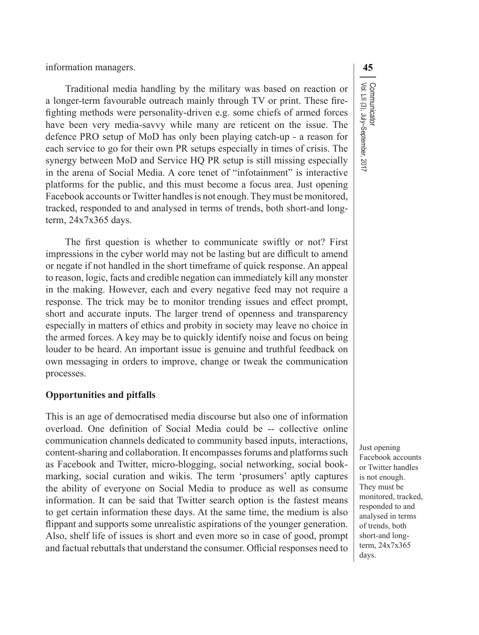information managers. **45**

Traditional media handling by the military was based on reaction or a longer-term favourable outreach mainly through TV or print. These firefighting methods were personality-driven e.g. some chiefs of armed forces have been very media-savvy while many are reticent on the issue. The defence PRO setup of MoD has only been playing catch-up - a reason for each service to go for their own PR setups especially in times of crisis. The synergy between MoD and Service HQ PR setup is still missing especially in the arena of Social Media. A core tenet of "infotainment" is interactive platforms for the public, and this must become a focus area. Just opening Facebook accounts or Twitter handles is not enough. They must be monitored, tracked, responded to and analysed in terms of trends, both short-and longterm, 24x7x365 days.

The first question is whether to communicate swiftly or not? First impressions in the cyber world may not be lasting but are difficult to amend or negate if not handled in the short timeframe of quick response. An appeal to reason, logic, facts and credible negation can immediately kill any monster in the making. However, each and every negative feed may not require a response. The trick may be to monitor trending issues and effect prompt, short and accurate inputs. The larger trend of openness and transparency especially in matters of ethics and probity in society may leave no choice in the armed forces. A key may be to quickly identify noise and focus on being louder to be heard. An important issue is genuine and truthful feedback on own messaging in orders to improve, change or tweak the communication processes.

#### **Opportunities and pitfalls**

This is an age of democratised media discourse but also one of information overload. One definition of Social Media could be -- collective online communication channels dedicated to community based inputs, interactions, content-sharing and collaboration. It encompasses forums and platforms such as Facebook and Twitter, micro-blogging, social networking, social bookmarking, social curation and wikis. The term 'prosumers' aptly captures the ability of everyone on Social Media to produce as well as consume information. It can be said that Twitter search option is the fastest means to get certain information these days. At the same time, the medium is also flippant and supports some unrealistic aspirations of the younger generation. Also, shelf life of issues is short and even more so in case of good, prompt and factual rebuttals that understand the consumer. Official responses need to

Just opening Facebook accounts or Twitter handles is not enough. They must be monitored, tracked, responded to and analysed in terms of trends, both short-and longterm, 24x7x365 days.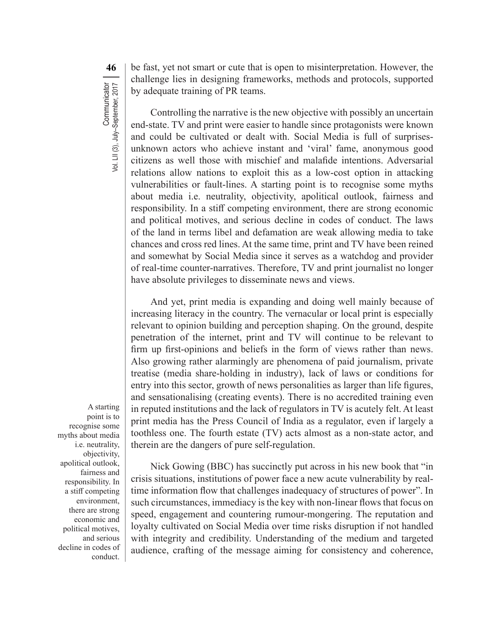**46** be fast, yet not smart or cute that is open to misinterpretation. However, the challenge lies in designing frameworks, methods and protocols, supported by adequate training of PR teams.

Controlling the narrative is the new objective with possibly an uncertain end-state. TV and print were easier to handle since protagonists were known and could be cultivated or dealt with. Social Media is full of surprisesunknown actors who achieve instant and 'viral' fame, anonymous good citizens as well those with mischief and malafide intentions. Adversarial relations allow nations to exploit this as a low-cost option in attacking vulnerabilities or fault-lines. A starting point is to recognise some myths about media i.e. neutrality, objectivity, apolitical outlook, fairness and responsibility. In a stiff competing environment, there are strong economic and political motives, and serious decline in codes of conduct. The laws of the land in terms libel and defamation are weak allowing media to take chances and cross red lines. At the same time, print and TV have been reined and somewhat by Social Media since it serves as a watchdog and provider of real-time counter-narratives. Therefore, TV and print journalist no longer have absolute privileges to disseminate news and views.

And yet, print media is expanding and doing well mainly because of increasing literacy in the country. The vernacular or local print is especially relevant to opinion building and perception shaping. On the ground, despite penetration of the internet, print and TV will continue to be relevant to firm up first-opinions and beliefs in the form of views rather than news. Also growing rather alarmingly are phenomena of paid journalism, private treatise (media share-holding in industry), lack of laws or conditions for entry into this sector, growth of news personalities as larger than life figures, and sensationalising (creating events). There is no accredited training even in reputed institutions and the lack of regulators in TV is acutely felt. At least print media has the Press Council of India as a regulator, even if largely a toothless one. The fourth estate (TV) acts almost as a non-state actor, and therein are the dangers of pure self-regulation.

A starting point is to recognise some myths about media i.e. neutrality, objectivity, apolitical outlook, fairness and responsibility. In a stiff competing environment, there are strong economic and political motives, and serious decline in codes of conduct.

Nick Gowing (BBC) has succinctly put across in his new book that "in crisis situations, institutions of power face a new acute vulnerability by realtime information flow that challenges inadequacy of structures of power". In such circumstances, immediacy is the key with non-linear flows that focus on speed, engagement and countering rumour-mongering. The reputation and loyalty cultivated on Social Media over time risks disruption if not handled with integrity and credibility. Understanding of the medium and targeted audience, crafting of the message aiming for consistency and coherence,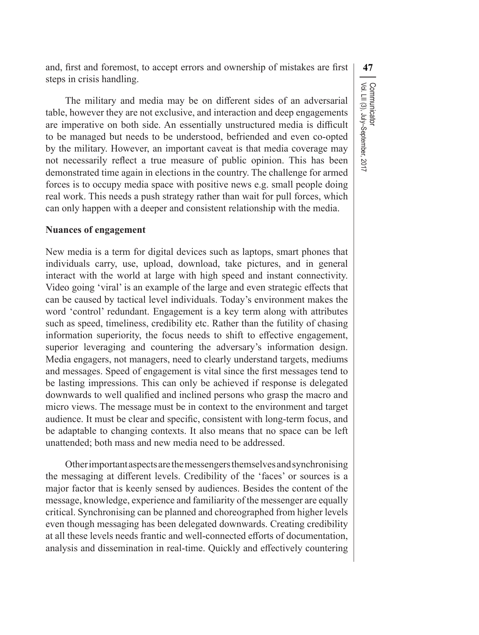and, first and foremost, to accept errors and ownership of mistakes are first **47** steps in crisis handling.

The military and media may be on different sides of an adversarial table, however they are not exclusive, and interaction and deep engagements are imperative on both side. An essentially unstructured media is difficult to be managed but needs to be understood, befriended and even co-opted by the military. However, an important caveat is that media coverage may not necessarily reflect a true measure of public opinion. This has been demonstrated time again in elections in the country. The challenge for armed forces is to occupy media space with positive news e.g. small people doing real work. This needs a push strategy rather than wait for pull forces, which can only happen with a deeper and consistent relationship with the media.

#### **Nuances of engagement**

New media is a term for digital devices such as laptops, smart phones that individuals carry, use, upload, download, take pictures, and in general interact with the world at large with high speed and instant connectivity. Video going 'viral' is an example of the large and even strategic effects that can be caused by tactical level individuals. Today's environment makes the word 'control' redundant. Engagement is a key term along with attributes such as speed, timeliness, credibility etc. Rather than the futility of chasing information superiority, the focus needs to shift to effective engagement, superior leveraging and countering the adversary's information design. Media engagers, not managers, need to clearly understand targets, mediums and messages. Speed of engagement is vital since the first messages tend to be lasting impressions. This can only be achieved if response is delegated downwards to well qualified and inclined persons who grasp the macro and micro views. The message must be in context to the environment and target audience. It must be clear and specific, consistent with long-term focus, and be adaptable to changing contexts. It also means that no space can be left unattended; both mass and new media need to be addressed.

Otherimportantaspectsarethemessengersthemselvesandsynchronising the messaging at different levels. Credibility of the 'faces' or sources is a major factor that is keenly sensed by audiences. Besides the content of the message, knowledge, experience and familiarity of the messenger are equally critical. Synchronising can be planned and choreographed from higher levels even though messaging has been delegated downwards. Creating credibility at all these levels needs frantic and well-connected efforts of documentation, analysis and dissemination in real-time. Quickly and effectively countering Communicator<br>Vol. LII (3), July–September, 2017 Vol. LII (3), July–September, 2017 Communicator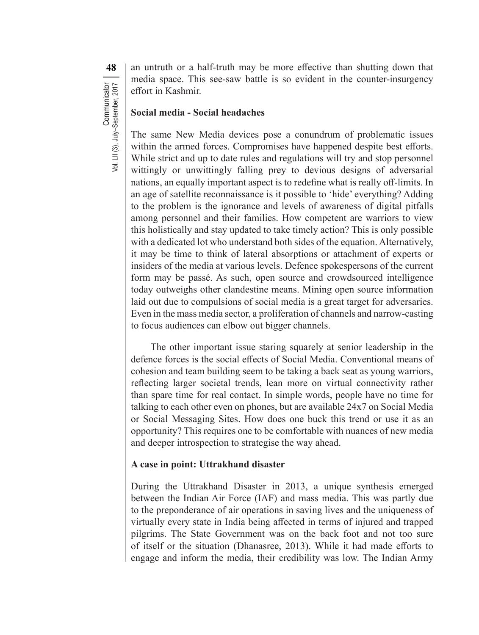**48** an untruth or a half-truth may be more effective than shutting down that media space. This see-saw battle is so evident in the counter-insurgency effort in Kashmir.

#### **Social media - Social headaches**

The same New Media devices pose a conundrum of problematic issues within the armed forces. Compromises have happened despite best efforts. While strict and up to date rules and regulations will try and stop personnel wittingly or unwittingly falling prey to devious designs of adversarial nations, an equally important aspect is to redefine what is really off-limits. In an age of satellite reconnaissance is it possible to 'hide' everything? Adding to the problem is the ignorance and levels of awareness of digital pitfalls among personnel and their families. How competent are warriors to view this holistically and stay updated to take timely action? This is only possible with a dedicated lot who understand both sides of the equation. Alternatively, it may be time to think of lateral absorptions or attachment of experts or insiders of the media at various levels. Defence spokespersons of the current form may be passé. As such, open source and crowdsourced intelligence today outweighs other clandestine means. Mining open source information laid out due to compulsions of social media is a great target for adversaries. Even in the mass media sector, a proliferation of channels and narrow-casting to focus audiences can elbow out bigger channels.

The other important issue staring squarely at senior leadership in the defence forces is the social effects of Social Media. Conventional means of cohesion and team building seem to be taking a back seat as young warriors, reflecting larger societal trends, lean more on virtual connectivity rather than spare time for real contact. In simple words, people have no time for talking to each other even on phones, but are available 24x7 on Social Media or Social Messaging Sites. How does one buck this trend or use it as an opportunity? This requires one to be comfortable with nuances of new media and deeper introspection to strategise the way ahead.

# **A case in point: Uttrakhand disaster**

During the Uttrakhand Disaster in 2013, a unique synthesis emerged between the Indian Air Force (IAF) and mass media. This was partly due to the preponderance of air operations in saving lives and the uniqueness of virtually every state in India being affected in terms of injured and trapped pilgrims. The State Government was on the back foot and not too sure of itself or the situation (Dhanasree, 2013). While it had made efforts to engage and inform the media, their credibility was low. The Indian Army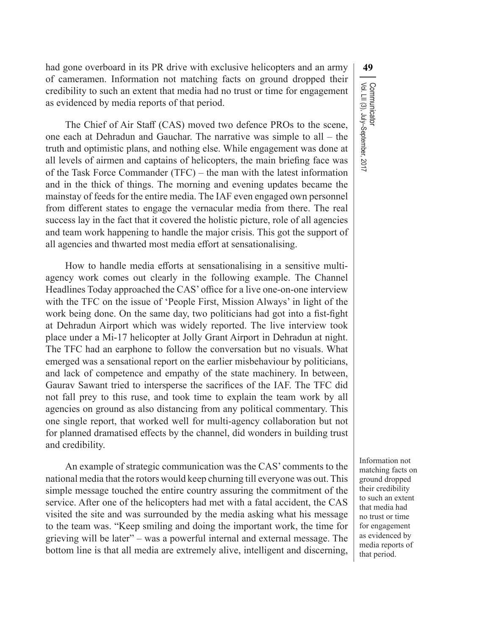had gone overboard in its PR drive with exclusive helicopters and an army **49** of cameramen. Information not matching facts on ground dropped their credibility to such an extent that media had no trust or time for engagement as evidenced by media reports of that period.

The Chief of Air Staff (CAS) moved two defence PROs to the scene, one each at Dehradun and Gauchar. The narrative was simple to all – the truth and optimistic plans, and nothing else. While engagement was done at all levels of airmen and captains of helicopters, the main briefing face was of the Task Force Commander (TFC) – the man with the latest information and in the thick of things. The morning and evening updates became the mainstay of feeds for the entire media. The IAF even engaged own personnel from different states to engage the vernacular media from there. The real success lay in the fact that it covered the holistic picture, role of all agencies and team work happening to handle the major crisis. This got the support of all agencies and thwarted most media effort at sensationalising.

How to handle media efforts at sensationalising in a sensitive multiagency work comes out clearly in the following example. The Channel Headlines Today approached the CAS' office for a live one-on-one interview with the TFC on the issue of 'People First, Mission Always' in light of the work being done. On the same day, two politicians had got into a fist-fight at Dehradun Airport which was widely reported. The live interview took place under a Mi-17 helicopter at Jolly Grant Airport in Dehradun at night. The TFC had an earphone to follow the conversation but no visuals. What emerged was a sensational report on the earlier misbehaviour by politicians, and lack of competence and empathy of the state machinery. In between, Gaurav Sawant tried to intersperse the sacrifices of the IAF. The TFC did not fall prey to this ruse, and took time to explain the team work by all agencies on ground as also distancing from any political commentary. This one single report, that worked well for multi-agency collaboration but not for planned dramatised effects by the channel, did wonders in building trust and credibility.

An example of strategic communication was the CAS' comments to the national media that the rotors would keep churning till everyone was out. This simple message touched the entire country assuring the commitment of the service. After one of the helicopters had met with a fatal accident, the CAS visited the site and was surrounded by the media asking what his message to the team was. "Keep smiling and doing the important work, the time for grieving will be later" – was a powerful internal and external message. The bottom line is that all media are extremely alive, intelligent and discerning, Communicator<br>Vol. LII (3), July–September, 2017 Vol. LII (3), July–September, 2017 Communicator

Information not matching facts on ground dropped their credibility to such an extent that media had no trust or time for engagement as evidenced by media reports of that period.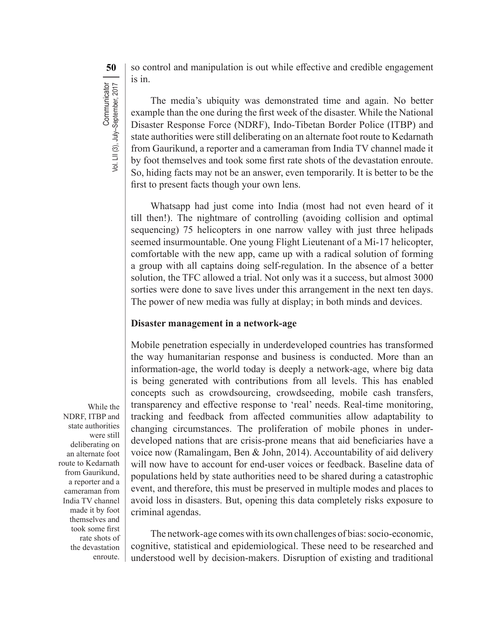**50** so control and manipulation is out while effective and credible engagement is in.

The media's ubiquity was demonstrated time and again. No better example than the one during the first week of the disaster. While the National Disaster Response Force (NDRF), Indo-Tibetan Border Police (ITBP) and state authorities were still deliberating on an alternate foot route to Kedarnath from Gaurikund, a reporter and a cameraman from India TV channel made it by foot themselves and took some first rate shots of the devastation enroute. So, hiding facts may not be an answer, even temporarily. It is better to be the first to present facts though your own lens.

Whatsapp had just come into India (most had not even heard of it till then!). The nightmare of controlling (avoiding collision and optimal sequencing) 75 helicopters in one narrow valley with just three helipads seemed insurmountable. One young Flight Lieutenant of a Mi-17 helicopter, comfortable with the new app, came up with a radical solution of forming a group with all captains doing self-regulation. In the absence of a better solution, the TFC allowed a trial. Not only was it a success, but almost 3000 sorties were done to save lives under this arrangement in the next ten days. The power of new media was fully at display; in both minds and devices.

#### **Disaster management in a network-age**

Mobile penetration especially in underdeveloped countries has transformed the way humanitarian response and business is conducted. More than an information-age, the world today is deeply a network-age, where big data is being generated with contributions from all levels. This has enabled concepts such as crowdsourcing, crowdseeding, mobile cash transfers, transparency and effective response to 'real' needs. Real-time monitoring, tracking and feedback from affected communities allow adaptability to changing circumstances. The proliferation of mobile phones in underdeveloped nations that are crisis-prone means that aid beneficiaries have a voice now (Ramalingam, Ben & John, 2014). Accountability of aid delivery will now have to account for end-user voices or feedback. Baseline data of populations held by state authorities need to be shared during a catastrophic event, and therefore, this must be preserved in multiple modes and places to avoid loss in disasters. But, opening this data completely risks exposure to criminal agendas.

The network-age comes with its own challenges of bias: socio-economic, cognitive, statistical and epidemiological. These need to be researched and understood well by decision-makers. Disruption of existing and traditional

While the NDRF, ITBP and state authorities were still deliberating on an alternate foot route to Kedarnath from Gaurikund, a reporter and a cameraman from India TV channel made it by foot themselves and took some first rate shots of the devastation enroute.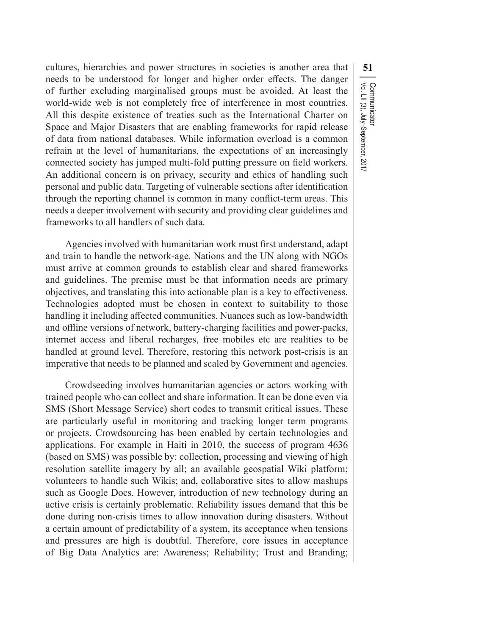cultures, hierarchies and power structures in societies is another area that **51** needs to be understood for longer and higher order effects. The danger of further excluding marginalised groups must be avoided. At least the world-wide web is not completely free of interference in most countries. All this despite existence of treaties such as the International Charter on Space and Major Disasters that are enabling frameworks for rapid release of data from national databases. While information overload is a common refrain at the level of humanitarians, the expectations of an increasingly connected society has jumped multi-fold putting pressure on field workers. An additional concern is on privacy, security and ethics of handling such personal and public data. Targeting of vulnerable sections after identification through the reporting channel is common in many conflict-term areas. This needs a deeper involvement with security and providing clear guidelines and frameworks to all handlers of such data.

Vol. LII (3), July–September, 2017

Communicator<br>Vol. LII (3), July–September, 2017

Communicator

Agencies involved with humanitarian work must first understand, adapt and train to handle the network-age. Nations and the UN along with NGOs must arrive at common grounds to establish clear and shared frameworks and guidelines. The premise must be that information needs are primary objectives, and translating this into actionable plan is a key to effectiveness. Technologies adopted must be chosen in context to suitability to those handling it including affected communities. Nuances such as low-bandwidth and offline versions of network, battery-charging facilities and power-packs, internet access and liberal recharges, free mobiles etc are realities to be handled at ground level. Therefore, restoring this network post-crisis is an imperative that needs to be planned and scaled by Government and agencies.

Crowdseeding involves humanitarian agencies or actors working with trained people who can collect and share information. It can be done even via SMS (Short Message Service) short codes to transmit critical issues. These are particularly useful in monitoring and tracking longer term programs or projects. Crowdsourcing has been enabled by certain technologies and applications. For example in Haiti in 2010, the success of program 4636 (based on SMS) was possible by: collection, processing and viewing of high resolution satellite imagery by all; an available geospatial Wiki platform; volunteers to handle such Wikis; and, collaborative sites to allow mashups such as Google Docs. However, introduction of new technology during an active crisis is certainly problematic. Reliability issues demand that this be done during non-crisis times to allow innovation during disasters. Without a certain amount of predictability of a system, its acceptance when tensions and pressures are high is doubtful. Therefore, core issues in acceptance of Big Data Analytics are: Awareness; Reliability; Trust and Branding;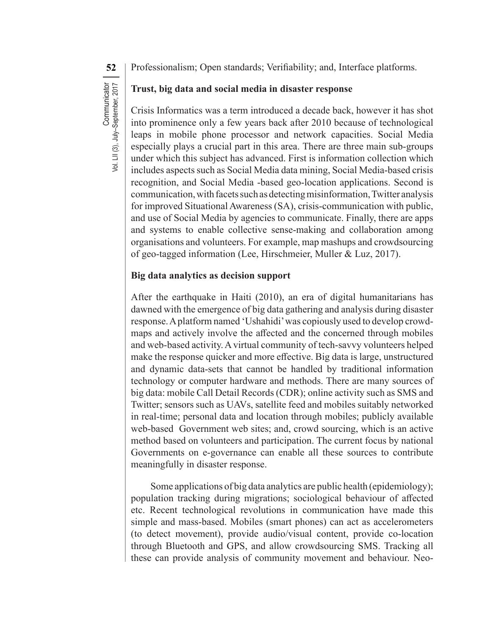**52** Professionalism; Open standards; Verifiability; and, Interface platforms.

# Communicator<br>Vol. LII (3), July-September, 2017 **Communicator** Vol. LII (3), July–September, 2017

**Trust, big data and social media in disaster response**

Crisis Informatics was a term introduced a decade back, however it has shot into prominence only a few years back after 2010 because of technological leaps in mobile phone processor and network capacities. Social Media especially plays a crucial part in this area. There are three main sub-groups under which this subject has advanced. First is information collection which includes aspects such as Social Media data mining, Social Media-based crisis recognition, and Social Media -based geo-location applications. Second is communication, with facets such as detecting misinformation, Twitter analysis for improved Situational Awareness (SA), crisis-communication with public, and use of Social Media by agencies to communicate. Finally, there are apps and systems to enable collective sense-making and collaboration among organisations and volunteers. For example, map mashups and crowdsourcing of geo-tagged information (Lee, Hirschmeier, Muller & Luz, 2017).

## **Big data analytics as decision support**

After the earthquake in Haiti (2010), an era of digital humanitarians has dawned with the emergence of big data gathering and analysis during disaster response.Aplatform named 'Ushahidi'was copiously used to develop crowdmaps and actively involve the affected and the concerned through mobiles and web-based activity.Avirtual community of tech-savvy volunteers helped make the response quicker and more effective. Big data is large, unstructured and dynamic data-sets that cannot be handled by traditional information technology or computer hardware and methods. There are many sources of big data: mobile Call Detail Records (CDR); online activity such as SMS and Twitter; sensors such as UAVs, satellite feed and mobiles suitably networked in real-time; personal data and location through mobiles; publicly available web-based Government web sites; and, crowd sourcing, which is an active method based on volunteers and participation. The current focus by national Governments on e-governance can enable all these sources to contribute meaningfully in disaster response.

Some applications of big data analytics are public health (epidemiology); population tracking during migrations; sociological behaviour of affected etc. Recent technological revolutions in communication have made this simple and mass-based. Mobiles (smart phones) can act as accelerometers (to detect movement), provide audio/visual content, provide co-location through Bluetooth and GPS, and allow crowdsourcing SMS. Tracking all these can provide analysis of community movement and behaviour. Neo-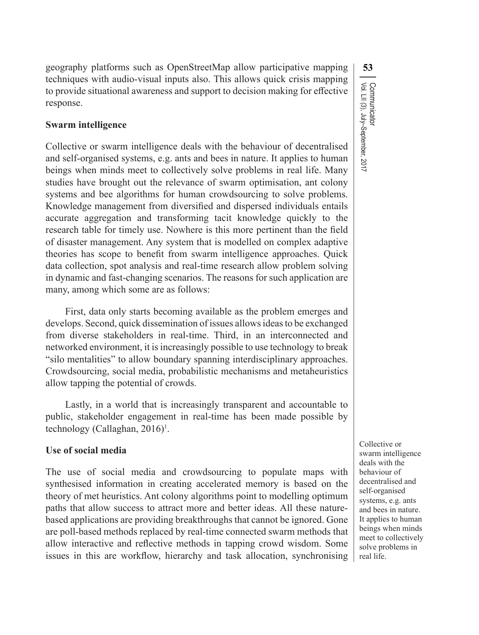geography platforms such as OpenStreetMap allow participative mapping **53** techniques with audio-visual inputs also. This allows quick crisis mapping to provide situational awareness and support to decision making for effective response.

#### **Swarm intelligence**

Collective or swarm intelligence deals with the behaviour of decentralised and self-organised systems, e.g. ants and bees in nature. It applies to human beings when minds meet to collectively solve problems in real life. Many studies have brought out the relevance of swarm optimisation, ant colony systems and bee algorithms for human crowdsourcing to solve problems. Knowledge management from diversified and dispersed individuals entails accurate aggregation and transforming tacit knowledge quickly to the research table for timely use. Nowhere is this more pertinent than the field of disaster management. Any system that is modelled on complex adaptive theories has scope to benefit from swarm intelligence approaches. Quick data collection, spot analysis and real-time research allow problem solving in dynamic and fast-changing scenarios. The reasons for such application are many, among which some are as follows:

First, data only starts becoming available as the problem emerges and develops. Second, quick dissemination of issues allowsideasto be exchanged from diverse stakeholders in real-time. Third, in an interconnected and networked environment, it is increasingly possible to use technology to break "silo mentalities" to allow boundary spanning interdisciplinary approaches. Crowdsourcing, social media, probabilistic mechanisms and metaheuristics allow tapping the potential of crowds.

Lastly, in a world that is increasingly transparent and accountable to public, stakeholder engagement in real-time has been made possible by technology (Callaghan, 2016)<sup>1</sup>.

#### **Use of social media**

The use of social media and crowdsourcing to populate maps with synthesised information in creating accelerated memory is based on the theory of met heuristics. Ant colony algorithms point to modelling optimum paths that allow success to attract more and better ideas. All these naturebased applications are providing breakthroughs that cannot be ignored. Gone are poll-based methods replaced by real-time connected swarm methods that allow interactive and reflective methods in tapping crowd wisdom. Some issues in this are workflow, hierarchy and task allocation, synchronising

Communicator<br>Vol. LII (3), July–September, 2017 Vol. LII (3), July–September, 2017 Communicator

Collective or swarm intelligence deals with the behaviour of decentralised and self-organised systems, e.g. ants and bees in nature. It applies to human beings when minds meet to collectively solve problems in real life.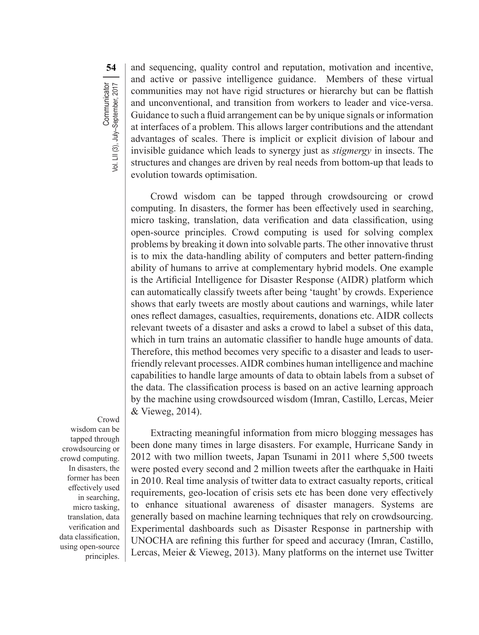**54** and sequencing, quality control and reputation, motivation and incentive, and active or passive intelligence guidance. Members of these virtual communities may not have rigid structures or hierarchy but can be flattish and unconventional, and transition from workers to leader and vice-versa. Guidance to such a fluid arrangement can be by unique signals or information at interfaces of a problem. This allows larger contributions and the attendant advantages of scales. There is implicit or explicit division of labour and invisible guidance which leads to synergy just as *stigmergy* in insects. The structures and changes are driven by real needs from bottom-up that leads to evolution towards optimisation.

Crowd wisdom can be tapped through crowdsourcing or crowd computing. In disasters, the former has been effectively used in searching, micro tasking, translation, data verification and data classification, using open-source principles. Crowd computing is used for solving complex problems by breaking it down into solvable parts. The other innovative thrust is to mix the data-handling ability of computers and better pattern-finding ability of humans to arrive at complementary hybrid models. One example is the Artificial Intelligence for Disaster Response (AIDR) platform which can automatically classify tweets after being 'taught' by crowds. Experience shows that early tweets are mostly about cautions and warnings, while later ones reflect damages, casualties, requirements, donations etc. AIDR collects relevant tweets of a disaster and asks a crowd to label a subset of this data, which in turn trains an automatic classifier to handle huge amounts of data. Therefore, this method becomes very specific to a disaster and leads to userfriendly relevant processes.AIDR combines human intelligence and machine capabilities to handle large amounts of data to obtain labels from a subset of the data. The classification process is based on an active learning approach by the machine using crowdsourced wisdom (Imran, Castillo, Lercas, Meier & Vieweg, 2014).

Crowd wisdom can be tapped through crowdsourcing or crowd computing. In disasters, the former has been effectively used in searching, micro tasking, translation, data verification and data classification, using open-source principles.

Extracting meaningful information from micro blogging messages has been done many times in large disasters. For example, Hurricane Sandy in 2012 with two million tweets, Japan Tsunami in 2011 where 5,500 tweets were posted every second and 2 million tweets after the earthquake in Haiti in 2010. Real time analysis of twitter data to extract casualty reports, critical requirements, geo-location of crisis sets etc has been done very effectively to enhance situational awareness of disaster managers. Systems are generally based on machine learning techniques that rely on crowdsourcing. Experimental dashboards such as Disaster Response in partnership with UNOCHA are refining this further for speed and accuracy (Imran, Castillo, Lercas, Meier & Vieweg, 2013). Many platforms on the internet use Twitter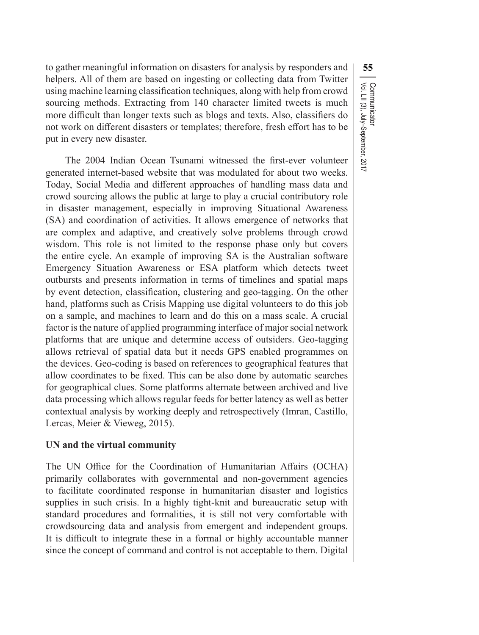to gather meaningful information on disasters for analysis by responders and **55** helpers. All of them are based on ingesting or collecting data from Twitter using machine learning classification techniques, along with help from crowd sourcing methods. Extracting from 140 character limited tweets is much more difficult than longer texts such as blogs and texts. Also, classifiers do not work on different disasters or templates; therefore, fresh effort has to be put in every new disaster.

Vol. LII (3), July–September, 2017

Communicator<br>Vol. LII (3), July–September, 2017

Communicator

The 2004 Indian Ocean Tsunami witnessed the first-ever volunteer generated internet-based website that was modulated for about two weeks. Today, Social Media and different approaches of handling mass data and crowd sourcing allows the public at large to play a crucial contributory role in disaster management, especially in improving Situational Awareness (SA) and coordination of activities. It allows emergence of networks that are complex and adaptive, and creatively solve problems through crowd wisdom. This role is not limited to the response phase only but covers the entire cycle. An example of improving SA is the Australian software Emergency Situation Awareness or ESA platform which detects tweet outbursts and presents information in terms of timelines and spatial maps by event detection, classification, clustering and geo-tagging. On the other hand, platforms such as Crisis Mapping use digital volunteers to do this job on a sample, and machines to learn and do this on a mass scale. A crucial factor is the nature of applied programming interface of major social network platforms that are unique and determine access of outsiders. Geo-tagging allows retrieval of spatial data but it needs GPS enabled programmes on the devices. Geo-coding is based on references to geographical features that allow coordinates to be fixed. This can be also done by automatic searches for geographical clues. Some platforms alternate between archived and live data processing which allows regular feeds for better latency as well as better contextual analysis by working deeply and retrospectively (Imran, Castillo, Lercas, Meier & Vieweg, 2015).

#### **UN and the virtual community**

The UN Office for the Coordination of Humanitarian Affairs (OCHA) primarily collaborates with governmental and non-government agencies to facilitate coordinated response in humanitarian disaster and logistics supplies in such crisis. In a highly tight-knit and bureaucratic setup with standard procedures and formalities, it is still not very comfortable with crowdsourcing data and analysis from emergent and independent groups. It is difficult to integrate these in a formal or highly accountable manner since the concept of command and control is not acceptable to them. Digital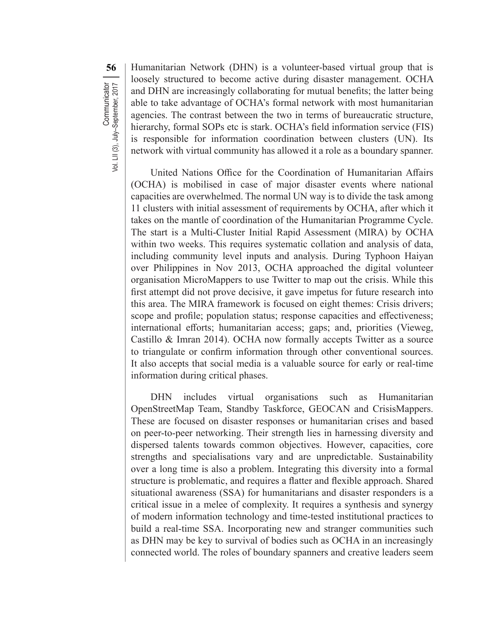**56** Humanitarian Network (DHN) is a volunteer-based virtual group that is loosely structured to become active during disaster management. OCHA and DHN are increasingly collaborating for mutual benefits; the latter being able to take advantage of OCHA's formal network with most humanitarian agencies. The contrast between the two in terms of bureaucratic structure, hierarchy, formal SOPs etc is stark. OCHA's field information service (FIS) is responsible for information coordination between clusters (UN). Its network with virtual community has allowed it a role as a boundary spanner.

United Nations Office for the Coordination of Humanitarian Affairs (OCHA) is mobilised in case of major disaster events where national capacities are overwhelmed. The normal UN way is to divide the task among 11 clusters with initial assessment of requirements by OCHA, after which it takes on the mantle of coordination of the Humanitarian Programme Cycle. The start is a Multi-Cluster Initial Rapid Assessment (MIRA) by OCHA within two weeks. This requires systematic collation and analysis of data, including community level inputs and analysis. During Typhoon Haiyan over Philippines in Nov 2013, OCHA approached the digital volunteer organisation MicroMappers to use Twitter to map out the crisis. While this first attempt did not prove decisive, it gave impetus for future research into this area. The MIRA framework is focused on eight themes: Crisis drivers; scope and profile; population status; response capacities and effectiveness; international efforts; humanitarian access; gaps; and, priorities (Vieweg, Castillo & Imran 2014). OCHA now formally accepts Twitter as a source to triangulate or confirm information through other conventional sources. It also accepts that social media is a valuable source for early or real-time information during critical phases.

DHN includes virtual organisations such as Humanitarian OpenStreetMap Team, Standby Taskforce, GEOCAN and CrisisMappers. These are focused on disaster responses or humanitarian crises and based on peer-to-peer networking. Their strength lies in harnessing diversity and dispersed talents towards common objectives. However, capacities, core strengths and specialisations vary and are unpredictable. Sustainability over a long time is also a problem. Integrating this diversity into a formal structure is problematic, and requires a flatter and flexible approach. Shared situational awareness (SSA) for humanitarians and disaster responders is a critical issue in a melee of complexity. It requires a synthesis and synergy of modern information technology and time-tested institutional practices to build a real-time SSA. Incorporating new and stranger communities such as DHN may be key to survival of bodies such as OCHA in an increasingly connected world. The roles of boundary spanners and creative leaders seem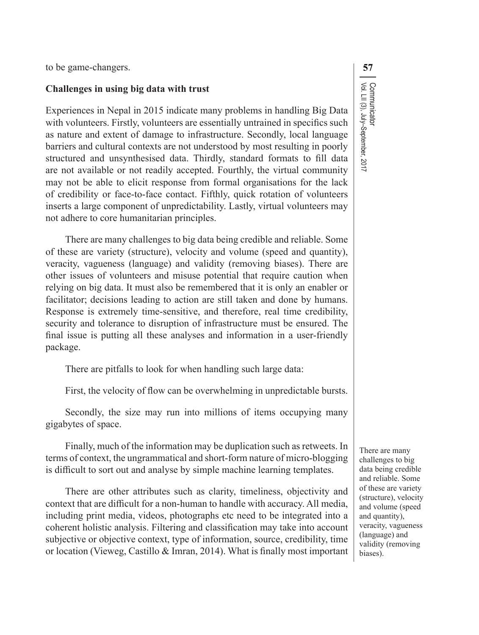to be game-changers. **57**

#### **Challenges in using big data with trust**

Experiences in Nepal in 2015 indicate many problems in handling Big Data with volunteers. Firstly, volunteers are essentially untrained in specifics such as nature and extent of damage to infrastructure. Secondly, local language barriers and cultural contexts are not understood by most resulting in poorly structured and unsynthesised data. Thirdly, standard formats to fill data are not available or not readily accepted. Fourthly, the virtual community may not be able to elicit response from formal organisations for the lack of credibility or face-to-face contact. Fifthly, quick rotation of volunteers inserts a large component of unpredictability. Lastly, virtual volunteers may not adhere to core humanitarian principles.

There are many challenges to big data being credible and reliable. Some of these are variety (structure), velocity and volume (speed and quantity), veracity, vagueness (language) and validity (removing biases). There are other issues of volunteers and misuse potential that require caution when relying on big data. It must also be remembered that it is only an enabler or facilitator; decisions leading to action are still taken and done by humans. Response is extremely time-sensitive, and therefore, real time credibility, security and tolerance to disruption of infrastructure must be ensured. The final issue is putting all these analyses and information in a user-friendly package.

There are pitfalls to look for when handling such large data:

First, the velocity of flow can be overwhelming in unpredictable bursts.

Secondly, the size may run into millions of items occupying many gigabytes of space.

Finally, much of the information may be duplication such as retweets. In terms of context, the ungrammatical and short-form nature of micro-blogging is difficult to sort out and analyse by simple machine learning templates.

There are other attributes such as clarity, timeliness, objectivity and context that are difficult for a non-human to handle with accuracy. All media, including print media, videos, photographs etc need to be integrated into a coherent holistic analysis. Filtering and classification may take into account subjective or objective context, type of information, source, credibility, time or location (Vieweg, Castillo & Imran, 2014). What is finally most important There are many challenges to big data being credible and reliable. Some of these are variety (structure), velocity and volume (speed and quantity), veracity, vagueness (language) and validity (removing biases).

Communicator<br>Vol. LII (3), July–September, 2017 Vol. LII (3), July–September, 2017 Communicator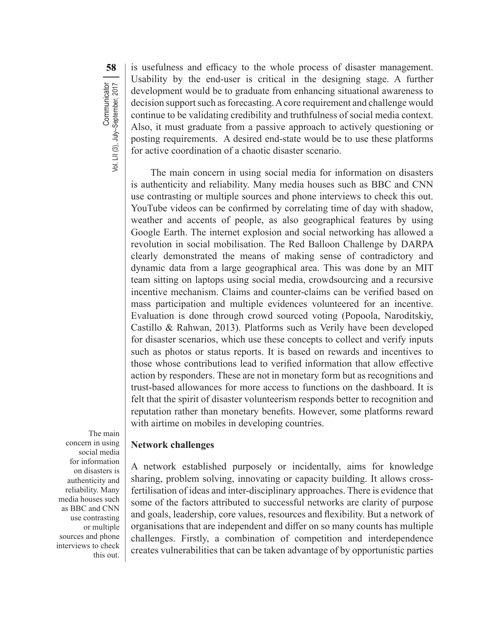**58** is usefulness and efficacy to the whole process of disaster management. Usability by the end-user is critical in the designing stage. A further development would be to graduate from enhancing situational awareness to decision support such as forecasting. A core requirement and challenge would continue to be validating credibility and truthfulness of social media context. Also, it must graduate from a passive approach to actively questioning or posting requirements. A desired end-state would be to use these platforms for active coordination of a chaotic disaster scenario.

The main concern in using social media for information on disasters is authenticity and reliability. Many media houses such as BBC and CNN use contrasting or multiple sources and phone interviews to check this out. YouTube videos can be confirmed by correlating time of day with shadow, weather and accents of people, as also geographical features by using Google Earth. The internet explosion and social networking has allowed a revolution in social mobilisation. The Red Balloon Challenge by DARPA clearly demonstrated the means of making sense of contradictory and dynamic data from a large geographical area. This was done by an MIT team sitting on laptops using social media, crowdsourcing and a recursive incentive mechanism. Claims and counter-claims can be verified based on mass participation and multiple evidences volunteered for an incentive. Evaluation is done through crowd sourced voting (Popoola, Naroditskiy, Castillo & Rahwan, 2013). Platforms such as Verily have been developed for disaster scenarios, which use these concepts to collect and verify inputs such as photos or status reports. It is based on rewards and incentives to those whose contributions lead to verified information that allow effective action by responders. These are not in monetary form but as recognitions and trust-based allowances for more access to functions on the dashboard. It is felt that the spirit of disaster volunteerism responds better to recognition and reputation rather than monetary benefits. However, some platforms reward with airtime on mobiles in developing countries.

The main concern in using social media for information on disasters is authenticity and reliability. Many media houses such as BBC and CNN use contrasting or multiple sources and phone interviews to check this out.

#### **Network challenges**

A network established purposely or incidentally, aims for knowledge sharing, problem solving, innovating or capacity building. It allows crossfertilisation of ideas and inter-disciplinary approaches. There is evidence that some of the factors attributed to successful networks are clarity of purpose and goals, leadership, core values, resources and flexibility. But a network of organisations that are independent and differ on so many counts has multiple challenges. Firstly, a combination of competition and interdependence creates vulnerabilities that can be taken advantage of by opportunistic parties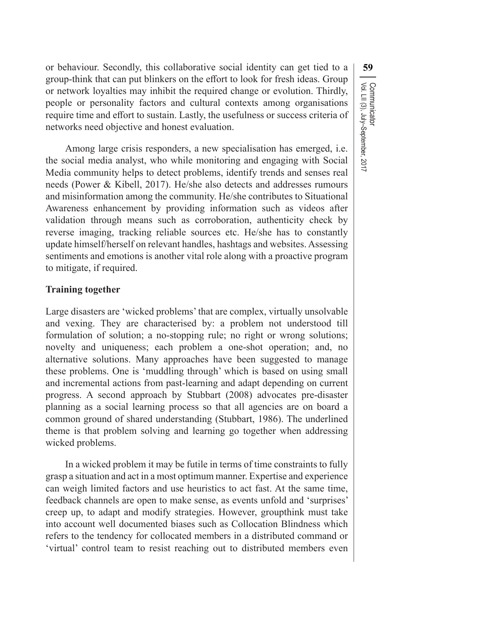or behaviour. Secondly, this collaborative social identity can get tied to a **59** group-think that can put blinkers on the effort to look for fresh ideas. Group or network loyalties may inhibit the required change or evolution. Thirdly, people or personality factors and cultural contexts among organisations require time and effort to sustain. Lastly, the usefulness or success criteria of networks need objective and honest evaluation.

Vol. LII (3), July–September, 2017

Communicator<br>Vol. LII (3), July–September, 2017

Communicator

Among large crisis responders, a new specialisation has emerged, i.e. the social media analyst, who while monitoring and engaging with Social Media community helps to detect problems, identify trends and senses real needs (Power & Kibell, 2017). He/she also detects and addresses rumours and misinformation among the community. He/she contributes to Situational Awareness enhancement by providing information such as videos after validation through means such as corroboration, authenticity check by reverse imaging, tracking reliable sources etc. He/she has to constantly update himself/herself on relevant handles, hashtags and websites. Assessing sentiments and emotions is another vital role along with a proactive program to mitigate, if required.

#### **Training together**

Large disasters are 'wicked problems'that are complex, virtually unsolvable and vexing. They are characterised by: a problem not understood till formulation of solution; a no-stopping rule; no right or wrong solutions; novelty and uniqueness; each problem a one-shot operation; and, no alternative solutions. Many approaches have been suggested to manage these problems. One is 'muddling through' which is based on using small and incremental actions from past-learning and adapt depending on current progress. A second approach by Stubbart (2008) advocates pre-disaster planning as a social learning process so that all agencies are on board a common ground of shared understanding (Stubbart, 1986). The underlined theme is that problem solving and learning go together when addressing wicked problems.

In a wicked problem it may be futile in terms of time constraints to fully grasp a situation and act in a most optimum manner. Expertise and experience can weigh limited factors and use heuristics to act fast. At the same time, feedback channels are open to make sense, as events unfold and 'surprises' creep up, to adapt and modify strategies. However, groupthink must take into account well documented biases such as Collocation Blindness which refers to the tendency for collocated members in a distributed command or 'virtual' control team to resist reaching out to distributed members even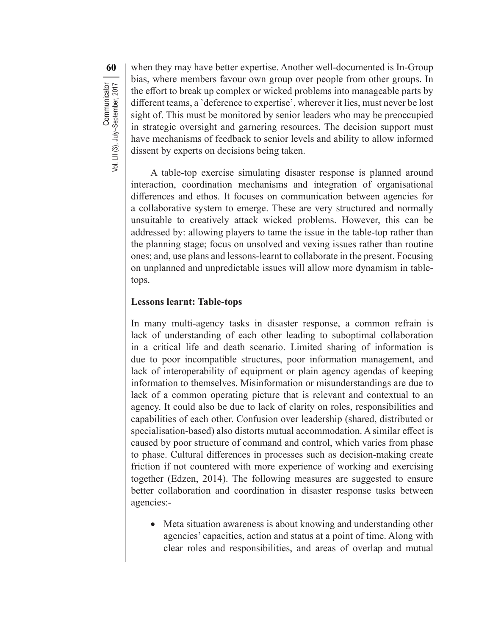**60** when they may have better expertise. Another well-documented is In-Group bias, where members favour own group over people from other groups. In the effort to break up complex or wicked problems into manageable parts by different teams, a `deference to expertise', wherever it lies, must never be lost sight of. This must be monitored by senior leaders who may be preoccupied in strategic oversight and garnering resources. The decision support must have mechanisms of feedback to senior levels and ability to allow informed dissent by experts on decisions being taken.

A table-top exercise simulating disaster response is planned around interaction, coordination mechanisms and integration of organisational differences and ethos. It focuses on communication between agencies for a collaborative system to emerge. These are very structured and normally unsuitable to creatively attack wicked problems. However, this can be addressed by: allowing players to tame the issue in the table-top rather than the planning stage; focus on unsolved and vexing issues rather than routine ones; and, use plans and lessons-learnt to collaborate in the present. Focusing on unplanned and unpredictable issues will allow more dynamism in tabletops.

#### **Lessons learnt: Table-tops**

In many multi-agency tasks in disaster response, a common refrain is lack of understanding of each other leading to suboptimal collaboration in a critical life and death scenario. Limited sharing of information is due to poor incompatible structures, poor information management, and lack of interoperability of equipment or plain agency agendas of keeping information to themselves. Misinformation or misunderstandings are due to lack of a common operating picture that is relevant and contextual to an agency. It could also be due to lack of clarity on roles, responsibilities and capabilities of each other. Confusion over leadership (shared, distributed or specialisation-based) also distorts mutual accommodation. A similar effect is caused by poor structure of command and control, which varies from phase to phase. Cultural differences in processes such as decision-making create friction if not countered with more experience of working and exercising together (Edzen, 2014). The following measures are suggested to ensure better collaboration and coordination in disaster response tasks between agencies:-

• Meta situation awareness is about knowing and understanding other agencies' capacities, action and status at a point of time. Along with clear roles and responsibilities, and areas of overlap and mutual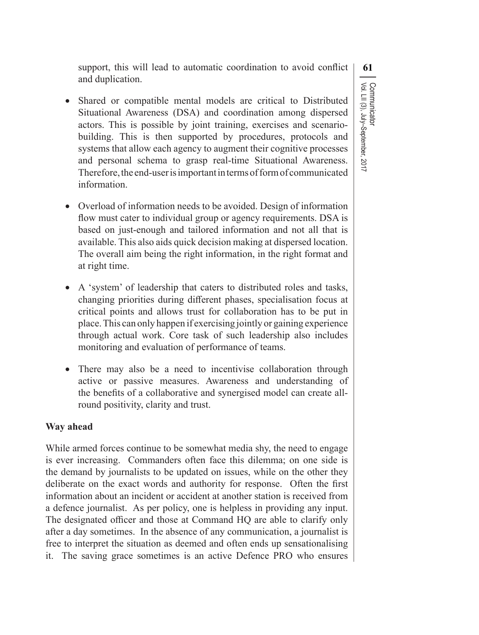support, this will lead to automatic coordination to avoid conflict  $\vert$  61 and duplication.

• Shared or compatible mental models are critical to Distributed Situational Awareness (DSA) and coordination among dispersed actors. This is possible by joint training, exercises and scenario- building. This is then supported by procedures, protocols and systems that allow each agency to augment their cognitive processes and personal schema to grasp real-time Situational Awareness. Therefore, the end-user is important in terms of form of communicated information.

Vol. LII (3), July–September, 2017

Communicator<br>Vol. LII (3), July–September, 2017

Communicator

- Overload of information needs to be avoided. Design of information flow must cater to individual group or agency requirements. DSA is based on just-enough and tailored information and not all that is available. This also aids quick decision making at dispersed location. The overall aim being the right information, in the right format and at right time.
- A 'system' of leadership that caters to distributed roles and tasks, changing priorities during different phases, specialisation focus at critical points and allows trust for collaboration has to be put in place.This can only happen if exercising jointly or gaining experience through actual work. Core task of such leadership also includes monitoring and evaluation of performance of teams.
- There may also be a need to incentivise collaboration through active or passive measures. Awareness and understanding of the benefits of a collaborative and synergised model can create all- round positivity, clarity and trust.

#### **Way ahead**

While armed forces continue to be somewhat media shy, the need to engage is ever increasing. Commanders often face this dilemma; on one side is the demand by journalists to be updated on issues, while on the other they deliberate on the exact words and authority for response. Often the first information about an incident or accident at another station is received from a defence journalist. As per policy, one is helpless in providing any input. The designated officer and those at Command HQ are able to clarify only after a day sometimes. In the absence of any communication, a journalist is free to interpret the situation as deemed and often ends up sensationalising it. The saving grace sometimes is an active Defence PRO who ensures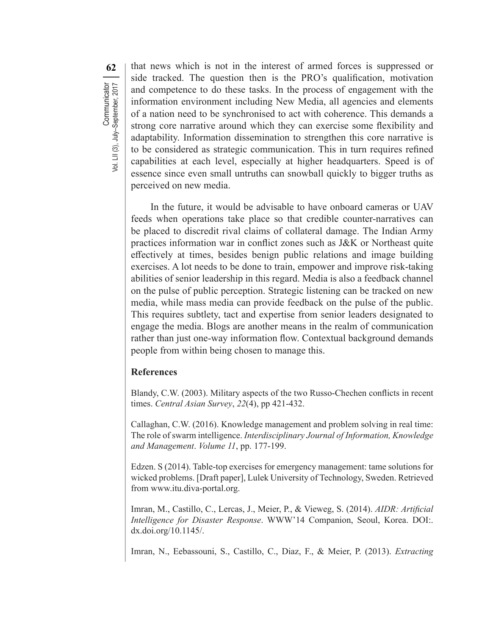**62** that news which is not in the interest of armed forces is suppressed or side tracked. The question then is the PRO's qualification, motivation and competence to do these tasks. In the process of engagement with the information environment including New Media, all agencies and elements of a nation need to be synchronised to act with coherence. This demands a strong core narrative around which they can exercise some flexibility and adaptability. Information dissemination to strengthen this core narrative is to be considered as strategic communication. This in turn requires refined capabilities at each level, especially at higher headquarters. Speed is of essence since even small untruths can snowball quickly to bigger truths as perceived on new media.

In the future, it would be advisable to have onboard cameras or UAV feeds when operations take place so that credible counter-narratives can be placed to discredit rival claims of collateral damage. The Indian Army practices information war in conflict zones such as J&K or Northeast quite effectively at times, besides benign public relations and image building exercises. A lot needs to be done to train, empower and improve risk-taking abilities of senior leadership in this regard. Media is also a feedback channel on the pulse of public perception. Strategic listening can be tracked on new media, while mass media can provide feedback on the pulse of the public. This requires subtlety, tact and expertise from senior leaders designated to engage the media. Blogs are another means in the realm of communication rather than just one-way information flow. Contextual background demands people from within being chosen to manage this.

#### **References**

Blandy, C.W. (2003). Military aspects of the two Russo-Chechen conflicts in recent times. *Central Asian Survey*, *22*(4), pp 421-432.

Callaghan, C.W. (2016). Knowledge management and problem solving in real time: The role of swarm intelligence. *Interdisciplinary Journal of Information, Knowledge and Management*. *Volume 11*, pp. 177-199.

Edzen. S (2014). Table-top exercises for emergency management: tame solutions for wicked problems. [Draft paper], Lulek University of Technology, Sweden. Retrieved from www.itu.diva-portal.org.

Imran, M., Castillo, C., Lercas, J., Meier, P., & Vieweg, S. (2014). *AIDR: Artificial Intelligence for Disaster Response*. WWW'14 Companion, Seoul, Korea. DOI:. dx.doi.org/10.1145/.

Imran, N., Eebassouni, S., Castillo, C., Diaz, F., & Meier, P. (2013). *Extracting*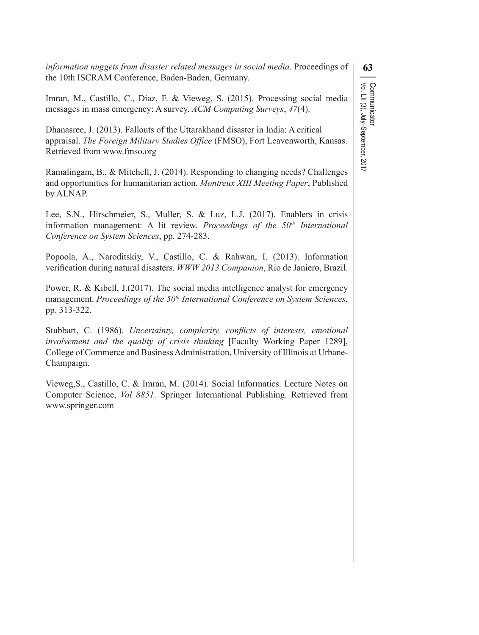*information nuggets from disaster related messages in social media*. Proceedings of  $\binom{63}{ }$ the 10th ISCRAM Conference, Baden-Baden, Germany.

Imran, M., Castillo, C., Diaz, F. & Vieweg, S. (2015). Processing social media messages in mass emergency: A survey. *ACM Computing Surveys*, *47*(4).

Dhanasree, J. (2013). Fallouts of the Uttarakhand disaster in India: A critical appraisal. *The Foreign Military Studies Office* (FMSO), Fort Leavenworth, Kansas. Retrieved from www.fmso.org

Ramalingam, B., & Mitchell, J. (2014). Responding to changing needs? Challenges and opportunities for humanitarian action. *Montreux XIII Meeting Paper*, Published by ALNAP.

Lee, S.N., Hirschmeier, S., Muller, S. & Luz, L.J. (2017). Enablers in crisis information management: A lit review. *Proceedings of the 50<sup>th</sup> International Conference on System Sciences*, pp. 274-283.

Popoola, A., Naroditskiy, V., Castillo, C. & Rahwan, I. (2013). Information verification during natural disasters. *WWW 2013 Companion*, Rio de Janiero, Brazil.

Power, R. & Kibell, J.(2017). The social media intelligence analyst for emergency management. *Proceedings of the 50<sup>th</sup> International Conference on System Sciences*, pp. 313-322.

Stubbart, C. (1986). *Uncertainty, complexity, conflicts of interests, emotional involvement and the quality of crisis thinking* [Faculty Working Paper 1289], College of Commerce and BusinessAdministration, University of Illinois at Urbane-Champaign.

Vieweg,S., Castillo, C. & Imran, M. (2014). Social Informatics. Lecture Notes on Computer Science, *Vol 8851*. Springer International Publishing. Retrieved from www.springer.com

Communicator<br>Vol. LII (3), July–September, 2017 Vol. LII (3), July–September, 2017 Communicator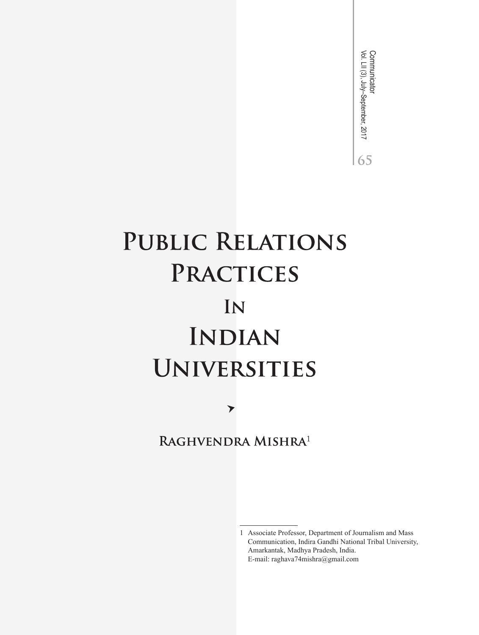Communicator<br>Vol. LII (3), July–September, 2017 Vol. LII (3), July–September, 2017 Communicator65

# PUBLIC RELATIONS PRACTICES IN **INDIAN UNIVERSITIES**

RAGHVENDRA MISHRA<sup>1</sup>

 $\blacktriangleright$ 

<sup>1</sup> Associate Professor, Department of Journalism and Mass Communication, Indira Gandhi National Tribal University, Amarkantak, Madhya Pradesh, India. E-mail: raghava74mishra@gmail.com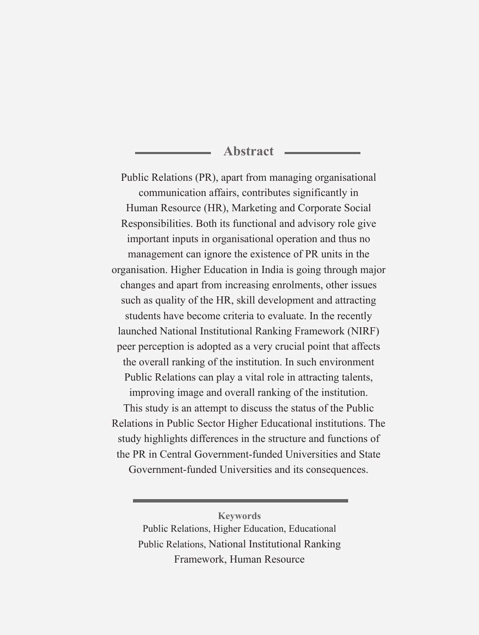# **Abstract**

Public Relations (PR), apart from managing organisational communication affairs, contributes significantly in Human Resource (HR), Marketing and Corporate Social Responsibilities. Both its functional and advisory role give important inputs in organisational operation and thus no management can ignore the existence of PR units in the organisation. Higher Education in India is going through major changes and apart from increasing enrolments, other issues such as quality of the HR, skill development and attracting students have become criteria to evaluate. In the recently launched National Institutional Ranking Framework (NIRF) peer perception is adopted as a very crucial point that affects the overall ranking of the institution. In such environment Public Relations can play a vital role in attracting talents, improving image and overall ranking of the institution. This study is an attempt to discuss the status of the Public Relations in Public Sector Higher Educational institutions. The study highlights differences in the structure and functions of the PR in Central Government-funded Universities and State Government-funded Universities and its consequences.

**Keywords** Public Relations, Higher Education, Educational Public Relations, National Institutional Ranking Framework, Human Resource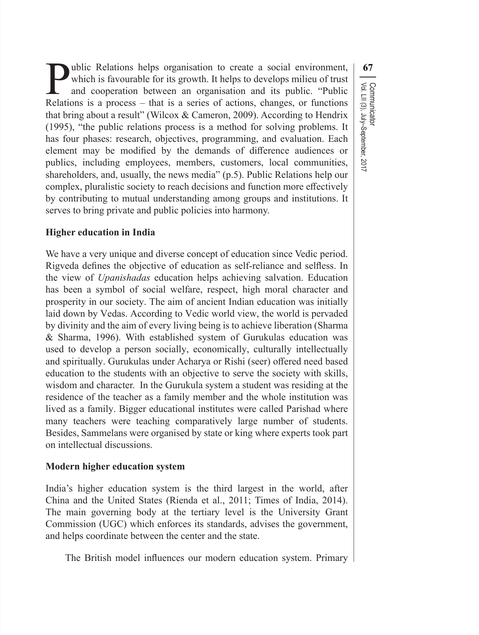**10** Public Relations helps organisation to create a social environment, which is favourable for its growth. It helps to develops milieu of trust and cooperation between an organisation and its public. "Public Relations i which is favourable for its growth. It helps to develops milieu of trust and cooperation between an organisation and its public. "Public Relations is a process – that is a series of actions, changes, or functions that bring about a result" (Wilcox & Cameron, 2009). According to Hendrix (1995), "the public relations process is a method for solving problems. It has four phases: research, objectives, programming, and evaluation. Each element may be modified by the demands of difference audiences or publics, including employees, members, customers, local communities, shareholders, and, usually, the news media" (p.5). Public Relations help our complex, pluralistic society to reach decisions and function more effectively by contributing to mutual understanding among groups and institutions. It serves to bring private and public policies into harmony.

Vol. LII (3), July–September, 2017

Communicator

#### **Higher education in India**

We have a very unique and diverse concept of education since Vedic period. Rigveda defines the objective of education as self-reliance and selfless. In the view of *Upanishadas* education helps achieving salvation. Education has been a symbol of social welfare, respect, high moral character and prosperity in our society. The aim of ancient Indian education was initially laid down by Vedas. According to Vedic world view, the world is pervaded by divinity and the aim of every living being is to achieve liberation (Sharma & Sharma, 1996). With established system of Gurukulas education was used to develop a person socially, economically, culturally intellectually and spiritually. Gurukulas under Acharya or Rishi (seer) offered need based education to the students with an objective to serve the society with skills, wisdom and character. In the Gurukula system a student was residing at the residence of the teacher as a family member and the whole institution was lived as a family. Bigger educational institutes were called Parishad where many teachers were teaching comparatively large number of students. Besides, Sammelans were organised by state or king where experts took part on intellectual discussions.

#### **Modern higher education system**

India's higher education system is the third largest in the world, after China and the United States (Rienda et al., 2011; Times of India, 2014). The main governing body at the tertiary level is the University Grant Commission (UGC) which enforces its standards, advises the government, and helps coordinate between the center and the state.

The British model influences our modern education system. Primary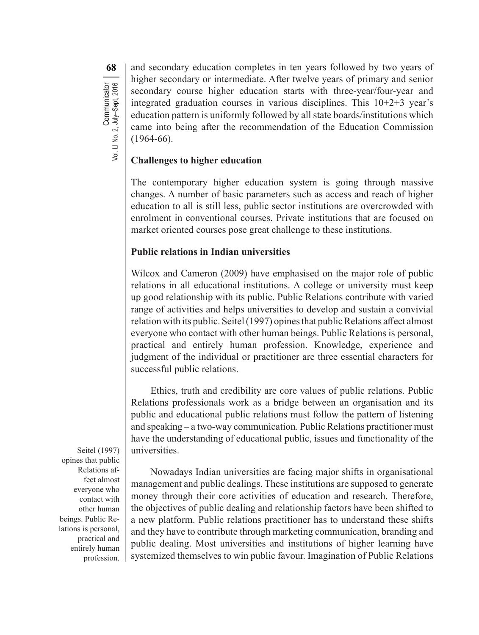**68**Communicator<br>Vol. LI No. 2, July–Sept, 2016 and secondary education completes in ten years followed by two years of higher secondary or intermediate. After twelve years of primary and senior secondary course higher education starts with three-year/four-year and integrated graduation courses in various disciplines. This 10+2+3 year's education pattern is uniformly followed by all state boards/institutions which came into being after the recommendation of the Education Commission (1964-66).

# **Challenges to higher education**

The contemporary higher education system is going through massive changes. A number of basic parameters such as access and reach of higher education to all is still less, public sector institutions are overcrowded with enrolment in conventional courses. Private institutions that are focused on market oriented courses pose great challenge to these institutions.

# **Public relations in Indian universities**

Wilcox and Cameron (2009) have emphasised on the major role of public relations in all educational institutions. A college or university must keep up good relationship with its public. Public Relations contribute with varied range of activities and helps universities to develop and sustain a convivial relation with its public. Seitel (1997) opines that public Relations affect almost everyone who contact with other human beings. Public Relations is personal, practical and entirely human profession. Knowledge, experience and judgment of the individual or practitioner are three essential characters for successful public relations.

Ethics, truth and credibility are core values of public relations. Public Relations professionals work as a bridge between an organisation and its public and educational public relations must follow the pattern of listening and speaking – a two-way communication. Public Relations practitioner must have the understanding of educational public, issues and functionality of the universities.

Nowadays Indian universities are facing major shifts in organisational management and public dealings. These institutions are supposed to generate money through their core activities of education and research. Therefore, the objectives of public dealing and relationship factors have been shifted to a new platform. Public relations practitioner has to understand these shifts and they have to contribute through marketing communication, branding and public dealing. Most universities and institutions of higher learning have systemized themselves to win public favour. Imagination of Public Relations

Seitel (1997) opines that public Relations affect almost everyone who contact with other human beings. Public Relations is personal, practical and entirely human profession.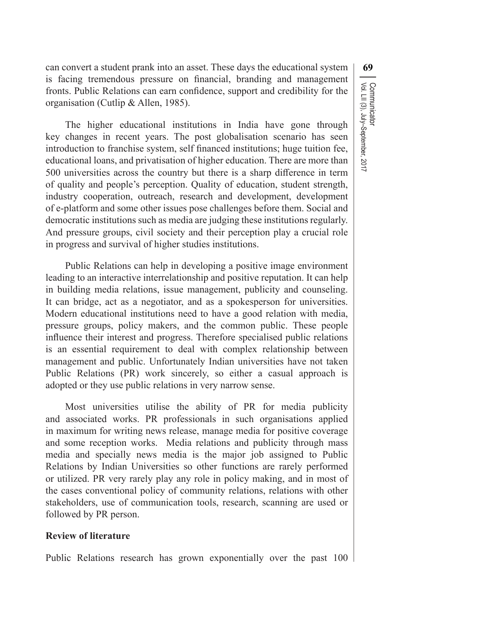Communicator<br>Vol. LII (3), July–September, 2017 Vol. LII (3), July–September, 2017 Communicator

can convert a student prank into an asset. These days the educational system **69** is facing tremendous pressure on financial, branding and management fronts. Public Relations can earn confidence, support and credibility for the organisation (Cutlip & Allen, 1985).

The higher educational institutions in India have gone through key changes in recent years. The post globalisation scenario has seen introduction to franchise system, self financed institutions; huge tuition fee, educational loans, and privatisation of higher education. There are more than 500 universities across the country but there is a sharp difference in term of quality and people's perception. Quality of education, student strength, industry cooperation, outreach, research and development, development of e-platform and some other issues pose challenges before them. Social and democratic institutions such as media are judging these institutions regularly. And pressure groups, civil society and their perception play a crucial role in progress and survival of higher studies institutions.

Public Relations can help in developing a positive image environment leading to an interactive interrelationship and positive reputation. It can help in building media relations, issue management, publicity and counseling. It can bridge, act as a negotiator, and as a spokesperson for universities. Modern educational institutions need to have a good relation with media, pressure groups, policy makers, and the common public. These people influence their interest and progress. Therefore specialised public relations is an essential requirement to deal with complex relationship between management and public. Unfortunately Indian universities have not taken Public Relations (PR) work sincerely, so either a casual approach is adopted or they use public relations in very narrow sense.

Most universities utilise the ability of PR for media publicity and associated works. PR professionals in such organisations applied in maximum for writing news release, manage media for positive coverage and some reception works. Media relations and publicity through mass media and specially news media is the major job assigned to Public Relations by Indian Universities so other functions are rarely performed or utilized. PR very rarely play any role in policy making, and in most of the cases conventional policy of community relations, relations with other stakeholders, use of communication tools, research, scanning are used or followed by PR person.

#### **Review of literature**

Public Relations research has grown exponentially over the past 100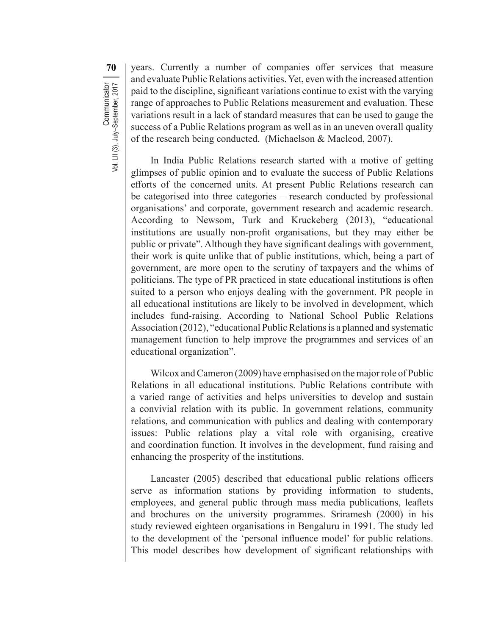**70** vears. Currently a number of companies offer services that measure and evaluate Public Relations activities.Yet, even with the increased attention paid to the discipline, significant variations continue to exist with the varying range of approaches to Public Relations measurement and evaluation. These variations result in a lack of standard measures that can be used to gauge the success of a Public Relations program as well as in an uneven overall quality of the research being conducted. (Michaelson & Macleod, 2007).

In India Public Relations research started with a motive of getting glimpses of public opinion and to evaluate the success of Public Relations efforts of the concerned units. At present Public Relations research can be categorised into three categories – research conducted by professional organisations' and corporate, government research and academic research. According to Newsom, Turk and Kruckeberg (2013), "educational institutions are usually non-profit organisations, but they may either be public or private". Although they have significant dealings with government, their work is quite unlike that of public institutions, which, being a part of government, are more open to the scrutiny of taxpayers and the whims of politicians. The type of PR practiced in state educational institutions is often suited to a person who enjoys dealing with the government. PR people in all educational institutions are likely to be involved in development, which includes fund-raising. According to National School Public Relations Association (2012), "educational Public Relations is a planned and systematic management function to help improve the programmes and services of an educational organization".

Wilcox and Cameron (2009) have emphasised on the major role of Public Relations in all educational institutions. Public Relations contribute with a varied range of activities and helps universities to develop and sustain a convivial relation with its public. In government relations, community relations, and communication with publics and dealing with contemporary issues: Public relations play a vital role with organising, creative and coordination function. It involves in the development, fund raising and enhancing the prosperity of the institutions.

Lancaster (2005) described that educational public relations officers serve as information stations by providing information to students, employees, and general public through mass media publications, leaflets and brochures on the university programmes. Sriramesh (2000) in his study reviewed eighteen organisations in Bengaluru in 1991. The study led to the development of the 'personal influence model' for public relations. This model describes how development of significant relationships with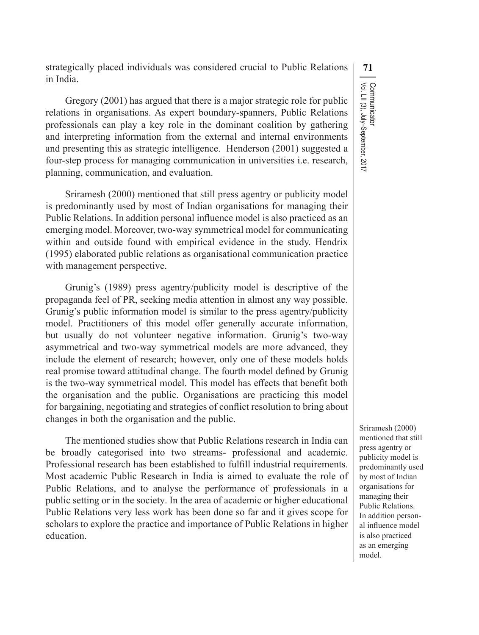strategically placed individuals was considered crucial to Public Relations **71** in India.

Gregory (2001) has argued that there is a major strategic role for public relations in organisations. As expert boundary-spanners, Public Relations professionals can play a key role in the dominant coalition by gathering and interpreting information from the external and internal environments and presenting this as strategic intelligence. Henderson (2001) suggested a four-step process for managing communication in universities i.e. research, planning, communication, and evaluation.

Sriramesh (2000) mentioned that still press agentry or publicity model is predominantly used by most of Indian organisations for managing their Public Relations. In addition personal influence model is also practiced as an emerging model. Moreover, two-way symmetrical model for communicating within and outside found with empirical evidence in the study. Hendrix (1995) elaborated public relations as organisational communication practice with management perspective.

Grunig's (1989) press agentry/publicity model is descriptive of the propaganda feel of PR, seeking media attention in almost any way possible. Grunig's public information model is similar to the press agentry/publicity model. Practitioners of this model offer generally accurate information, but usually do not volunteer negative information. Grunig's two-way asymmetrical and two-way symmetrical models are more advanced, they include the element of research; however, only one of these models holds real promise toward attitudinal change. The fourth model defined by Grunig is the two-way symmetrical model. This model has effects that benefit both the organisation and the public. Organisations are practicing this model for bargaining, negotiating and strategies of conflict resolution to bring about changes in both the organisation and the public.

The mentioned studies show that Public Relations research in India can be broadly categorised into two streams- professional and academic. Professional research has been established to fulfill industrial requirements. Most academic Public Research in India is aimed to evaluate the role of Public Relations, and to analyse the performance of professionals in a public setting or in the society. In the area of academic or higher educational Public Relations very less work has been done so far and it gives scope for scholars to explore the practice and importance of Public Relations in higher education.

Communicator<br>Vol. LII (3), July–September, 2017 Vol. LII (3), July–September, 2017 Communicator

Sriramesh (2000) mentioned that still press agentry or publicity model is predominantly used by most of Indian organisations for managing their Public Relations. In addition personal influence model is also practiced as an emerging model.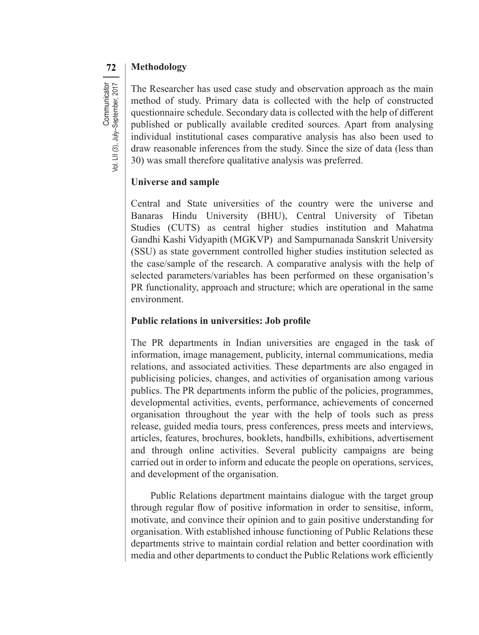# **72 Methodology**

Communicator<br>Vol. LII (3), July-September, 2017 **Communicator** Vol. LII (3), July–September, 2017

The Researcher has used case study and observation approach as the main method of study. Primary data is collected with the help of constructed questionnaire schedule. Secondary data is collected with the help of different published or publically available credited sources. Apart from analysing individual institutional cases comparative analysis has also been used to draw reasonable inferences from the study. Since the size of data (less than 30) was small therefore qualitative analysis was preferred.

# **Universe and sample**

Central and State universities of the country were the universe and Banaras Hindu University (BHU), Central University of Tibetan Studies (CUTS) as central higher studies institution and Mahatma Gandhi Kashi Vidyapith (MGKVP) and Sampurnanada Sanskrit University (SSU) as state government controlled higher studies institution selected as the case/sample of the research. A comparative analysis with the help of selected parameters/variables has been performed on these organisation's PR functionality, approach and structure; which are operational in the same environment.

### **Public relations in universities: Job profile**

The PR departments in Indian universities are engaged in the task of information, image management, publicity, internal communications, media relations, and associated activities. These departments are also engaged in publicising policies, changes, and activities of organisation among various publics. The PR departments inform the public of the policies, programmes, developmental activities, events, performance, achievements of concerned organisation throughout the year with the help of tools such as press release, guided media tours, press conferences, press meets and interviews, articles, features, brochures, booklets, handbills, exhibitions, advertisement and through online activities. Several publicity campaigns are being carried out in order to inform and educate the people on operations, services, and development of the organisation.

Public Relations department maintains dialogue with the target group through regular flow of positive information in order to sensitise, inform, motivate, and convince their opinion and to gain positive understanding for organisation. With established inhouse functioning of Public Relations these departments strive to maintain cordial relation and better coordination with media and other departments to conduct the Public Relations work efficiently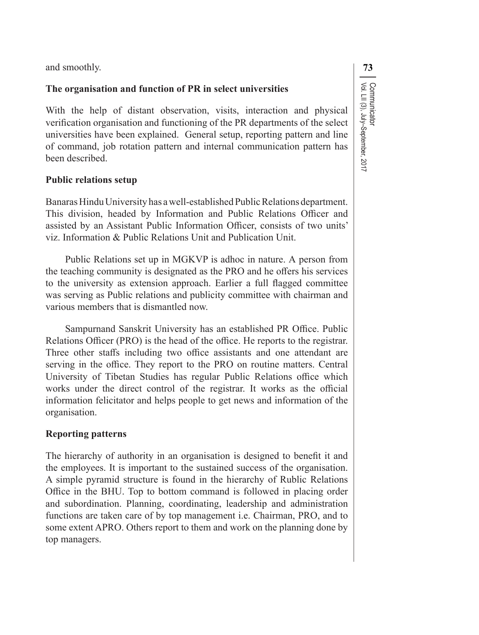and smoothly. **73** 

## **The organisation and function of PR in select universities**

With the help of distant observation, visits, interaction and physical verification organisation and functioning of the PR departments of the select universities have been explained. General setup, reporting pattern and line of command, job rotation pattern and internal communication pattern has been described.

# **Public relations setup**

Banaras Hindu University has a well-established Public Relations department. This division, headed by Information and Public Relations Officer and assisted by an Assistant Public Information Officer, consists of two units' viz. Information & Public Relations Unit and Publication Unit.

Public Relations set up in MGKVP is adhoc in nature. A person from the teaching community is designated as the PRO and he offers his services to the university as extension approach. Earlier a full flagged committee was serving as Public relations and publicity committee with chairman and various members that is dismantled now.

Sampurnand Sanskrit University has an established PR Office. Public Relations Officer (PRO) is the head of the office. He reports to the registrar. Three other staffs including two office assistants and one attendant are serving in the office. They report to the PRO on routine matters. Central University of Tibetan Studies has regular Public Relations office which works under the direct control of the registrar. It works as the official information felicitator and helps people to get news and information of the organisation.

# **Reporting patterns**

The hierarchy of authority in an organisation is designed to benefit it and the employees. It is important to the sustained success of the organisation. A simple pyramid structure is found in the hierarchy of Rublic Relations Office in the BHU. Top to bottom command is followed in placing order and subordination. Planning, coordinating, leadership and administration functions are taken care of by top management i.e. Chairman, PRO, and to some extent APRO. Others report to them and work on the planning done by top managers.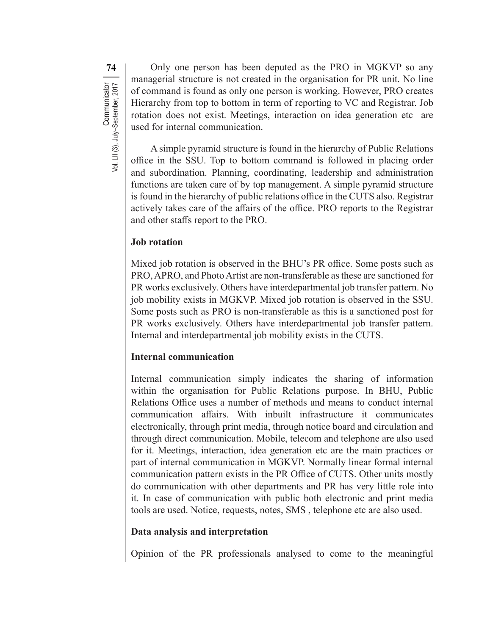**74** Only one person has been deputed as the PRO in MGKVP so any managerial structure is not created in the organisation for PR unit. No line of command is found as only one person is working. However, PRO creates Hierarchy from top to bottom in term of reporting to VC and Registrar. Job rotation does not exist. Meetings, interaction on idea generation etc are used for internal communication.

A simple pyramid structure is found in the hierarchy of Public Relations office in the SSU. Top to bottom command is followed in placing order and subordination. Planning, coordinating, leadership and administration functions are taken care of by top management. A simple pyramid structure is found in the hierarchy of public relations office in the CUTS also. Registrar actively takes care of the affairs of the office. PRO reports to the Registrar and other staffs report to the PRO.

# **Job rotation**

Mixed job rotation is observed in the BHU's PR office. Some posts such as PRO, APRO, and Photo Artist are non-transferable as these are sanctioned for PR works exclusively. Others have interdepartmental job transfer pattern. No job mobility exists in MGKVP. Mixed job rotation is observed in the SSU. Some posts such as PRO is non-transferable as this is a sanctioned post for PR works exclusively. Others have interdepartmental job transfer pattern. Internal and interdepartmental job mobility exists in the CUTS.

# **Internal communication**

Internal communication simply indicates the sharing of information within the organisation for Public Relations purpose. In BHU, Public Relations Office uses a number of methods and means to conduct internal communication affairs. With inbuilt infrastructure it communicates electronically, through print media, through notice board and circulation and through direct communication. Mobile, telecom and telephone are also used for it. Meetings, interaction, idea generation etc are the main practices or part of internal communication in MGKVP. Normally linear formal internal communication pattern exists in the PR Office of CUTS. Other units mostly do communication with other departments and PR has very little role into it. In case of communication with public both electronic and print media tools are used. Notice, requests, notes, SMS , telephone etc are also used.

# **Data analysis and interpretation**

Opinion of the PR professionals analysed to come to the meaningful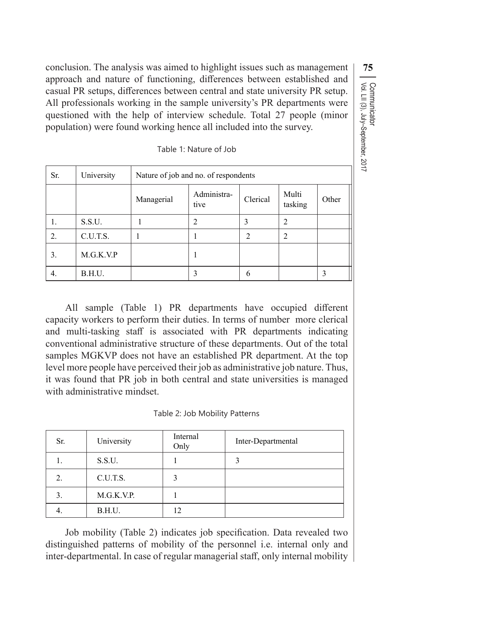conclusion. The analysis was aimed to highlight issues such as management **75** approach and nature of functioning, differences between established and casual PR setups, differences between central and state university PR setup. All professionals working in the sample university's PR departments were questioned with the help of interview schedule. Total 27 people (minor population) were found working hence all included into the survey.

| Sr. | University | Nature of job and no. of respondents |                     |          |                  |       |  |
|-----|------------|--------------------------------------|---------------------|----------|------------------|-------|--|
|     |            | Managerial                           | Administra-<br>tive | Clerical | Multi<br>tasking | Other |  |
| 1.  | S.S.U.     |                                      |                     |          |                  |       |  |
| 2.  | C.U.T.S.   |                                      |                     | 2        | ∍                |       |  |
| 3.  | M.G.K.V.P  |                                      |                     |          |                  |       |  |
| 4.  | B.H.U.     |                                      |                     | 6        |                  | 3     |  |

Table 1: Nature of Job

Vol. LII (3), July–September, 2017

Communicator<br>Vol. LII (3), July–September, 2017

Communicator

All sample (Table 1) PR departments have occupied different capacity workers to perform their duties. In terms of number more clerical and multi-tasking staff is associated with PR departments indicating conventional administrative structure of these departments. Out of the total samples MGKVP does not have an established PR department. At the top level more people have perceived their job as administrative job nature. Thus, it was found that PR job in both central and state universities is managed with administrative mindset.

Table 2: Job Mobility Patterns

| Sr. | University | Internal<br>Only | Inter-Departmental |
|-----|------------|------------------|--------------------|
| ı.  | S.S.U.     |                  |                    |
| 2.  | C.U.T.S.   | 3                |                    |
| 3.  | M.G.K.V.P. |                  |                    |
|     | B.H.U.     | 12               |                    |

Job mobility (Table 2) indicates job specification. Data revealed two distinguished patterns of mobility of the personnel i.e. internal only and inter-departmental. In case of regular managerial staff, only internal mobility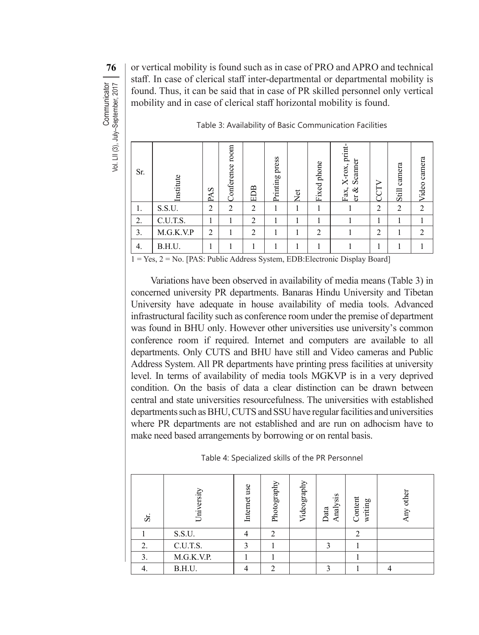**76** or vertical mobility is found such as in case of PRO and APRO and technical staff. In case of clerical staff inter-departmental or departmental mobility is found. Thus, it can be said that in case of PR skilled personnel only vertical mobility and in case of clerical staff horizontal mobility is found.

| Sr. | Institute | PAS    | moon<br>Conference | EDB            | press<br>Printing | Net | phone<br>Fixed | X-rox, print<br>Scanner<br>Fax,<br>ళ<br>ď | CCT            | camera<br>Still | camera<br>Video |
|-----|-----------|--------|--------------------|----------------|-------------------|-----|----------------|-------------------------------------------|----------------|-----------------|-----------------|
| 1.  | S.S.U.    | ↑<br>∠ | 2                  | $\overline{2}$ |                   |     |                |                                           | $\overline{2}$ | $\overline{2}$  | $\overline{c}$  |
| 2.  | C.U.T.S.  |        |                    | $\overline{2}$ |                   |     |                |                                           |                |                 |                 |
| 3.  | M.G.K.V.P | 2      |                    | 2              |                   |     | $\overline{c}$ |                                           | 2              |                 |                 |
| 4.  | B.H.U.    |        |                    |                |                   |     |                |                                           |                |                 |                 |

Table 3: Availability of Basic Communication Facilities

1 = Yes, 2 = No. [PAS: Public Address System, EDB:Electronic Display Board]

Variations have been observed in availability of media means (Table 3) in concerned university PR departments. Banaras Hindu University and Tibetan University have adequate in house availability of media tools. Advanced infrastructural facility such as conference room under the premise of department was found in BHU only. However other universities use university's common conference room if required. Internet and computers are available to all departments. Only CUTS and BHU have still and Video cameras and Public Address System. All PR departments have printing press facilities at university level. In terms of availability of media tools MGKVP is in a very deprived condition. On the basis of data a clear distinction can be drawn between central and state universities resourcefulness. The universities with established departments such as BHU, CUTS and SSU have regular facilities and universities where PR departments are not established and are run on adhocism have to make need based arrangements by borrowing or on rental basis.

| Table 4: Specialized skills of the PR Personnel |  |  |  |  |
|-------------------------------------------------|--|--|--|--|
|-------------------------------------------------|--|--|--|--|

| St. | Universit  | use<br>Internet | Photography   | Videography | nalysis<br>Data | Content<br>writing | other<br>Any |
|-----|------------|-----------------|---------------|-------------|-----------------|--------------------|--------------|
|     | S.S.U.     |                 | $\mathcal{L}$ |             |                 | 2                  |              |
| 2.  | C.U.T.S.   | ◠               |               |             | ◠               |                    |              |
| 3.  | M.G.K.V.P. |                 |               |             |                 |                    |              |
| 4.  | B.H.U.     |                 |               |             |                 |                    |              |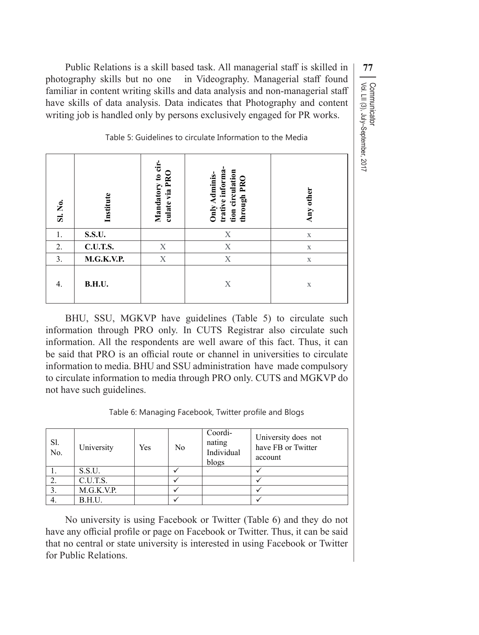Public Relations is a skill based task. All managerial staff is skilled in  $\vert$  77 photography skills but no one in Videography. Managerial staff found familiar in content writing skills and data analysis and non-managerial staff have skills of data analysis. Data indicates that Photography and content writing job is handled only by persons exclusively engaged for PR works.

Table 5: Guidelines to circulate Information to the Media

| Sl. No. | Institute     | Mandatory to cir-<br>culate via PRO | trative informa<br>tion circulation<br>Only Adminis-<br>through PRO | Any other   |
|---------|---------------|-------------------------------------|---------------------------------------------------------------------|-------------|
| 1.      | <b>S.S.U.</b> |                                     | X                                                                   | $\mathbf X$ |
| 2.      | C.U.T.S.      | X                                   | X                                                                   | $\mathbf X$ |
| 3.      | M.G.K.V.P.    | X                                   | X                                                                   | $\mathbf X$ |
| 4.      | <b>B.H.U.</b> |                                     | X                                                                   | $\mathbf X$ |

BHU, SSU, MGKVP have guidelines (Table 5) to circulate such information through PRO only. In CUTS Registrar also circulate such information. All the respondents are well aware of this fact. Thus, it can be said that PRO is an official route or channel in universities to circulate information to media. BHU and SSU administration have made compulsory to circulate information to media through PRO only. CUTS and MGKVP do not have such guidelines.

Table 6: Managing Facebook, Twitter profile and Blogs

| Sl.<br>$\overline{N_{0}}$ . | University | Yes | No | Coordi-<br>nating<br>Individual<br>blogs | University does not<br>have FB or Twitter<br>account |
|-----------------------------|------------|-----|----|------------------------------------------|------------------------------------------------------|
|                             | S.S.U.     |     |    |                                          |                                                      |
|                             | C.U.T.S.   |     |    |                                          |                                                      |
|                             | M.G.K.V.P. |     |    |                                          |                                                      |
|                             | B.H.U.     |     |    |                                          |                                                      |

No university is using Facebook or Twitter (Table 6) and they do not have any official profile or page on Facebook or Twitter. Thus, it can be said that no central or state university is interested in using Facebook or Twitter for Public Relations.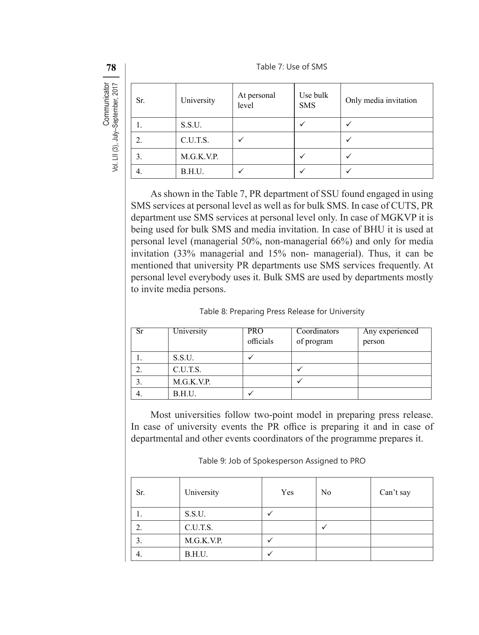**78** I Table 7: Use of SMS

| Sr. | University | At personal<br>level | Use bulk<br><b>SMS</b> | Only media invitation |
|-----|------------|----------------------|------------------------|-----------------------|
| 1.  | S.S.U.     |                      |                        |                       |
| 2.  | C.U.T.S.   |                      |                        |                       |
| 3.  | M.G.K.V.P. |                      |                        |                       |
| 4.  | B.H.U.     |                      |                        |                       |

As shown in the Table 7, PR department of SSU found engaged in using SMS services at personal level as well as for bulk SMS. In case of CUTS, PR department use SMS services at personal level only. In case of MGKVP it is being used for bulk SMS and media invitation. In case of BHU it is used at personal level (managerial 50%, non-managerial 66%) and only for media invitation (33% managerial and 15% non- managerial). Thus, it can be mentioned that university PR departments use SMS services frequently. At personal level everybody uses it. Bulk SMS are used by departments mostly to invite media persons.

| Sr  | University | <b>PRO</b><br>officials | Coordinators<br>of program | Any experienced<br>person |
|-----|------------|-------------------------|----------------------------|---------------------------|
| . . | S.S.U.     |                         |                            |                           |
| ۷.  | C.U.T.S.   |                         |                            |                           |
| 3.  | M.G.K.V.P. |                         |                            |                           |
| 4.  | B.H.U.     |                         |                            |                           |

Most universities follow two-point model in preparing press release. In case of university events the PR office is preparing it and in case of departmental and other events coordinators of the programme prepares it.

Table 9: Job of Spokesperson Assigned to PRO

| Sr. | University | Yes | No | Can't say |
|-----|------------|-----|----|-----------|
|     | S.S.U.     |     |    |           |
| 2.  | C.U.T.S.   |     |    |           |
| 3.  | M.G.K.V.P. |     |    |           |
| ┭.  | B.H.U.     |     |    |           |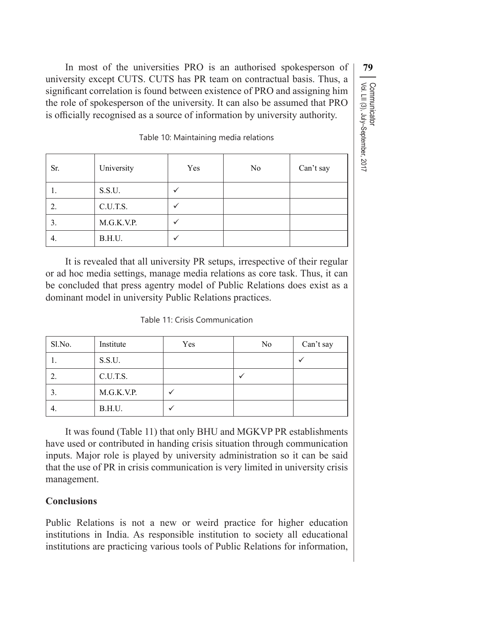In most of the universities PRO is an authorised spokesperson of **79** university except CUTS. CUTS has PR team on contractual basis. Thus, a significant correlation is found between existence of PRO and assigning him the role of spokesperson of the university. It can also be assumed that PRO is officially recognised as a source of information by university authority.

Table 10: Maintaining media relations

| Sr. | University | Yes | No | Can't say |
|-----|------------|-----|----|-----------|
| 1.  | S.S.U.     |     |    |           |
| 2.  | C.U.T.S.   |     |    |           |
| 3.  | M.G.K.V.P. |     |    |           |
| 4.  | B.H.U.     |     |    |           |

It is revealed that all university PR setups, irrespective of their regular or ad hoc media settings, manage media relations as core task. Thus, it can be concluded that press agentry model of Public Relations does exist as a dominant model in university Public Relations practices.

| Sl.No. | Institute  | Yes | No | Can't say |
|--------|------------|-----|----|-----------|
|        | S.S.U.     |     |    |           |
| ۷.     | C.U.T.S.   |     |    |           |
|        | M.G.K.V.P. |     |    |           |
| 4.     | B.H.U.     |     |    |           |

It was found (Table 11) that only BHU and MGKVP PR establishments have used or contributed in handing crisis situation through communication inputs. Major role is played by university administration so it can be said that the use of PR in crisis communication is very limited in university crisis management.

# **Conclusions**

Public Relations is not a new or weird practice for higher education institutions in India. As responsible institution to society all educational institutions are practicing various tools of Public Relations for information,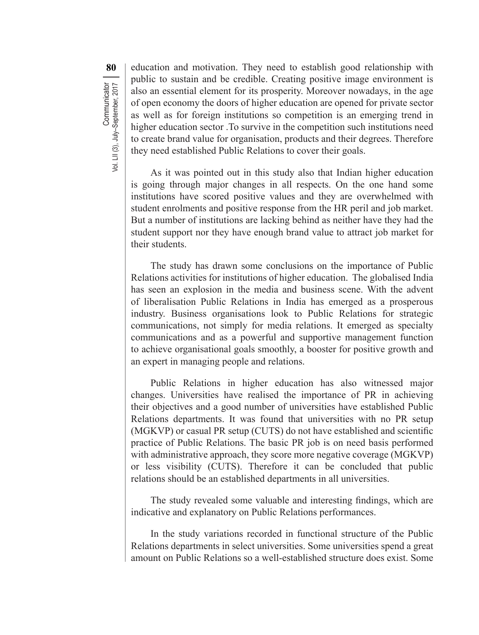**80** education and motivation. They need to establish good relationship with public to sustain and be credible. Creating positive image environment is also an essential element for its prosperity. Moreover nowadays, in the age of open economy the doors of higher education are opened for private sector as well as for foreign institutions so competition is an emerging trend in higher education sector .To survive in the competition such institutions need to create brand value for organisation, products and their degrees. Therefore they need established Public Relations to cover their goals.

As it was pointed out in this study also that Indian higher education is going through major changes in all respects. On the one hand some institutions have scored positive values and they are overwhelmed with student enrolments and positive response from the HR peril and job market. But a number of institutions are lacking behind as neither have they had the student support nor they have enough brand value to attract job market for their students.

The study has drawn some conclusions on the importance of Public Relations activities for institutions of higher education. The globalised India has seen an explosion in the media and business scene. With the advent of liberalisation Public Relations in India has emerged as a prosperous industry. Business organisations look to Public Relations for strategic communications, not simply for media relations. It emerged as specialty communications and as a powerful and supportive management function to achieve organisational goals smoothly, a booster for positive growth and an expert in managing people and relations.

Public Relations in higher education has also witnessed major changes. Universities have realised the importance of PR in achieving their objectives and a good number of universities have established Public Relations departments. It was found that universities with no PR setup (MGKVP) or casual PR setup (CUTS) do not have established and scientific practice of Public Relations. The basic PR job is on need basis performed with administrative approach, they score more negative coverage (MGKVP) or less visibility (CUTS). Therefore it can be concluded that public relations should be an established departments in all universities.

The study revealed some valuable and interesting findings, which are indicative and explanatory on Public Relations performances.

In the study variations recorded in functional structure of the Public Relations departments in select universities. Some universities spend a great amount on Public Relations so a well-established structure does exist. Some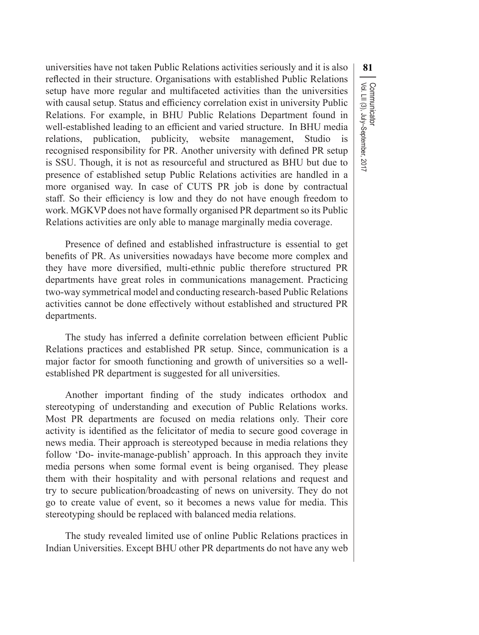universities have not taken Public Relations activities seriously and it is also **81** reflected in their structure. Organisations with established Public Relations setup have more regular and multifaceted activities than the universities with causal setup. Status and efficiency correlation exist in university Public Relations. For example, in BHU Public Relations Department found in well-established leading to an efficient and varied structure. In BHU media relations, publication, publicity, website management, Studio is recognised responsibility for PR. Another university with defined PR setup is SSU. Though, it is not as resourceful and structured as BHU but due to presence of established setup Public Relations activities are handled in a more organised way. In case of CUTS PR job is done by contractual staff. So their efficiency is low and they do not have enough freedom to work. MGKVP does not have formally organised PR department so its Public Relations activities are only able to manage marginally media coverage.

Presence of defined and established infrastructure is essential to get benefits of PR. As universities nowadays have become more complex and they have more diversified, multi-ethnic public therefore structured PR departments have great roles in communications management. Practicing two-way symmetrical model and conducting research-based Public Relations activities cannot be done effectively without established and structured PR departments.

The study has inferred a definite correlation between efficient Public Relations practices and established PR setup. Since, communication is a major factor for smooth functioning and growth of universities so a wellestablished PR department is suggested for all universities.

Another important finding of the study indicates orthodox and stereotyping of understanding and execution of Public Relations works. Most PR departments are focused on media relations only. Their core activity is identified as the felicitator of media to secure good coverage in news media. Their approach is stereotyped because in media relations they follow 'Do- invite-manage-publish' approach. In this approach they invite media persons when some formal event is being organised. They please them with their hospitality and with personal relations and request and try to secure publication/broadcasting of news on university. They do not go to create value of event, so it becomes a news value for media. This stereotyping should be replaced with balanced media relations.

The study revealed limited use of online Public Relations practices in Indian Universities. Except BHU other PR departments do not have any web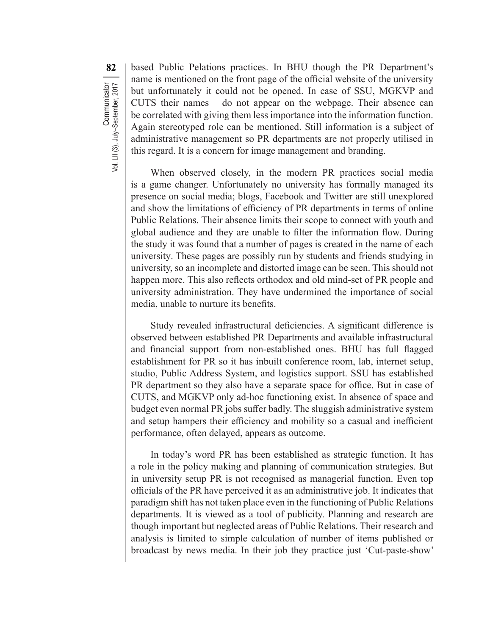82 | based Public Pelations practices. In BHU though the PR Department's name is mentioned on the front page of the official website of the university but unfortunately it could not be opened. In case of SSU, MGKVP and CUTS their names do not appear on the webpage. Their absence can be correlated with giving them less importance into the information function. Again stereotyped role can be mentioned. Still information is a subject of administrative management so PR departments are not properly utilised in this regard. It is a concern for image management and branding.

When observed closely, in the modern PR practices social media is a game changer. Unfortunately no university has formally managed its presence on social media; blogs, Facebook and Twitter are still unexplored and show the limitations of efficiency of PR departments in terms of online Public Relations. Their absence limits their scope to connect with youth and global audience and they are unable to filter the information flow. During the study it was found that a number of pages is created in the name of each university. These pages are possibly run by students and friends studying in university, so an incomplete and distorted image can be seen. This should not happen more. This also reflects orthodox and old mind-set of PR people and university administration. They have undermined the importance of social media, unable to nurture its benefits.

Study revealed infrastructural deficiencies. A significant difference is observed between established PR Departments and available infrastructural and financial support from non-established ones. BHU has full flagged establishment for PR so it has inbuilt conference room, lab, internet setup, studio, Public Address System, and logistics support. SSU has established PR department so they also have a separate space for office. But in case of CUTS, and MGKVP only ad-hoc functioning exist. In absence of space and budget even normal PR jobs suffer badly. The sluggish administrative system and setup hampers their efficiency and mobility so a casual and inefficient performance, often delayed, appears as outcome.

In today's word PR has been established as strategic function. It has a role in the policy making and planning of communication strategies. But in university setup PR is not recognised as managerial function. Even top officials of the PR have perceived it as an administrative job. It indicates that paradigm shift has not taken place even in the functioning of Public Relations departments. It is viewed as a tool of publicity. Planning and research are though important but neglected areas of Public Relations. Their research and analysis is limited to simple calculation of number of items published or broadcast by news media. In their job they practice just 'Cut-paste-show'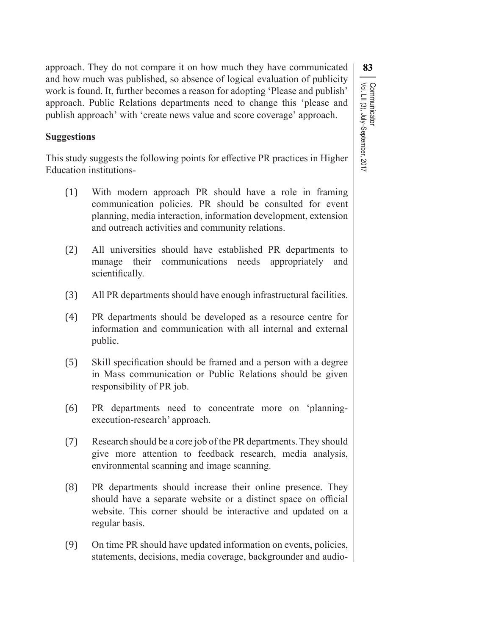approach. They do not compare it on how much they have communicated **83** and how much was published, so absence of logical evaluation of publicity work is found. It, further becomes a reason for adopting 'Please and publish' approach. Public Relations departments need to change this 'please and publish approach' with 'create news value and score coverage' approach.

## **Suggestions**

This study suggests the following points for effective PR practices in Higher Education institutions-

(1) With modern approach PR should have a role in framing communication policies. PR should be consulted for event planning, media interaction, information development, extension and outreach activities and community relations.

Vol. LII (3), July–September, 2017

Communicator<br>Vol. LII (3), July–September, 2017

Communicator

- (2) All universities should have established PR departments to manage their communications needs appropriately and scientifically.
- (3) All PR departments should have enough infrastructural facilities.
- (4) PR departments should be developed as a resource centre for information and communication with all internal and external public.
- (5) Skill specification should be framed and a person with a degree in Mass communication or Public Relations should be given responsibility of PR job.
- (6) PR departments need to concentrate more on 'planning- execution-research' approach.
- (7) Research should be a core job of the PR departments. They should give more attention to feedback research, media analysis, environmental scanning and image scanning.
- (8) PR departments should increase their online presence. They should have a separate website or a distinct space on official website. This corner should be interactive and updated on a regular basis.
- (9) On time PR should have updated information on events, policies, statements, decisions, media coverage, backgrounder and audio-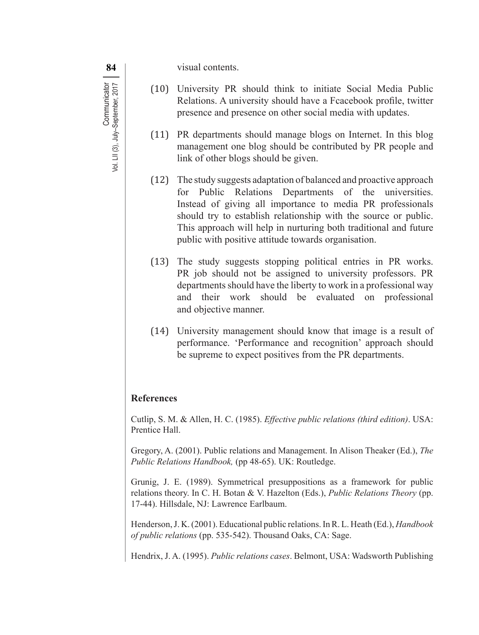**84 v**isual contents.

- (10) University PR should think to initiate Social Media Public Relations. A university should have a Fcacebook profile, twitter presence and presence on other social media with updates.
- (11) PR departments should manage blogs on Internet. In this blog management one blog should be contributed by PR people and link of other blogs should be given.
- (12) The study suggests adaptation of balanced and proactive approach for Public Relations Departments of the universities. Instead of giving all importance to media PR professionals should try to establish relationship with the source or public. This approach will help in nurturing both traditional and future public with positive attitude towards organisation.
- (13) The study suggests stopping political entries in PR works. PR job should not be assigned to university professors. PR departments should have the liberty to work in a professional way and their work should be evaluated on professional and objective manner.
- (14) University management should know that image is a result of performance. 'Performance and recognition' approach should be supreme to expect positives from the PR departments.

## **References**

Cutlip, S. M. & Allen, H. C. (1985). *Effective public relations (third edition)*. USA: Prentice Hall.

Gregory, A. (2001). Public relations and Management. In Alison Theaker (Ed.), *The Public Relations Handbook,* (pp 48-65). UK: Routledge.

Grunig, J. E. (1989). Symmetrical presuppositions as a framework for public relations theory. In C. H. Botan & V. Hazelton (Eds.), *Public Relations Theory* (pp. 17-44). Hillsdale, NJ: Lawrence Earlbaum.

Henderson,J. K.(2001). Educational public relations.InR. L. Heath (Ed.), *Handbook of public relations* (pp. 535-542). Thousand Oaks, CA: Sage.

Hendrix, J. A. (1995). *Public relations cases*. Belmont, USA: Wadsworth Publishing

Communicator<br>Vol. LII (3), July–September, 2017 **Communicator** Vol. LII (3), July–September, 2017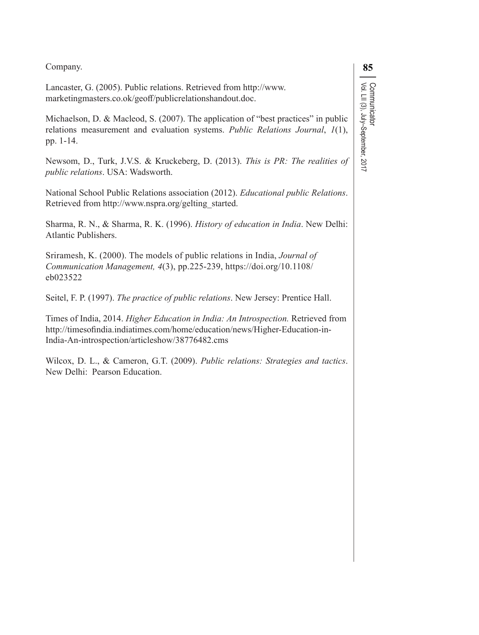| Company.                                                                                                                                                                                                            | 85                                                 |
|---------------------------------------------------------------------------------------------------------------------------------------------------------------------------------------------------------------------|----------------------------------------------------|
| Lancaster, G. (2005). Public relations. Retrieved from http://www.<br>marketingmasters.co.ok/geoff/publicrelationshandout.doc.                                                                                      |                                                    |
| Michaelson, D. & Macleod, S. (2007). The application of "best practices" in public<br>relations measurement and evaluation systems. Public Relations Journal, 1(1),<br>pp. 1-14.                                    | ∾onmunicaton<br>Vol. LII (3), July–September, 2017 |
| Newsom, D., Turk, J.V.S. & Kruckeberg, D. (2013). This is PR: The realities of<br>public relations. USA: Wadsworth.                                                                                                 |                                                    |
| National School Public Relations association (2012). Educational public Relations.<br>Retrieved from http://www.nspra.org/gelting started.                                                                          |                                                    |
| Sharma, R. N., & Sharma, R. K. (1996). History of education in India. New Delhi:<br>Atlantic Publishers.                                                                                                            |                                                    |
| Sriramesh, K. (2000). The models of public relations in India, Journal of<br>Communication Management, 4(3), pp.225-239, https://doi.org/10.1108/<br>eb023522                                                       |                                                    |
| Seitel, F. P. (1997). The practice of public relations. New Jersey: Prentice Hall.                                                                                                                                  |                                                    |
| Times of India, 2014. Higher Education in India: An Introspection. Retrieved from<br>http://timesofindia.indiatimes.com/home/education/news/Higher-Education-in-<br>India-An-introspection/articleshow/38776482.cms |                                                    |
| Wilcox, D. L., & Cameron, G.T. (2009). Public relations: Strategies and tactics.<br>New Delhi: Pearson Education.                                                                                                   |                                                    |
|                                                                                                                                                                                                                     |                                                    |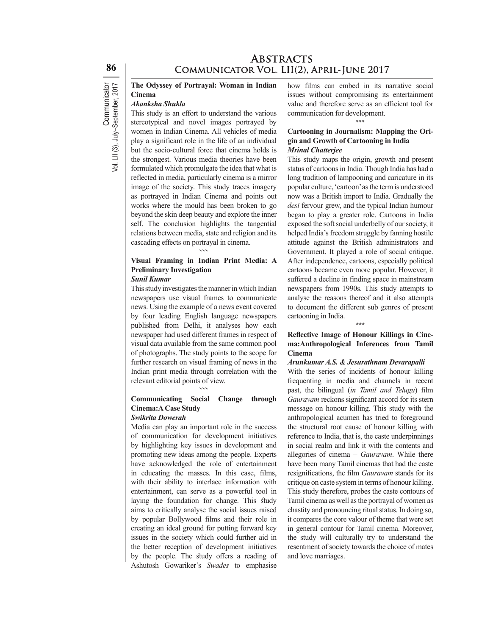## **ABSTRACTS** COMMUNICATOR VOL. LII(2), APRIL-JUNE 2017

#### **The Odyssey of Portrayal: Woman in Indian Cinema**  *Akanksha Shukla*

This study is an effort to understand the various stereotypical and novel images portrayed by women in Indian Cinema. All vehicles of media play a significant role in the life of an individual but the socio-cultural force that cinema holds is the strongest. Various media theories have been formulated which promulgate the idea that what is reflected in media, particularly cinema is a mirror image of the society. This study traces imagery as portrayed in Indian Cinema and points out works where the mould has been broken to go beyond the skin deep beauty and explore the inner self. The conclusion highlights the tangential relations between media, state and religion and its cascading effects on portrayal in cinema.

#### \*\*\* **Visual Framing in Indian Print Media: A Preliminary Investigation** *Sunil Kumar*

This study investigates the manner in which Indian newspapers use visual frames to communicate news. Using the example of a news event covered by four leading English language newspapers published from Delhi, it analyses how each newspaper had used different frames in respect of visual data available from the same common pool of photographs. The study points to the scope for further research on visual framing of news in the Indian print media through correlation with the relevant editorial points of view.

\*\*\*

#### **Communicating Social Change through Cinema:A Case Study** *Swikrita Dowerah*

Media can play an important role in the success of communication for development initiatives by highlighting key issues in development and promoting new ideas among the people. Experts have acknowledged the role of entertainment in educating the masses. In this case, films, with their ability to interlace information with entertainment, can serve as a powerful tool in laying the foundation for change. This study aims to critically analyse the social issues raised by popular Bollywood films and their role in creating an ideal ground for putting forward key issues in the society which could further aid in the better reception of development initiatives by the people. The study offers a reading of Ashutosh Gowariker's *Swades* to emphasise

how films can embed in its narrative social issues without compromising its entertainment value and therefore serve as an efficient tool for communication for development.

#### \*\*\*

#### **Cartooning in Journalism: Mapping the Origin and Growth of Cartooning in India**  *Mrinal Chatterjee*

This study maps the origin, growth and present status of cartoons in India. Though India has had a long tradition of lampooning and caricature in its popular culture,'cartoon'asthe termis understood now was a British import to India. Gradually the *desi* fervour grew, and the typical Indian humour began to play a greater role. Cartoons in India exposed the soft social underbelly of our society, it helped India's freedom struggle by fanning hostile attitude against the British administrators and Government. It played a role of social critique. After independence, cartoons, especially political cartoons became even more popular. However, it suffered a decline in finding space in mainstream newspapers from 1990s. This study attempts to analyse the reasons thereof and it also attempts to document the different sub genres of present cartooning in India. \*\*\*

#### **Reflective Image of Honour Killings in Cinema:Anthropological Inferences from Tamil Cinema**

#### *Arunkumar A.S. & Jesurathnam Devarapalli*

With the series of incidents of honour killing frequenting in media and channels in recent past, the bilingual (*in Tamil and Telugu*) film *Gauravam* reckons significant accord for its stern message on honour killing. This study with the anthropological acumen has tried to foreground the structural root cause of honour killing with reference to India, that is, the caste underpinnings in social realm and link it with the contents and allegories of cinema – *Gauravam*. While there have been many Tamil cinemas that had the caste resignifications, the film *Gauravam* stands for its critique on caste system in terms of honour killing. This study therefore, probes the caste contours of Tamil cinema as well asthe portrayal of women as chastity and pronouncing ritual status. In doing so, it compares the core valour of theme that were set in general contour for Tamil cinema. Moreover, the study will culturally try to understand the resentment of society towards the choice of mates and love marriages.

**Communicator** 

Vol. LII (3), July–September, 2017

Communicator<br>Vol. LII (3), July–September, 2017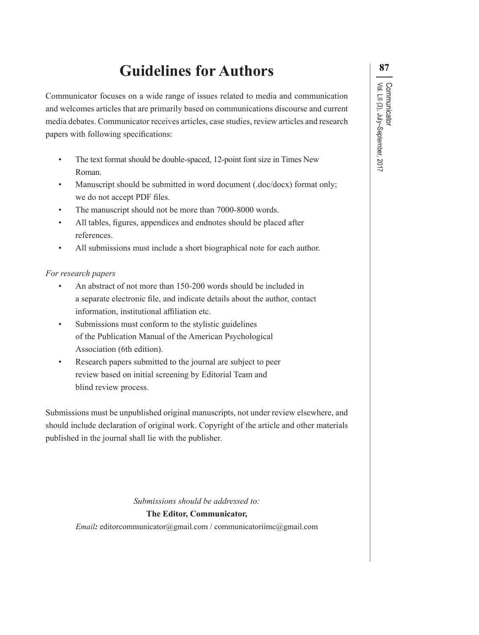# **Guidelines for Authors <sup>87</sup>**

Communicator focuses on a wide range of issues related to media and communication and welcomes articles that are primarily based on communications discourse and current media debates. Communicator receives articles, case studies, review articles and research papers with following specifications:

- The text format should be double-spaced, 12-point font size in Times New Roman.
- Manuscript should be submitted in word document (.doc/docx) format only; we do not accept PDF files.
- The manuscript should not be more than 7000-8000 words.
- All tables, figures, appendices and endnotes should be placed after references.
- All submissions must include a short biographical note for each author.

## *For research papers*

- An abstract of not more than 150-200 words should be included in a separate electronic file, and indicate details about the author, contact information, institutional affiliation etc.
- Submissions must conform to the stylistic guidelines of the Publication Manual of the American Psychological Association (6th edition).
- Research papers submitted to the journal are subject to peer review based on initial screening by Editorial Team and blind review process.

Submissions must be unpublished original manuscripts, not under review elsewhere, and should include declaration of original work. Copyright of the article and other materials published in the journal shall lie with the publisher.

*Submissions should be addressed to:* 

### **The Editor, Communicator,**

*Email***:** editorcommunicator@gmail.com / communicatoriimc@gmail.com